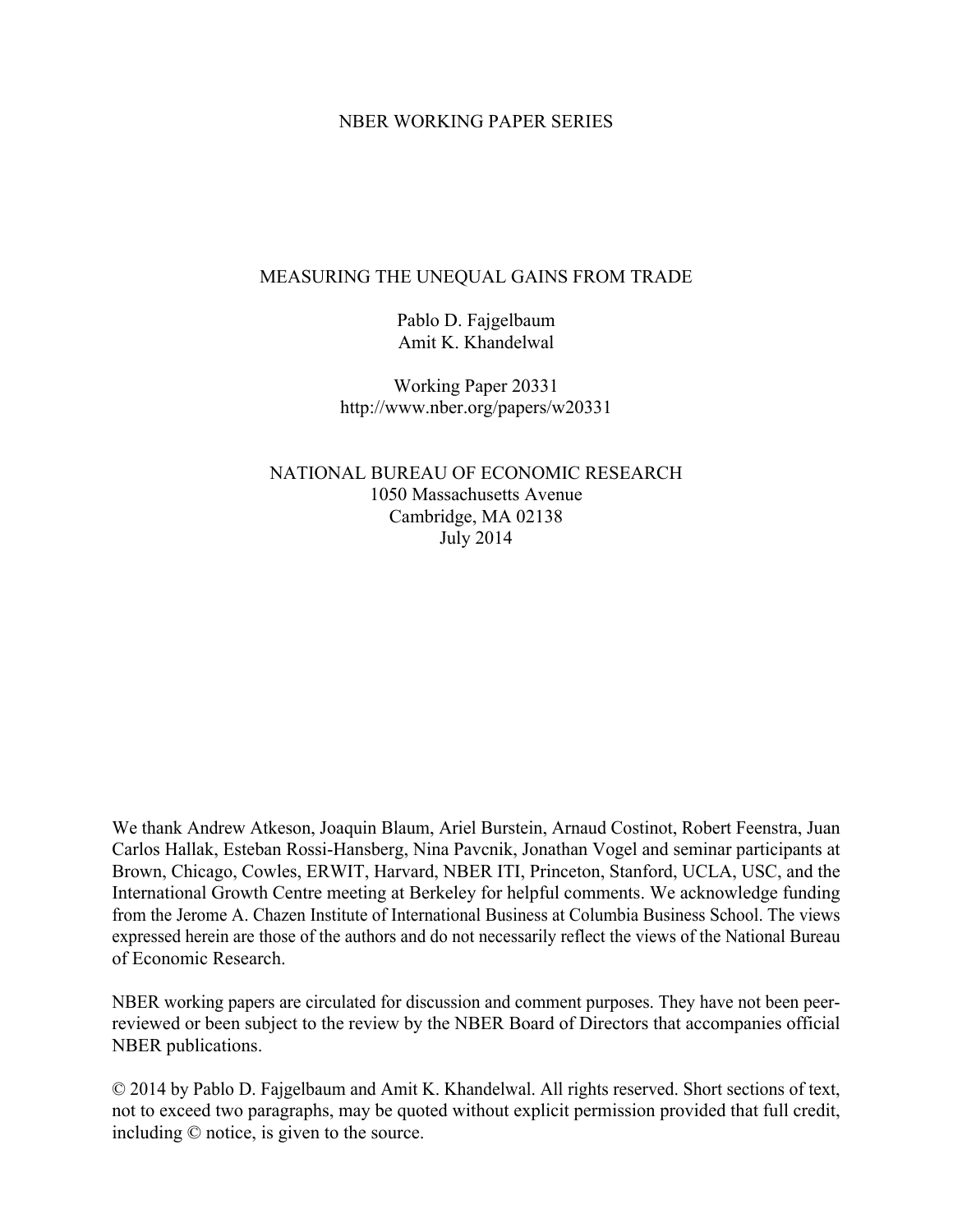## NBER WORKING PAPER SERIES

### MEASURING THE UNEQUAL GAINS FROM TRADE

Pablo D. Fajgelbaum Amit K. Khandelwal

Working Paper 20331 http://www.nber.org/papers/w20331

NATIONAL BUREAU OF ECONOMIC RESEARCH 1050 Massachusetts Avenue Cambridge, MA 02138 July 2014

We thank Andrew Atkeson, Joaquin Blaum, Ariel Burstein, Arnaud Costinot, Robert Feenstra, Juan Carlos Hallak, Esteban Rossi-Hansberg, Nina Pavcnik, Jonathan Vogel and seminar participants at Brown, Chicago, Cowles, ERWIT, Harvard, NBER ITI, Princeton, Stanford, UCLA, USC, and the International Growth Centre meeting at Berkeley for helpful comments. We acknowledge funding from the Jerome A. Chazen Institute of International Business at Columbia Business School. The views expressed herein are those of the authors and do not necessarily reflect the views of the National Bureau of Economic Research.

NBER working papers are circulated for discussion and comment purposes. They have not been peerreviewed or been subject to the review by the NBER Board of Directors that accompanies official NBER publications.

© 2014 by Pablo D. Fajgelbaum and Amit K. Khandelwal. All rights reserved. Short sections of text, not to exceed two paragraphs, may be quoted without explicit permission provided that full credit, including © notice, is given to the source.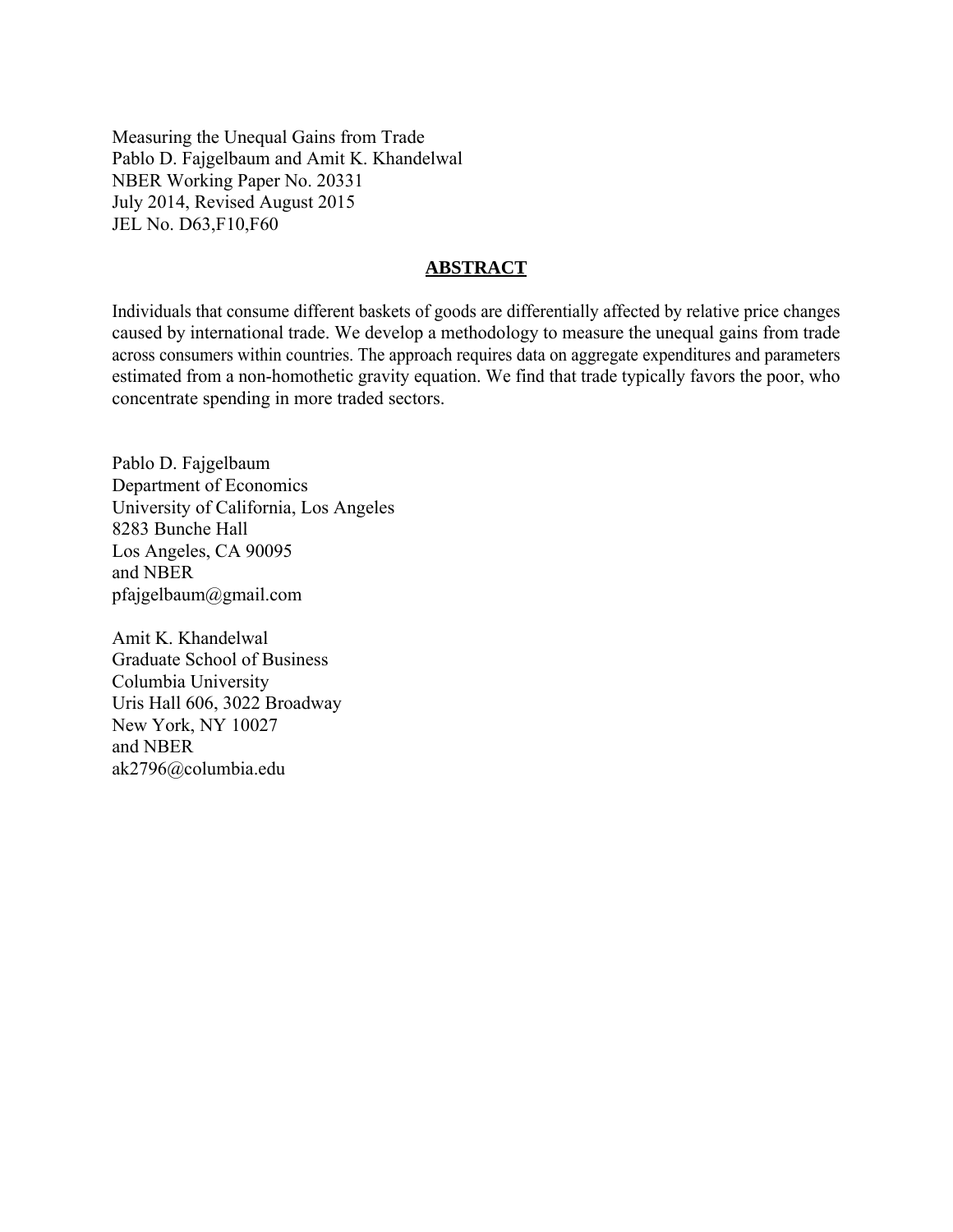Measuring the Unequal Gains from Trade Pablo D. Fajgelbaum and Amit K. Khandelwal NBER Working Paper No. 20331 July 2014, Revised August 2015 JEL No. D63,F10,F60

## **ABSTRACT**

Individuals that consume different baskets of goods are differentially affected by relative price changes caused by international trade. We develop a methodology to measure the unequal gains from trade across consumers within countries. The approach requires data on aggregate expenditures and parameters estimated from a non-homothetic gravity equation. We find that trade typically favors the poor, who concentrate spending in more traded sectors.

Pablo D. Fajgelbaum Department of Economics University of California, Los Angeles 8283 Bunche Hall Los Angeles, CA 90095 and NBER pfajgelbaum@gmail.com

Amit K. Khandelwal Graduate School of Business Columbia University Uris Hall 606, 3022 Broadway New York, NY 10027 and NBER ak2796@columbia.edu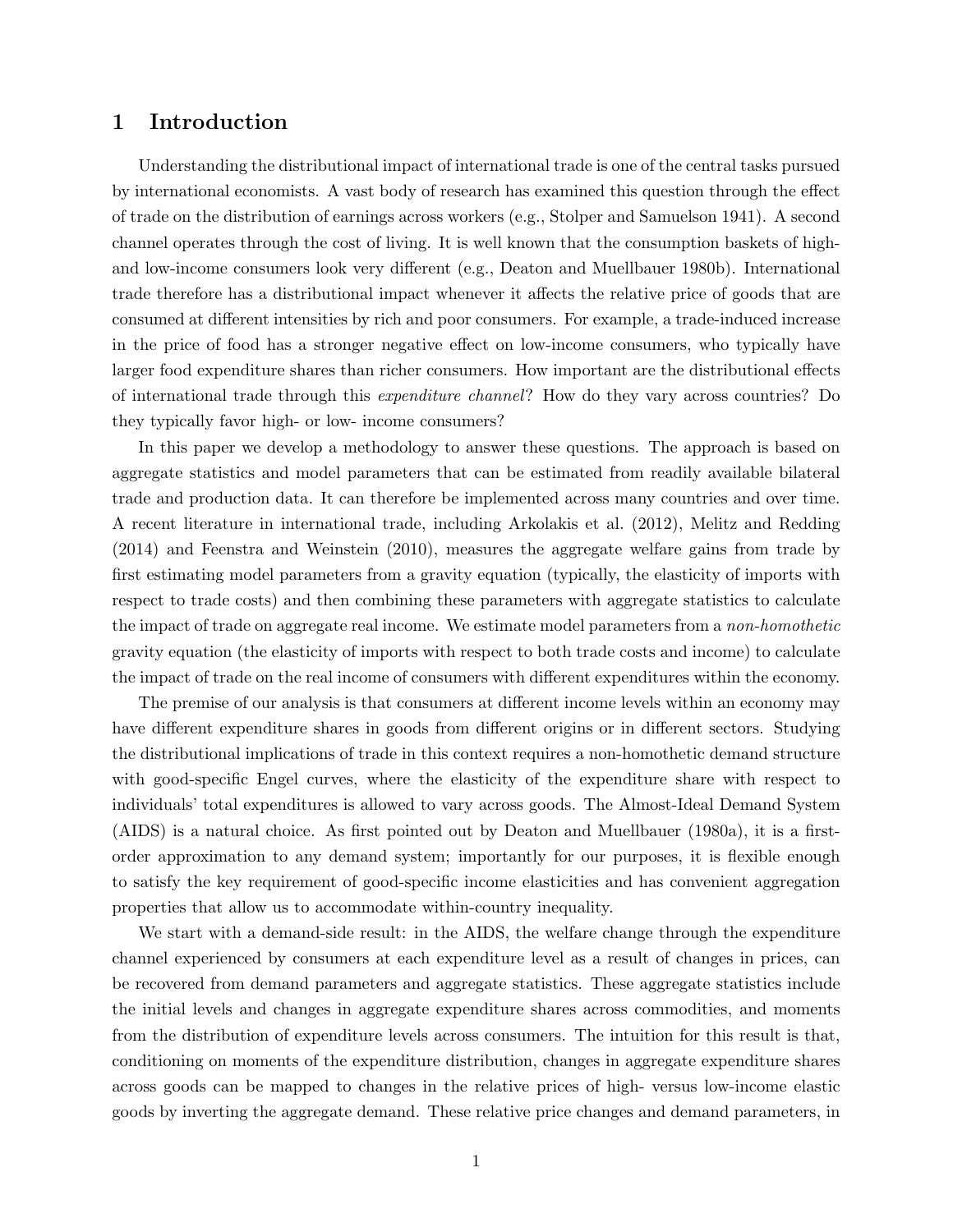# 1 Introduction

Understanding the distributional impact of international trade is one of the central tasks pursued by international economists. A vast body of research has examined this question through the effect of trade on the distribution of earnings across workers (e.g., Stolper and Samuelson 1941). A second channel operates through the cost of living. It is well known that the consumption baskets of highand low-income consumers look very different (e.g., Deaton and Muellbauer 1980b). International trade therefore has a distributional impact whenever it affects the relative price of goods that are consumed at different intensities by rich and poor consumers. For example, a trade-induced increase in the price of food has a stronger negative effect on low-income consumers, who typically have larger food expenditure shares than richer consumers. How important are the distributional effects of international trade through this expenditure channel? How do they vary across countries? Do they typically favor high- or low- income consumers?

In this paper we develop a methodology to answer these questions. The approach is based on aggregate statistics and model parameters that can be estimated from readily available bilateral trade and production data. It can therefore be implemented across many countries and over time. A recent literature in international trade, including Arkolakis et al. (2012), Melitz and Redding (2014) and Feenstra and Weinstein (2010), measures the aggregate welfare gains from trade by first estimating model parameters from a gravity equation (typically, the elasticity of imports with respect to trade costs) and then combining these parameters with aggregate statistics to calculate the impact of trade on aggregate real income. We estimate model parameters from a non-homothetic gravity equation (the elasticity of imports with respect to both trade costs and income) to calculate the impact of trade on the real income of consumers with different expenditures within the economy.

The premise of our analysis is that consumers at different income levels within an economy may have different expenditure shares in goods from different origins or in different sectors. Studying the distributional implications of trade in this context requires a non-homothetic demand structure with good-specific Engel curves, where the elasticity of the expenditure share with respect to individuals' total expenditures is allowed to vary across goods. The Almost-Ideal Demand System (AIDS) is a natural choice. As first pointed out by Deaton and Muellbauer (1980a), it is a firstorder approximation to any demand system; importantly for our purposes, it is flexible enough to satisfy the key requirement of good-specific income elasticities and has convenient aggregation properties that allow us to accommodate within-country inequality.

We start with a demand-side result: in the AIDS, the welfare change through the expenditure channel experienced by consumers at each expenditure level as a result of changes in prices, can be recovered from demand parameters and aggregate statistics. These aggregate statistics include the initial levels and changes in aggregate expenditure shares across commodities, and moments from the distribution of expenditure levels across consumers. The intuition for this result is that, conditioning on moments of the expenditure distribution, changes in aggregate expenditure shares across goods can be mapped to changes in the relative prices of high- versus low-income elastic goods by inverting the aggregate demand. These relative price changes and demand parameters, in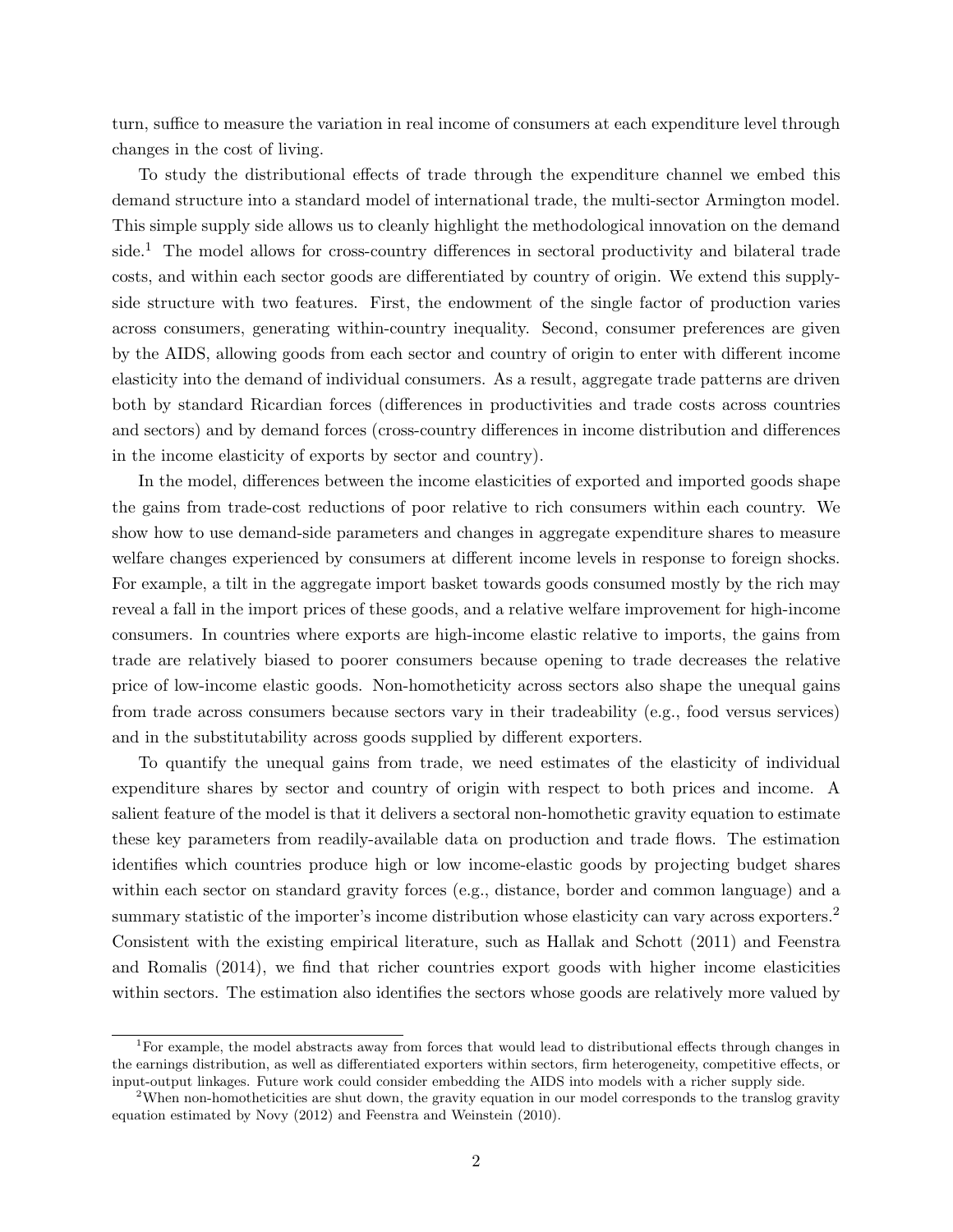turn, suffice to measure the variation in real income of consumers at each expenditure level through changes in the cost of living.

To study the distributional effects of trade through the expenditure channel we embed this demand structure into a standard model of international trade, the multi-sector Armington model. This simple supply side allows us to cleanly highlight the methodological innovation on the demand side.<sup>1</sup> The model allows for cross-country differences in sectoral productivity and bilateral trade costs, and within each sector goods are differentiated by country of origin. We extend this supplyside structure with two features. First, the endowment of the single factor of production varies across consumers, generating within-country inequality. Second, consumer preferences are given by the AIDS, allowing goods from each sector and country of origin to enter with different income elasticity into the demand of individual consumers. As a result, aggregate trade patterns are driven both by standard Ricardian forces (differences in productivities and trade costs across countries and sectors) and by demand forces (cross-country differences in income distribution and differences in the income elasticity of exports by sector and country).

In the model, differences between the income elasticities of exported and imported goods shape the gains from trade-cost reductions of poor relative to rich consumers within each country. We show how to use demand-side parameters and changes in aggregate expenditure shares to measure welfare changes experienced by consumers at different income levels in response to foreign shocks. For example, a tilt in the aggregate import basket towards goods consumed mostly by the rich may reveal a fall in the import prices of these goods, and a relative welfare improvement for high-income consumers. In countries where exports are high-income elastic relative to imports, the gains from trade are relatively biased to poorer consumers because opening to trade decreases the relative price of low-income elastic goods. Non-homotheticity across sectors also shape the unequal gains from trade across consumers because sectors vary in their tradeability (e.g., food versus services) and in the substitutability across goods supplied by different exporters.

To quantify the unequal gains from trade, we need estimates of the elasticity of individual expenditure shares by sector and country of origin with respect to both prices and income. A salient feature of the model is that it delivers a sectoral non-homothetic gravity equation to estimate these key parameters from readily-available data on production and trade flows. The estimation identifies which countries produce high or low income-elastic goods by projecting budget shares within each sector on standard gravity forces (e.g., distance, border and common language) and a summary statistic of the importer's income distribution whose elasticity can vary across exporters.<sup>2</sup> Consistent with the existing empirical literature, such as Hallak and Schott (2011) and Feenstra and Romalis (2014), we find that richer countries export goods with higher income elasticities within sectors. The estimation also identifies the sectors whose goods are relatively more valued by

<sup>&</sup>lt;sup>1</sup>For example, the model abstracts away from forces that would lead to distributional effects through changes in the earnings distribution, as well as differentiated exporters within sectors, firm heterogeneity, competitive effects, or input-output linkages. Future work could consider embedding the AIDS into models with a richer supply side.

<sup>&</sup>lt;sup>2</sup>When non-homotheticities are shut down, the gravity equation in our model corresponds to the translog gravity equation estimated by Novy (2012) and Feenstra and Weinstein (2010).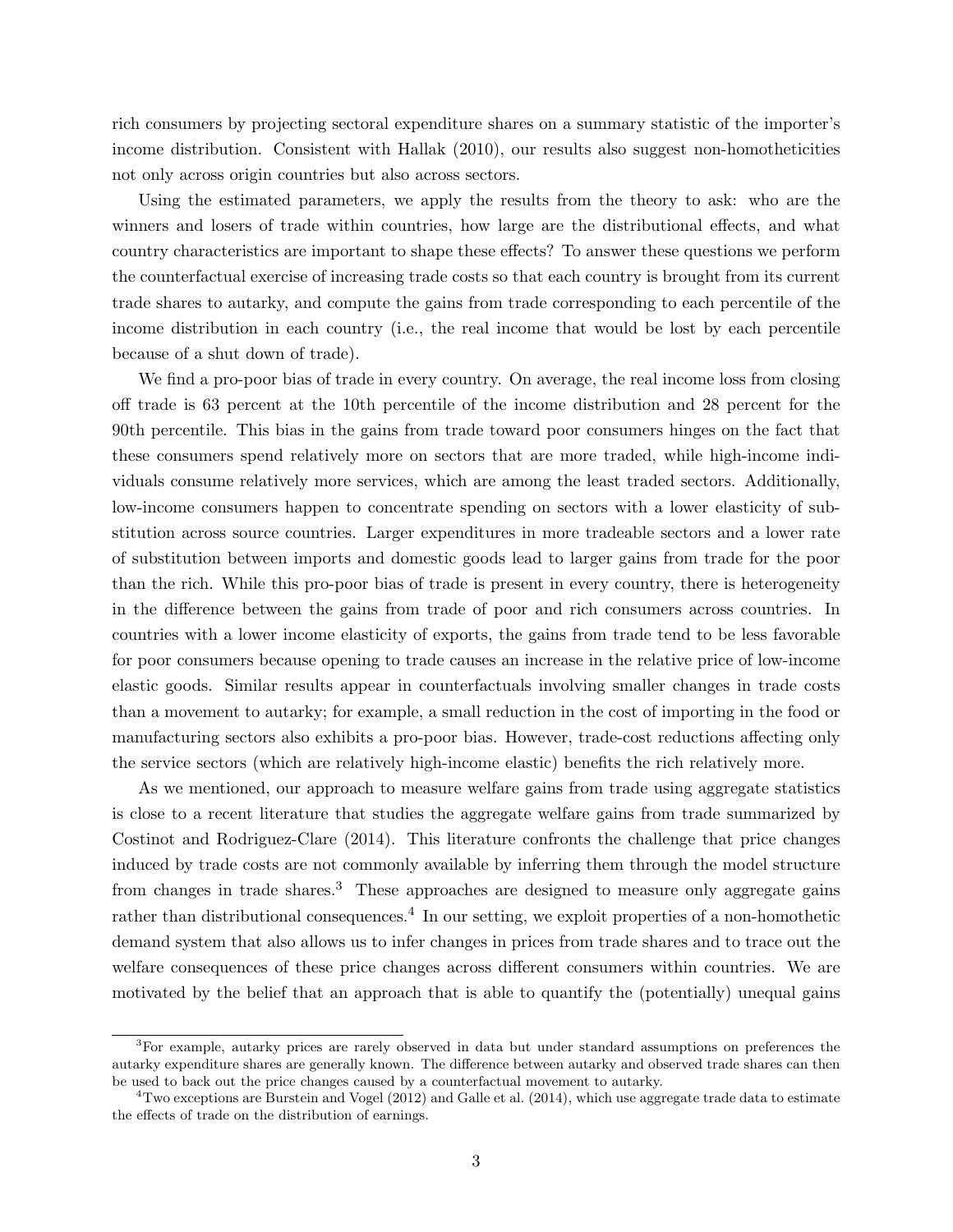rich consumers by projecting sectoral expenditure shares on a summary statistic of the importer's income distribution. Consistent with Hallak (2010), our results also suggest non-homotheticities not only across origin countries but also across sectors.

Using the estimated parameters, we apply the results from the theory to ask: who are the winners and losers of trade within countries, how large are the distributional effects, and what country characteristics are important to shape these effects? To answer these questions we perform the counterfactual exercise of increasing trade costs so that each country is brought from its current trade shares to autarky, and compute the gains from trade corresponding to each percentile of the income distribution in each country (i.e., the real income that would be lost by each percentile because of a shut down of trade).

We find a pro-poor bias of trade in every country. On average, the real income loss from closing off trade is 63 percent at the 10th percentile of the income distribution and 28 percent for the 90th percentile. This bias in the gains from trade toward poor consumers hinges on the fact that these consumers spend relatively more on sectors that are more traded, while high-income individuals consume relatively more services, which are among the least traded sectors. Additionally, low-income consumers happen to concentrate spending on sectors with a lower elasticity of substitution across source countries. Larger expenditures in more tradeable sectors and a lower rate of substitution between imports and domestic goods lead to larger gains from trade for the poor than the rich. While this pro-poor bias of trade is present in every country, there is heterogeneity in the difference between the gains from trade of poor and rich consumers across countries. In countries with a lower income elasticity of exports, the gains from trade tend to be less favorable for poor consumers because opening to trade causes an increase in the relative price of low-income elastic goods. Similar results appear in counterfactuals involving smaller changes in trade costs than a movement to autarky; for example, a small reduction in the cost of importing in the food or manufacturing sectors also exhibits a pro-poor bias. However, trade-cost reductions affecting only the service sectors (which are relatively high-income elastic) benefits the rich relatively more.

As we mentioned, our approach to measure welfare gains from trade using aggregate statistics is close to a recent literature that studies the aggregate welfare gains from trade summarized by Costinot and Rodriguez-Clare (2014). This literature confronts the challenge that price changes induced by trade costs are not commonly available by inferring them through the model structure from changes in trade shares.<sup>3</sup> These approaches are designed to measure only aggregate gains rather than distributional consequences.<sup>4</sup> In our setting, we exploit properties of a non-homothetic demand system that also allows us to infer changes in prices from trade shares and to trace out the welfare consequences of these price changes across different consumers within countries. We are motivated by the belief that an approach that is able to quantify the (potentially) unequal gains

<sup>&</sup>lt;sup>3</sup>For example, autarky prices are rarely observed in data but under standard assumptions on preferences the autarky expenditure shares are generally known. The difference between autarky and observed trade shares can then be used to back out the price changes caused by a counterfactual movement to autarky.

<sup>&</sup>lt;sup>4</sup>Two exceptions are Burstein and Vogel (2012) and Galle et al. (2014), which use aggregate trade data to estimate the effects of trade on the distribution of earnings.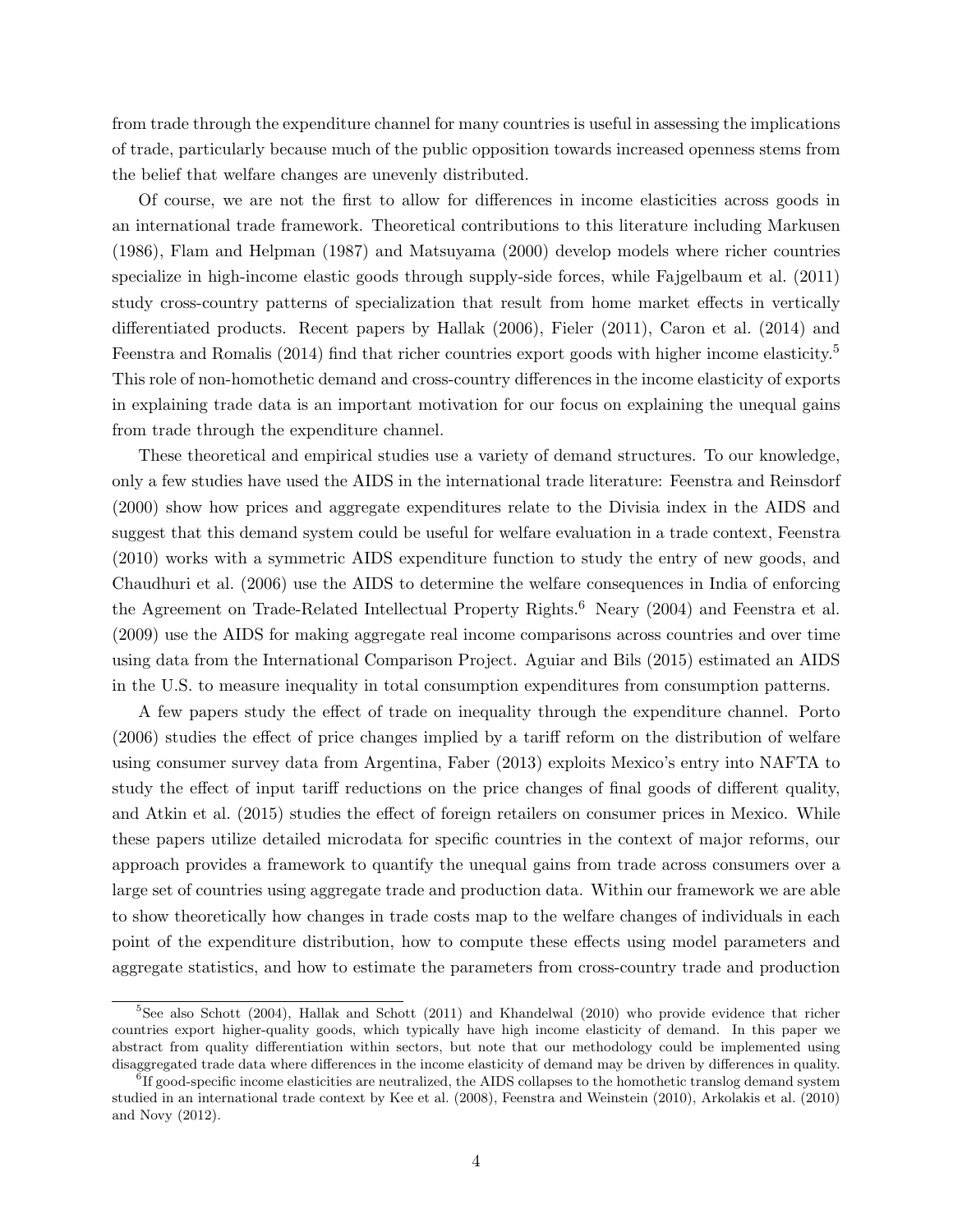from trade through the expenditure channel for many countries is useful in assessing the implications of trade, particularly because much of the public opposition towards increased openness stems from the belief that welfare changes are unevenly distributed.

Of course, we are not the first to allow for differences in income elasticities across goods in an international trade framework. Theoretical contributions to this literature including Markusen (1986), Flam and Helpman (1987) and Matsuyama (2000) develop models where richer countries specialize in high-income elastic goods through supply-side forces, while Fajgelbaum et al. (2011) study cross-country patterns of specialization that result from home market effects in vertically differentiated products. Recent papers by Hallak (2006), Fieler (2011), Caron et al. (2014) and Feenstra and Romalis (2014) find that richer countries export goods with higher income elasticity.<sup>5</sup> This role of non-homothetic demand and cross-country differences in the income elasticity of exports in explaining trade data is an important motivation for our focus on explaining the unequal gains from trade through the expenditure channel.

These theoretical and empirical studies use a variety of demand structures. To our knowledge, only a few studies have used the AIDS in the international trade literature: Feenstra and Reinsdorf (2000) show how prices and aggregate expenditures relate to the Divisia index in the AIDS and suggest that this demand system could be useful for welfare evaluation in a trade context, Feenstra (2010) works with a symmetric AIDS expenditure function to study the entry of new goods, and Chaudhuri et al. (2006) use the AIDS to determine the welfare consequences in India of enforcing the Agreement on Trade-Related Intellectual Property Rights.<sup>6</sup> Neary (2004) and Feenstra et al. (2009) use the AIDS for making aggregate real income comparisons across countries and over time using data from the International Comparison Project. Aguiar and Bils (2015) estimated an AIDS in the U.S. to measure inequality in total consumption expenditures from consumption patterns.

A few papers study the effect of trade on inequality through the expenditure channel. Porto (2006) studies the effect of price changes implied by a tariff reform on the distribution of welfare using consumer survey data from Argentina, Faber (2013) exploits Mexico's entry into NAFTA to study the effect of input tariff reductions on the price changes of final goods of different quality, and Atkin et al. (2015) studies the effect of foreign retailers on consumer prices in Mexico. While these papers utilize detailed microdata for specific countries in the context of major reforms, our approach provides a framework to quantify the unequal gains from trade across consumers over a large set of countries using aggregate trade and production data. Within our framework we are able to show theoretically how changes in trade costs map to the welfare changes of individuals in each point of the expenditure distribution, how to compute these effects using model parameters and aggregate statistics, and how to estimate the parameters from cross-country trade and production

 $5$ See also Schott (2004), Hallak and Schott (2011) and Khandelwal (2010) who provide evidence that richer countries export higher-quality goods, which typically have high income elasticity of demand. In this paper we abstract from quality differentiation within sectors, but note that our methodology could be implemented using disaggregated trade data where differences in the income elasticity of demand may be driven by differences in quality.

<sup>&</sup>lt;sup>6</sup>If good-specific income elasticities are neutralized, the AIDS collapses to the homothetic translog demand system studied in an international trade context by Kee et al. (2008), Feenstra and Weinstein (2010), Arkolakis et al. (2010) and Novy (2012).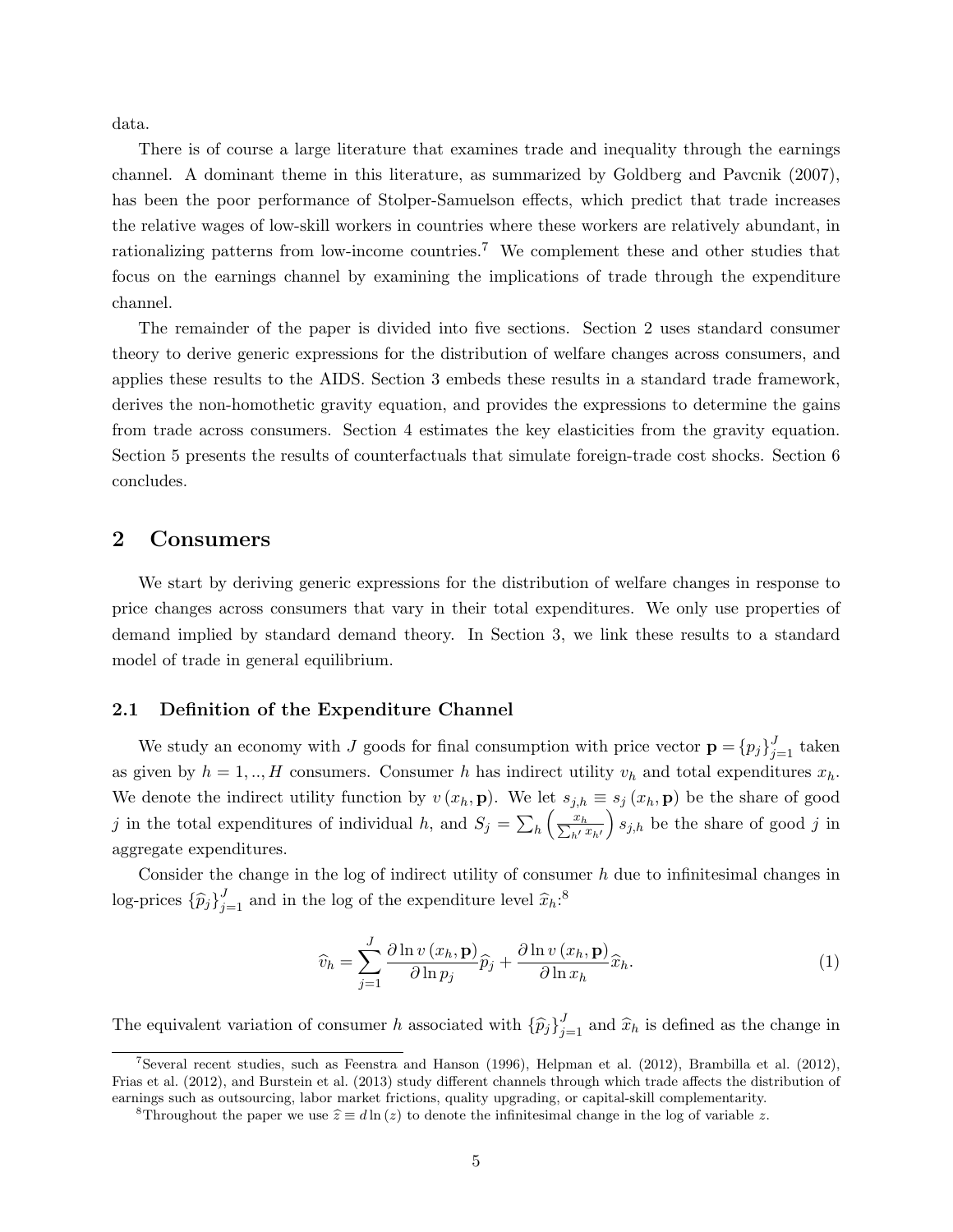data.

There is of course a large literature that examines trade and inequality through the earnings channel. A dominant theme in this literature, as summarized by Goldberg and Pavcnik (2007), has been the poor performance of Stolper-Samuelson effects, which predict that trade increases the relative wages of low-skill workers in countries where these workers are relatively abundant, in rationalizing patterns from low-income countries.<sup>7</sup> We complement these and other studies that focus on the earnings channel by examining the implications of trade through the expenditure channel.

The remainder of the paper is divided into five sections. Section 2 uses standard consumer theory to derive generic expressions for the distribution of welfare changes across consumers, and applies these results to the AIDS. Section 3 embeds these results in a standard trade framework, derives the non-homothetic gravity equation, and provides the expressions to determine the gains from trade across consumers. Section 4 estimates the key elasticities from the gravity equation. Section 5 presents the results of counterfactuals that simulate foreign-trade cost shocks. Section 6 concludes.

## 2 Consumers

We start by deriving generic expressions for the distribution of welfare changes in response to price changes across consumers that vary in their total expenditures. We only use properties of demand implied by standard demand theory. In Section 3, we link these results to a standard model of trade in general equilibrium.

#### 2.1 Definition of the Expenditure Channel

We study an economy with J goods for final consumption with price vector  $\mathbf{p} = \{p_j\}_{j=1}^J$  taken as given by  $h = 1, ..., H$  consumers. Consumer h has indirect utility  $v_h$  and total expenditures  $x_h$ . We denote the indirect utility function by  $v(x_h, \mathbf{p})$ . We let  $s_{j,h} \equiv s_j(x_h, \mathbf{p})$  be the share of good *j* in the total expenditures of individual *h*, and  $S_j = \sum_h \left( \frac{x_h}{\sum_{h'} x_{h'} k} \right)$  $s_{j,h}$  be the share of good j in aggregate expenditures.

Consider the change in the log of indirect utility of consumer  $h$  due to infinitesimal changes in log-prices  $\{\widehat{p}_j\}_{j=1}^J$  and in the log of the expenditure level  $\widehat{x}_h$ <sup>3</sup>.

$$
\widehat{v}_h = \sum_{j=1}^J \frac{\partial \ln v(x_h, \mathbf{p})}{\partial \ln p_j} \widehat{p}_j + \frac{\partial \ln v(x_h, \mathbf{p})}{\partial \ln x_h} \widehat{x}_h.
$$
\n(1)

The equivalent variation of consumer h associated with  $\{\hat{p}_j\}_{j=1}^J$  and  $\hat{x}_h$  is defined as the change in

<sup>&</sup>lt;sup>7</sup>Several recent studies, such as Feenstra and Hanson (1996), Helpman et al. (2012), Brambilla et al. (2012), Frias et al. (2012), and Burstein et al. (2013) study different channels through which trade affects the distribution of earnings such as outsourcing, labor market frictions, quality upgrading, or capital-skill complementarity.

<sup>&</sup>lt;sup>8</sup>Throughout the paper we use  $\hat{z} \equiv d \ln (z)$  to denote the infinitesimal change in the log of variable z.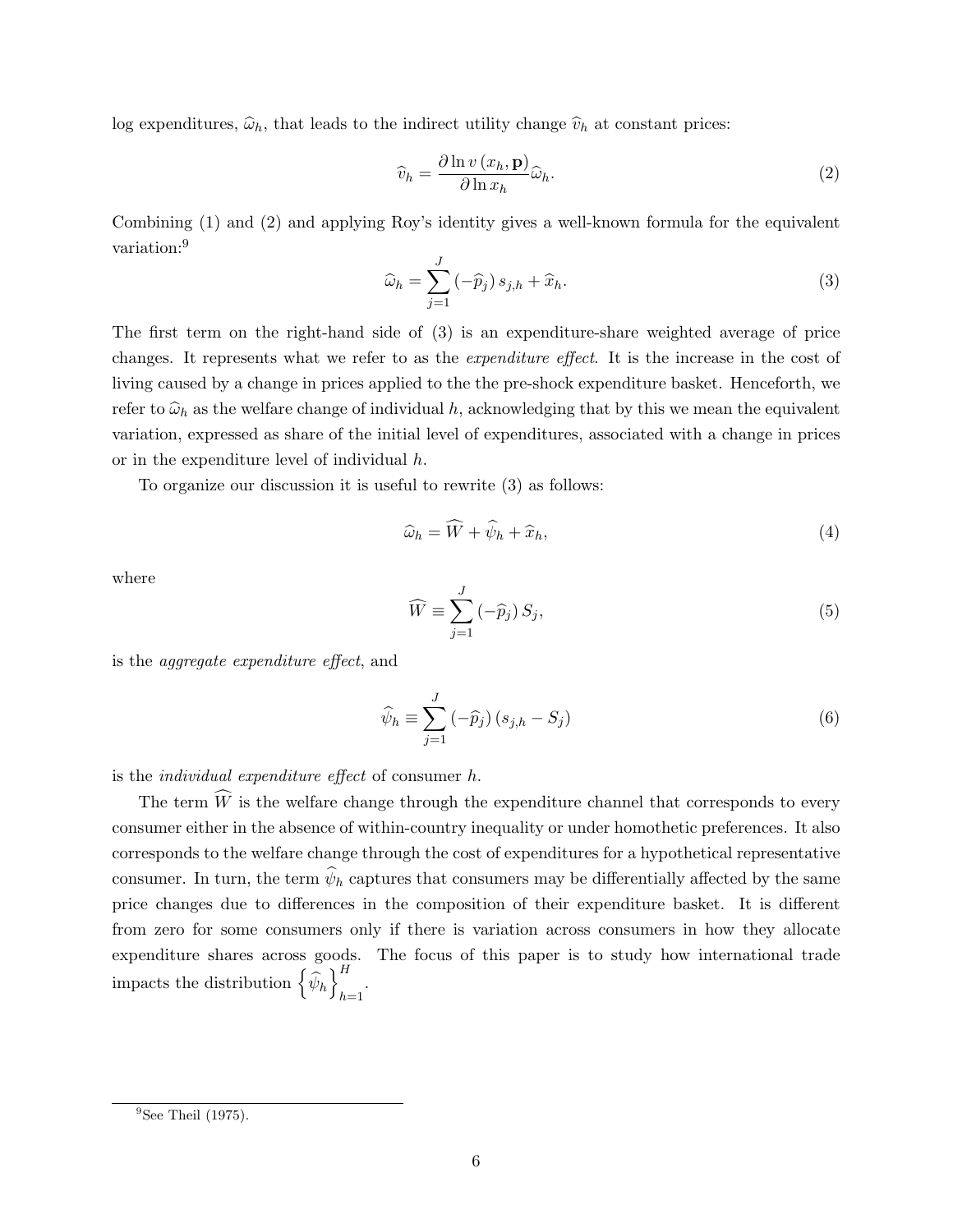log expenditures,  $\hat{\omega}_h$ , that leads to the indirect utility change  $\hat{v}_h$  at constant prices:

$$
\widehat{v}_h = \frac{\partial \ln v(x_h, \mathbf{p})}{\partial \ln x_h} \widehat{\omega}_h.
$$
\n(2)

Combining (1) and (2) and applying Roy's identity gives a well-known formula for the equivalent variation:<sup>9</sup>

$$
\widehat{\omega}_h = \sum_{j=1}^J \left(-\widehat{p}_j\right) s_{j,h} + \widehat{x}_h. \tag{3}
$$

The first term on the right-hand side of (3) is an expenditure-share weighted average of price changes. It represents what we refer to as the expenditure effect. It is the increase in the cost of living caused by a change in prices applied to the the pre-shock expenditure basket. Henceforth, we refer to  $\hat{\omega}_h$  as the welfare change of individual h, acknowledging that by this we mean the equivalent variation, expressed as share of the initial level of expenditures, associated with a change in prices or in the expenditure level of individual h.

To organize our discussion it is useful to rewrite (3) as follows:

$$
\widehat{\omega}_h = \widehat{W} + \widehat{\psi}_h + \widehat{x}_h, \tag{4}
$$

where

$$
\widehat{W} \equiv \sum_{j=1}^{J} \left(-\widehat{p}_j\right) S_j,\tag{5}
$$

is the aggregate expenditure effect, and

$$
\widehat{\psi}_h \equiv \sum_{j=1}^J \left(-\widehat{p}_j\right) \left(s_{j,h} - S_j\right) \tag{6}
$$

is the individual expenditure effect of consumer h.

The term  $\widehat{W}$  is the welfare change through the expenditure channel that corresponds to every consumer either in the absence of within-country inequality or under homothetic preferences. It also corresponds to the welfare change through the cost of expenditures for a hypothetical representative consumer. In turn, the term  $\psi_h$  captures that consumers may be differentially affected by the same price changes due to differences in the composition of their expenditure basket. It is different from zero for some consumers only if there is variation across consumers in how they allocate expenditure shares across goods. The focus of this paper is to study how international trade impacts the distribution  $\left\{\widehat{\psi}_h\right\}_{h=1}^H$  $_{h=1}$ 

 $<sup>9</sup>$ See Theil (1975).</sup>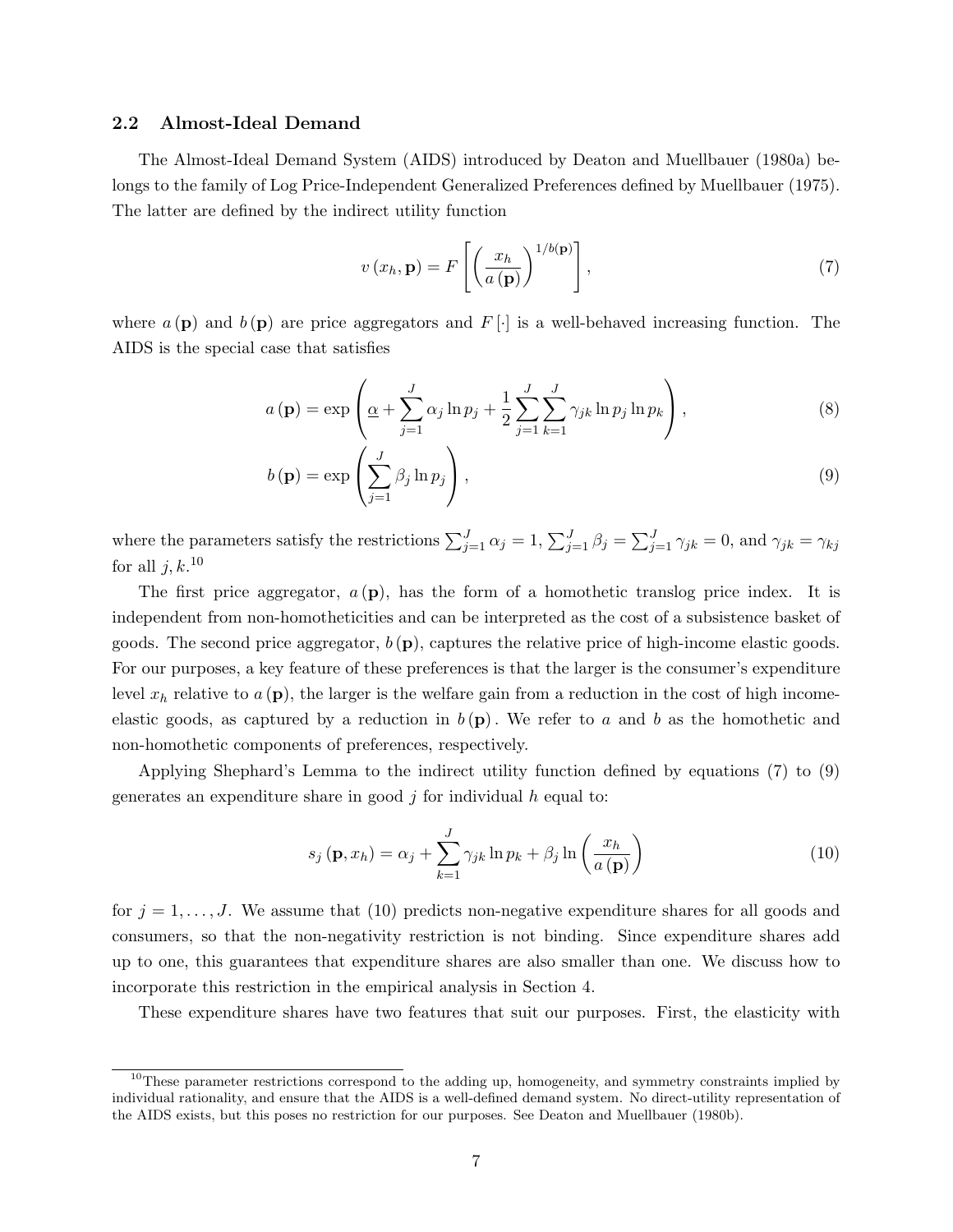#### 2.2 Almost-Ideal Demand

The Almost-Ideal Demand System (AIDS) introduced by Deaton and Muellbauer (1980a) belongs to the family of Log Price-Independent Generalized Preferences defined by Muellbauer (1975). The latter are defined by the indirect utility function

$$
v(x_h, \mathbf{p}) = F\left[\left(\frac{x_h}{a(\mathbf{p})}\right)^{1/b(\mathbf{p})}\right],\tag{7}
$$

where  $a(\mathbf{p})$  and  $b(\mathbf{p})$  are price aggregators and  $F[\cdot]$  is a well-behaved increasing function. The AIDS is the special case that satisfies

$$
a(\mathbf{p}) = \exp\left(\underline{\alpha} + \sum_{j=1}^{J} \alpha_j \ln p_j + \frac{1}{2} \sum_{j=1}^{J} \sum_{k=1}^{J} \gamma_{jk} \ln p_j \ln p_k\right),\tag{8}
$$

$$
b(\mathbf{p}) = \exp\left(\sum_{j=1}^{J} \beta_j \ln p_j\right),\tag{9}
$$

where the parameters satisfy the restrictions  $\sum_{j=1}^{J} \alpha_j = 1$ ,  $\sum_{j=1}^{J} \beta_j = \sum_{j=1}^{J} \gamma_{jk} = 0$ , and  $\gamma_{jk} = \gamma_{kj}$ for all  $j, k$ .<sup>10</sup>

The first price aggregator,  $a(p)$ , has the form of a homothetic translog price index. It is independent from non-homotheticities and can be interpreted as the cost of a subsistence basket of goods. The second price aggregator,  $b(\mathbf{p})$ , captures the relative price of high-income elastic goods. For our purposes, a key feature of these preferences is that the larger is the consumer's expenditure level  $x_h$  relative to  $a(\mathbf{p})$ , the larger is the welfare gain from a reduction in the cost of high incomeelastic goods, as captured by a reduction in  $b(p)$ . We refer to a and b as the homothetic and non-homothetic components of preferences, respectively.

Applying Shephard's Lemma to the indirect utility function defined by equations (7) to (9) generates an expenditure share in good  $j$  for individual  $h$  equal to:

$$
s_j(\mathbf{p}, x_h) = \alpha_j + \sum_{k=1}^J \gamma_{jk} \ln p_k + \beta_j \ln \left( \frac{x_h}{a(\mathbf{p})} \right)
$$
(10)

for  $j = 1, \ldots, J$ . We assume that (10) predicts non-negative expenditure shares for all goods and consumers, so that the non-negativity restriction is not binding. Since expenditure shares add up to one, this guarantees that expenditure shares are also smaller than one. We discuss how to incorporate this restriction in the empirical analysis in Section 4.

These expenditure shares have two features that suit our purposes. First, the elasticity with

 $10$ These parameter restrictions correspond to the adding up, homogeneity, and symmetry constraints implied by individual rationality, and ensure that the AIDS is a well-defined demand system. No direct-utility representation of the AIDS exists, but this poses no restriction for our purposes. See Deaton and Muellbauer (1980b).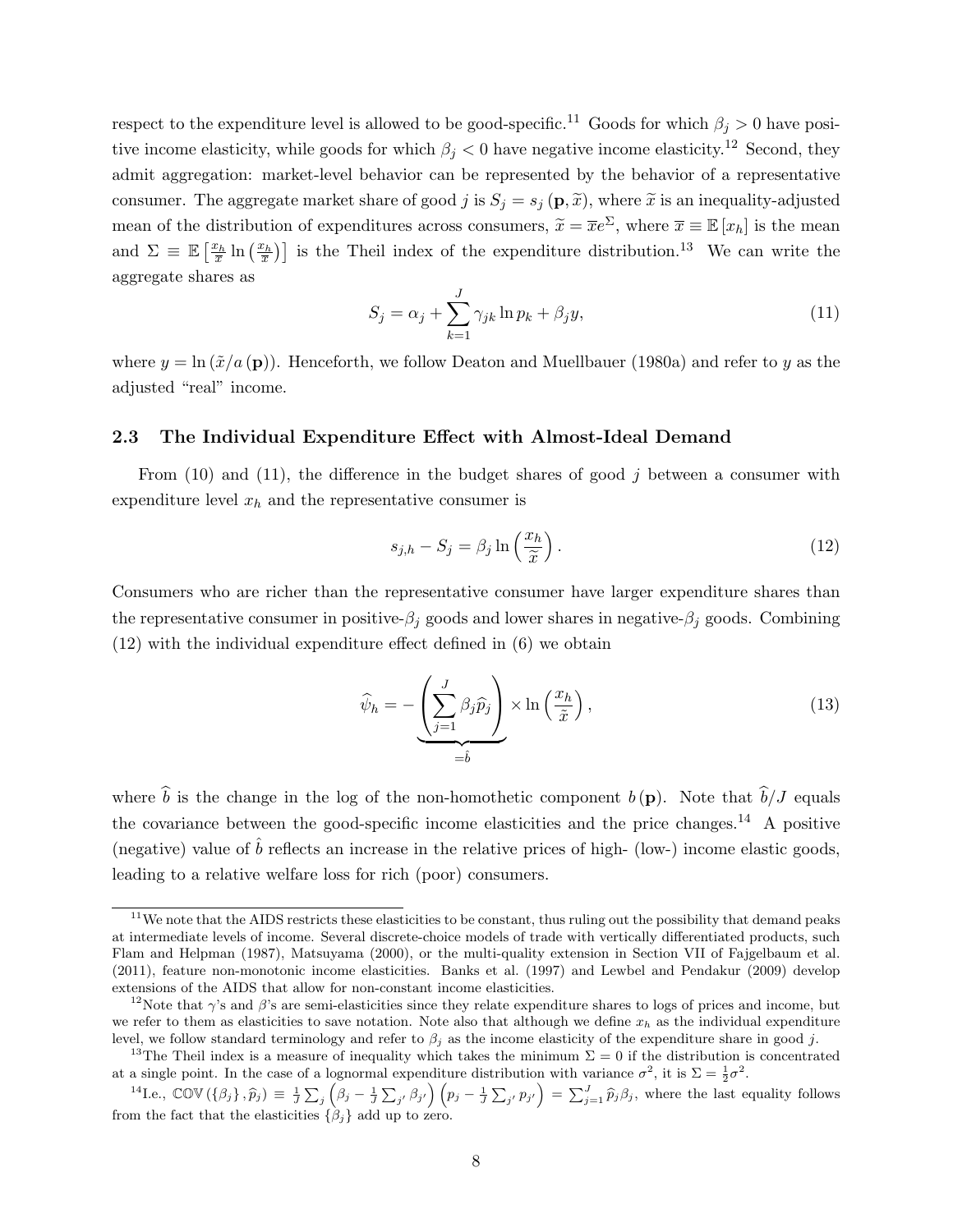respect to the expenditure level is allowed to be good-specific.<sup>11</sup> Goods for which  $\beta_i > 0$  have positive income elasticity, while goods for which  $\beta_j < 0$  have negative income elasticity.<sup>12</sup> Second, they admit aggregation: market-level behavior can be represented by the behavior of a representative consumer. The aggregate market share of good j is  $S_j = s_j(\mathbf{p}, \tilde{x})$ , where  $\tilde{x}$  is an inequality-adjusted mean of the distribution of expenditures across consumers,  $\tilde{x} = \overline{x}e^{\Sigma}$ , where  $\overline{x} = \mathbb{E}[x_h]$  is the mean and  $\Sigma \equiv \mathbb{E}\left[\frac{x_h}{\bar{x}}\ln\left(\frac{x_h}{\bar{x}}\right)\right]$  is the Theil index of the expenditure distribution.<sup>13</sup> We can write the aggregate shares as

$$
S_j = \alpha_j + \sum_{k=1}^{J} \gamma_{jk} \ln p_k + \beta_j y,\tag{11}
$$

where  $y = \ln (\tilde{x}/a(\mathbf{p}))$ . Henceforth, we follow Deaton and Muellbauer (1980a) and refer to y as the adjusted "real" income.

#### 2.3 The Individual Expenditure Effect with Almost-Ideal Demand

From  $(10)$  and  $(11)$ , the difference in the budget shares of good j between a consumer with expenditure level  $x_h$  and the representative consumer is

$$
s_{j,h} - S_j = \beta_j \ln\left(\frac{x_h}{\tilde{x}}\right). \tag{12}
$$

Consumers who are richer than the representative consumer have larger expenditure shares than the representative consumer in positive- $\beta_i$  goods and lower shares in negative- $\beta_i$  goods. Combining (12) with the individual expenditure effect defined in (6) we obtain

$$
\widehat{\psi}_h = -\underbrace{\left(\sum_{j=1}^J \beta_j \widehat{p}_j\right)}_{=\widehat{b}} \times \ln\left(\frac{x_h}{\widetilde{x}}\right),\tag{13}
$$

where  $\hat{b}$  is the change in the log of the non-homothetic component  $b(\mathbf{p})$ . Note that  $\hat{b}/J$  equals the covariance between the good-specific income elasticities and the price changes.<sup>14</sup> A positive (negative) value of  $\hat{b}$  reflects an increase in the relative prices of high- (low-) income elastic goods, leading to a relative welfare loss for rich (poor) consumers.

 $11$ We note that the AIDS restricts these elasticities to be constant, thus ruling out the possibility that demand peaks at intermediate levels of income. Several discrete-choice models of trade with vertically differentiated products, such Flam and Helpman (1987), Matsuyama (2000), or the multi-quality extension in Section VII of Fajgelbaum et al. (2011), feature non-monotonic income elasticities. Banks et al. (1997) and Lewbel and Pendakur (2009) develop extensions of the AIDS that allow for non-constant income elasticities.

<sup>&</sup>lt;sup>12</sup>Note that  $\gamma$ 's and  $\beta$ 's are semi-elasticities since they relate expenditure shares to logs of prices and income, but we refer to them as elasticities to save notation. Note also that although we define  $x_h$  as the individual expenditure level, we follow standard terminology and refer to  $\beta_j$  as the income elasticity of the expenditure share in good j.

<sup>&</sup>lt;sup>13</sup>The Theil index is a measure of inequality which takes the minimum  $\Sigma = 0$  if the distribution is concentrated at a single point. In the case of a lognormal expenditure distribution with variance  $\sigma^2$ , it is  $\Sigma = \frac{1}{2}\sigma^2$ .

<sup>&</sup>lt;sup>14</sup>I.e.,  $\mathbb{C}\mathbb{O}\mathbb{V}(\{\beta_j\}, \hat{p}_j) \equiv \frac{1}{J}\sum_j (\beta_j - \frac{1}{J}\sum_{j'} \beta_{j'}) (p_j - \frac{1}{J}\sum_{j'} p_{j'}) = \sum_{j=1}^J \hat{p}_j \beta_j$ , where the last equality follows from the fact that the elasticities  $\{\beta_i\}$  add up to zero.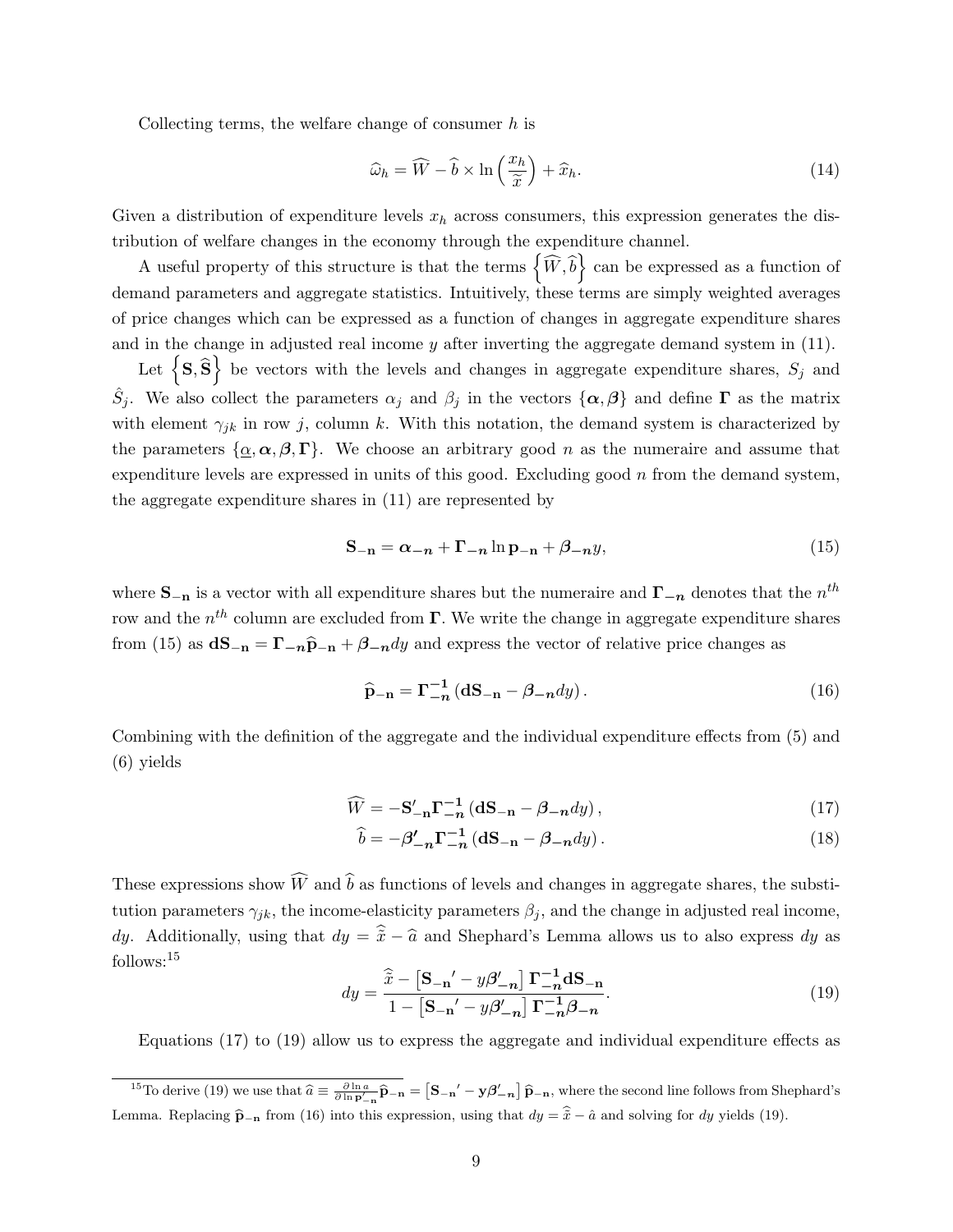Collecting terms, the welfare change of consumer  $h$  is

$$
\widehat{\omega}_h = \widehat{W} - \widehat{b} \times \ln\left(\frac{x_h}{\widetilde{x}}\right) + \widehat{x}_h. \tag{14}
$$

Given a distribution of expenditure levels  $x_h$  across consumers, this expression generates the distribution of welfare changes in the economy through the expenditure channel.

A useful property of this structure is that the terms  $\left\{\widehat{W}, \widehat{b}\right\}$  can be expressed as a function of demand parameters and aggregate statistics. Intuitively, these terms are simply weighted averages of price changes which can be expressed as a function of changes in aggregate expenditure shares and in the change in adjusted real income  $y$  after inverting the aggregate demand system in  $(11)$ .

Let  $\left\{S, \widehat{S}\right\}$  be vectors with the levels and changes in aggregate expenditure shares,  $S_j$  and  $\hat{S}_j$ . We also collect the parameters  $\alpha_j$  and  $\beta_j$  in the vectors  $\{\alpha,\beta\}$  and define  $\Gamma$  as the matrix with element  $\gamma_{jk}$  in row j, column k. With this notation, the demand system is characterized by the parameters  $\{\underline{\alpha}, \alpha, \beta, \Gamma\}$ . We choose an arbitrary good n as the numeraire and assume that expenditure levels are expressed in units of this good. Excluding good  $n$  from the demand system, the aggregate expenditure shares in (11) are represented by

$$
\mathbf{S}_{-\mathbf{n}} = \alpha_{-\mathbf{n}} + \mathbf{\Gamma}_{-\mathbf{n}} \ln \mathbf{p}_{-\mathbf{n}} + \beta_{-\mathbf{n}} y,\tag{15}
$$

where  $S_{-n}$  is a vector with all expenditure shares but the numeraire and  $\Gamma_{-n}$  denotes that the  $n^{th}$ row and the  $n^{th}$  column are excluded from  $\Gamma$ . We write the change in aggregate expenditure shares from (15) as  $dS_{-n} = \Gamma_{-n}\hat{p}_{-n} + \beta_{-n}dy$  and express the vector of relative price changes as

$$
\widehat{\mathbf{p}}_{-\mathbf{n}} = \Gamma_{-\mathbf{n}}^{-1} \left( \mathbf{d} \mathbf{S}_{-\mathbf{n}} - \beta_{-\mathbf{n}} dy \right). \tag{16}
$$

Combining with the definition of the aggregate and the individual expenditure effects from (5) and (6) yields

$$
\widehat{W} = -\mathbf{S}_{-\mathbf{n}}'\mathbf{\Gamma}_{-\mathbf{n}}^{-1} \left( \mathbf{dS}_{-\mathbf{n}} - \beta_{-\mathbf{n}}dy \right),\tag{17}
$$

$$
\widehat{b} = -\beta'_{-n} \Gamma_{-n}^{-1} \left( d\mathbf{S}_{-n} - \beta_{-n} dy \right). \tag{18}
$$

These expressions show  $\widehat{W}$  and  $\widehat{b}$  as functions of levels and changes in aggregate shares, the substitution parameters  $\gamma_{jk}$ , the income-elasticity parameters  $\beta_j$ , and the change in adjusted real income, dy. Additionally, using that  $dy = \hat{\tilde{x}} - \hat{a}$  and Shephard's Lemma allows us to also express dy as follows:<sup>15</sup>

$$
dy = \frac{\hat{\tilde{x}} - \left[\mathbf{S}_{-\mathbf{n}}' - y\boldsymbol{\beta}_{-\mathbf{n}}'\right]\Gamma_{-\mathbf{n}}^{-1}\mathbf{dS}_{-\mathbf{n}}}{1 - \left[\mathbf{S}_{-\mathbf{n}}' - y\boldsymbol{\beta}_{-\mathbf{n}}'\right]\Gamma_{-\mathbf{n}}^{-1}\boldsymbol{\beta}_{-\mathbf{n}}}. \tag{19}
$$

Equations (17) to (19) allow us to express the aggregate and individual expenditure effects as

<sup>&</sup>lt;sup>15</sup>To derive (19) we use that  $\hat{a} \equiv \frac{\partial \ln a}{\partial \ln \mathbf{p'}_{-n}} \hat{\mathbf{p}}_{-n} = \left[\mathbf{S}_{-n}' - \mathbf{y}\beta'_{-n}\right] \hat{\mathbf{p}}_{-n}$ , where the second line follows from Shephard's Lemma. Replacing  $\hat{\mathbf{p}}_{-\mathbf{n}}$  from (16) into this expression, using that  $dy = \hat{\tilde{x}} - \hat{a}$  and solving for dy yields (19).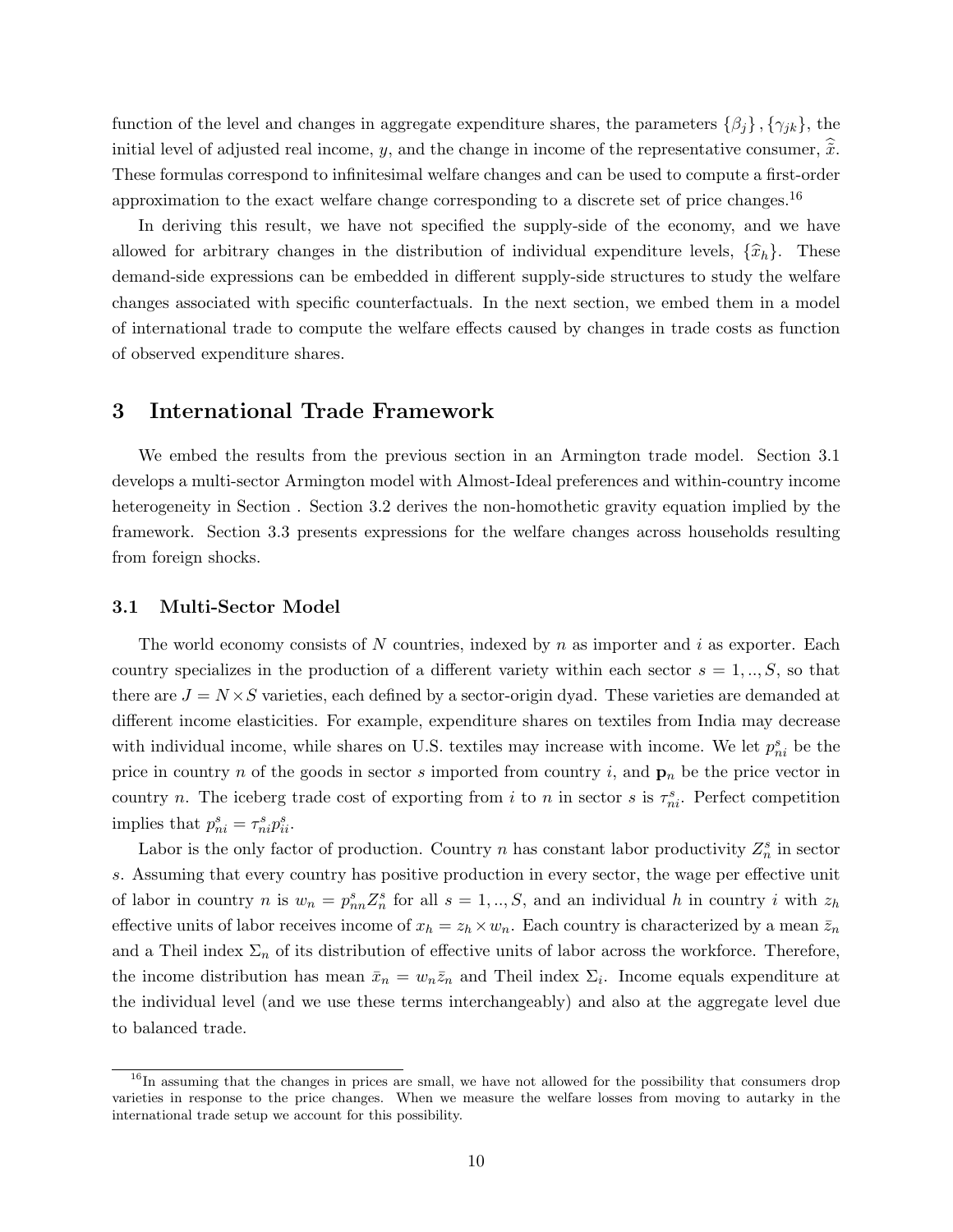function of the level and changes in aggregate expenditure shares, the parameters  $\{\beta_i\}, \{\gamma_{jk}\}\$ , the initial level of adjusted real income, y, and the change in income of the representative consumer,  $\tilde{x}$ . These formulas correspond to infinitesimal welfare changes and can be used to compute a first-order approximation to the exact welfare change corresponding to a discrete set of price changes.<sup>16</sup>

In deriving this result, we have not specified the supply-side of the economy, and we have allowed for arbitrary changes in the distribution of individual expenditure levels,  $\{\hat{x}_h\}$ . These demand-side expressions can be embedded in different supply-side structures to study the welfare changes associated with specific counterfactuals. In the next section, we embed them in a model of international trade to compute the welfare effects caused by changes in trade costs as function of observed expenditure shares.

## 3 International Trade Framework

We embed the results from the previous section in an Armington trade model. Section 3.1 develops a multi-sector Armington model with Almost-Ideal preferences and within-country income heterogeneity in Section . Section 3.2 derives the non-homothetic gravity equation implied by the framework. Section 3.3 presents expressions for the welfare changes across households resulting from foreign shocks.

#### 3.1 Multi-Sector Model

The world economy consists of N countries, indexed by n as importer and i as exporter. Each country specializes in the production of a different variety within each sector  $s = 1, ..., S$ , so that there are  $J = N \times S$  varieties, each defined by a sector-origin dyad. These varieties are demanded at different income elasticities. For example, expenditure shares on textiles from India may decrease with individual income, while shares on U.S. textiles may increase with income. We let  $p_{ni}^s$  be the price in country n of the goods in sector s imported from country i, and  $\mathbf{p}_n$  be the price vector in country n. The iceberg trade cost of exporting from i to n in sector s is  $\tau_{ni}^s$ . Perfect competition implies that  $p_{ni}^s = \tau_{ni}^s p_{ii}^s$ .

Labor is the only factor of production. Country n has constant labor productivity  $Z_n^s$  in sector s. Assuming that every country has positive production in every sector, the wage per effective unit of labor in country n is  $w_n = p_{nn}^s Z_n^s$  for all  $s = 1, ..., S$ , and an individual h in country i with  $z_h$ effective units of labor receives income of  $x_h = z_h \times w_n$ . Each country is characterized by a mean  $\bar{z}_n$ and a Theil index  $\Sigma_n$  of its distribution of effective units of labor across the workforce. Therefore, the income distribution has mean  $\bar{x}_n = w_n \bar{z}_n$  and Theil index  $\Sigma_i$ . Income equals expenditure at the individual level (and we use these terms interchangeably) and also at the aggregate level due to balanced trade.

<sup>&</sup>lt;sup>16</sup>In assuming that the changes in prices are small, we have not allowed for the possibility that consumers drop varieties in response to the price changes. When we measure the welfare losses from moving to autarky in the international trade setup we account for this possibility.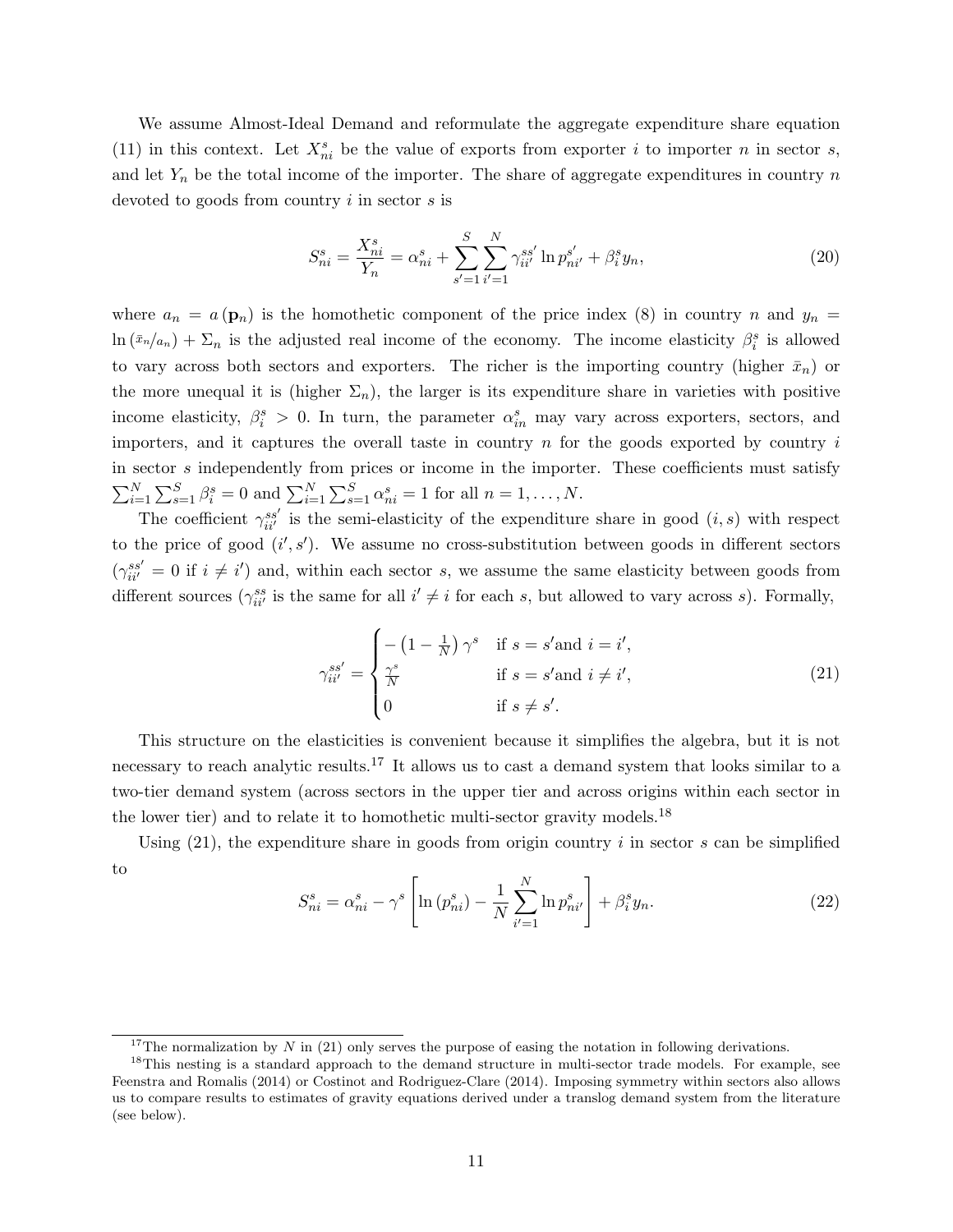We assume Almost-Ideal Demand and reformulate the aggregate expenditure share equation (11) in this context. Let  $X_{ni}^s$  be the value of exports from exporter i to importer n in sector s, and let  $Y_n$  be the total income of the importer. The share of aggregate expenditures in country n devoted to goods from country i in sector s is

$$
S_{ni}^{s} = \frac{X_{ni}^{s}}{Y_n} = \alpha_{ni}^{s} + \sum_{s'=1}^{S} \sum_{i'=1}^{N} \gamma_{ii'}^{ss'} \ln p_{ni'}^{s'} + \beta_{i}^{s} y_{n},
$$
\n(20)

where  $a_n = a(\mathbf{p}_n)$  is the homothetic component of the price index (8) in country n and  $y_n =$  $\ln(\bar{x}_n/a_n) + \sum_n$  is the adjusted real income of the economy. The income elasticity  $\beta_i^s$  is allowed to vary across both sectors and exporters. The richer is the importing country (higher  $\bar{x}_n$ ) or the more unequal it is (higher  $\Sigma_n$ ), the larger is its expenditure share in varieties with positive income elasticity,  $\beta_i^s > 0$ . In turn, the parameter  $\alpha_{in}^s$  may vary across exporters, sectors, and importers, and it captures the overall taste in country  $n$  for the goods exported by country  $i$ in sector s independently from prices or income in the importer. These coefficients must satisfy  $\sum_{i=1}^{N} \sum_{s=1}^{S} \beta_i^s = 0$  and  $\sum_{i=1}^{N} \sum_{s=1}^{S} \alpha_{ni}^s = 1$  for all  $n = 1, ..., N$ .

The coefficient  $\gamma_{ii'}^{ss'}$  is the semi-elasticity of the expenditure share in good  $(i, s)$  with respect to the price of good  $(i', s')$ . We assume no cross-substitution between goods in different sectors  $(\gamma_{ii'}^{ss'}=0 \text{ if } i \neq i')$  and, within each sector s, we assume the same elasticity between goods from different sources  $(\gamma_{ii'}^{ss}$  is the same for all  $i' \neq i$  for each s, but allowed to vary across s). Formally,

$$
\gamma_{ii'}^{ss'} = \begin{cases}\n-(1 - \frac{1}{N})\,\gamma^s & \text{if } s = s' \text{and } i = i', \\
\frac{\gamma^s}{N} & \text{if } s = s' \text{and } i \neq i', \\
0 & \text{if } s \neq s'.\n\end{cases} \tag{21}
$$

This structure on the elasticities is convenient because it simplifies the algebra, but it is not necessary to reach analytic results.<sup>17</sup> It allows us to cast a demand system that looks similar to a two-tier demand system (across sectors in the upper tier and across origins within each sector in the lower tier) and to relate it to homothetic multi-sector gravity models.<sup>18</sup>

Using  $(21)$ , the expenditure share in goods from origin country i in sector s can be simplified to

$$
S_{ni}^{s} = \alpha_{ni}^{s} - \gamma^{s} \left[ \ln \left( p_{ni}^{s} \right) - \frac{1}{N} \sum_{i'=1}^{N} \ln p_{ni'}^{s} \right] + \beta_{i}^{s} y_{n}.
$$
 (22)

<sup>&</sup>lt;sup>17</sup>The normalization by N in (21) only serves the purpose of easing the notation in following derivations.

<sup>&</sup>lt;sup>18</sup>This nesting is a standard approach to the demand structure in multi-sector trade models. For example, see Feenstra and Romalis (2014) or Costinot and Rodriguez-Clare (2014). Imposing symmetry within sectors also allows us to compare results to estimates of gravity equations derived under a translog demand system from the literature (see below).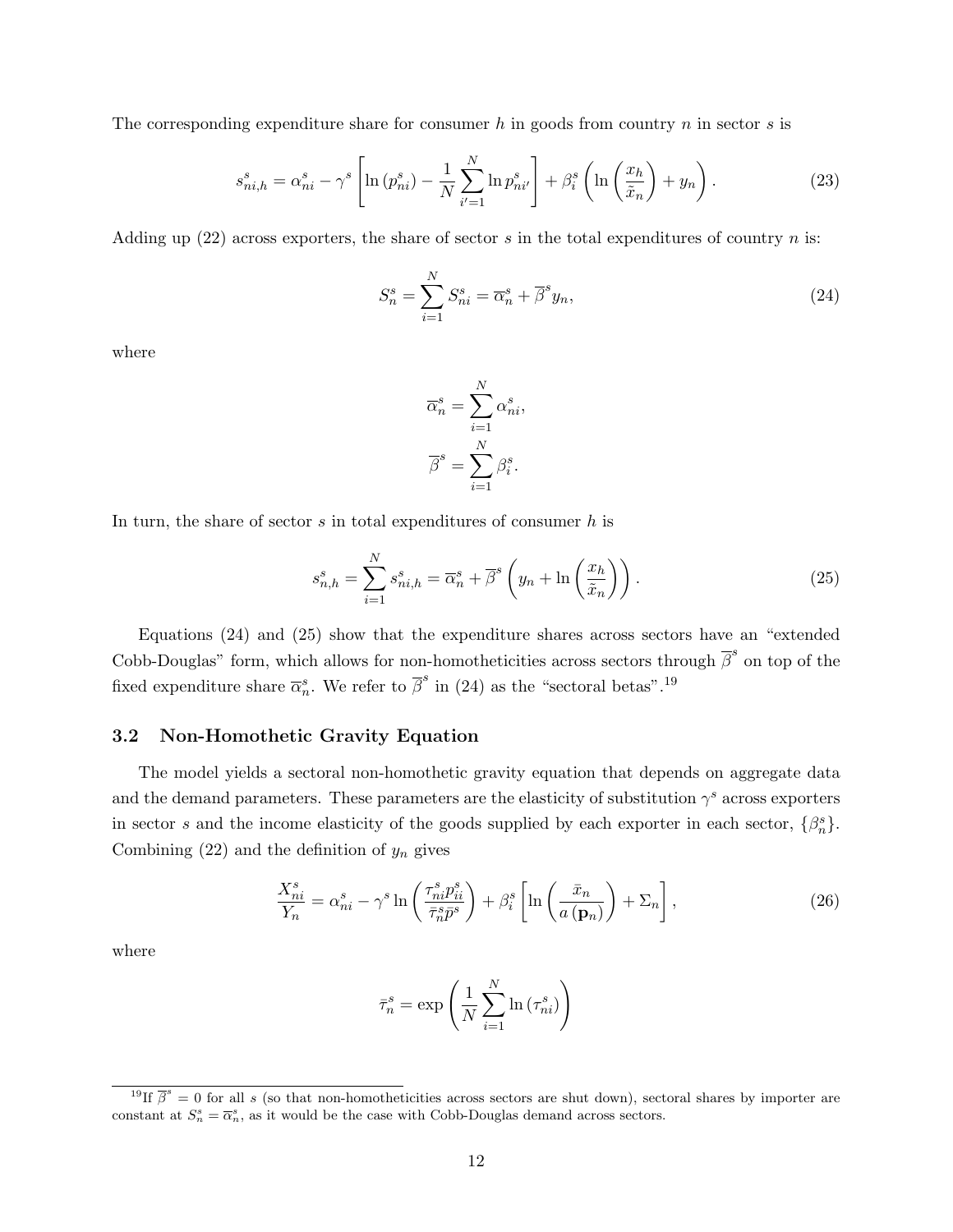The corresponding expenditure share for consumer h in goods from country  $n$  in sector  $s$  is

$$
s_{ni,h}^s = \alpha_{ni}^s - \gamma^s \left[ \ln \left( p_{ni}^s \right) - \frac{1}{N} \sum_{i'=1}^N \ln p_{ni'}^s \right] + \beta_i^s \left( \ln \left( \frac{x_h}{\tilde{x}_n} \right) + y_n \right). \tag{23}
$$

Adding up  $(22)$  across exporters, the share of sector s in the total expenditures of country n is:

$$
S_n^s = \sum_{i=1}^N S_{ni}^s = \overline{\alpha}_n^s + \overline{\beta}^s y_n,
$$
\n(24)

where

$$
\overline{\alpha}_n^s = \sum_{i=1}^N \alpha_{ni}^s,
$$

$$
\overline{\beta}^s = \sum_{i=1}^N \beta_i^s.
$$

In turn, the share of sector  $s$  in total expenditures of consumer  $h$  is

$$
s_{n,h}^s = \sum_{i=1}^N s_{ni,h}^s = \overline{\alpha}_n^s + \overline{\beta}^s \left( y_n + \ln \left( \frac{x_h}{\tilde{x}_n} \right) \right). \tag{25}
$$

Equations (24) and (25) show that the expenditure shares across sectors have an "extended Cobb-Douglas" form, which allows for non-homotheticities across sectors through  $\bar{\beta}^s$  on top of the fixed expenditure share  $\overline{\alpha}_n^s$ . We refer to  $\overline{\beta}^s$  in (24) as the "sectoral betas".<sup>19</sup>

#### 3.2 Non-Homothetic Gravity Equation

The model yields a sectoral non-homothetic gravity equation that depends on aggregate data and the demand parameters. These parameters are the elasticity of substitution  $\gamma^s$  across exporters in sector s and the income elasticity of the goods supplied by each exporter in each sector,  $\{\beta_n^s\}$ . Combining  $(22)$  and the definition of  $y_n$  gives

$$
\frac{X_{ni}^s}{Y_n} = \alpha_{ni}^s - \gamma^s \ln\left(\frac{\tau_{ni}^s p_{ii}^s}{\bar{\tau}_{n}^s \bar{p}^s}\right) + \beta_i^s \left[\ln\left(\frac{\bar{x}_n}{a\left(\mathbf{p}_n\right)}\right) + \Sigma_n\right],\tag{26}
$$

where

$$
\bar{\tau}_n^s = \exp\left(\frac{1}{N} \sum_{i=1}^N \ln\left(\tau_{ni}^s\right)\right)
$$

<sup>&</sup>lt;sup>19</sup>If  $\bar{\beta}^s = 0$  for all s (so that non-homotheticities across sectors are shut down), sectoral shares by importer are constant at  $S_n^s = \overline{\alpha}_n^s$ , as it would be the case with Cobb-Douglas demand across sectors.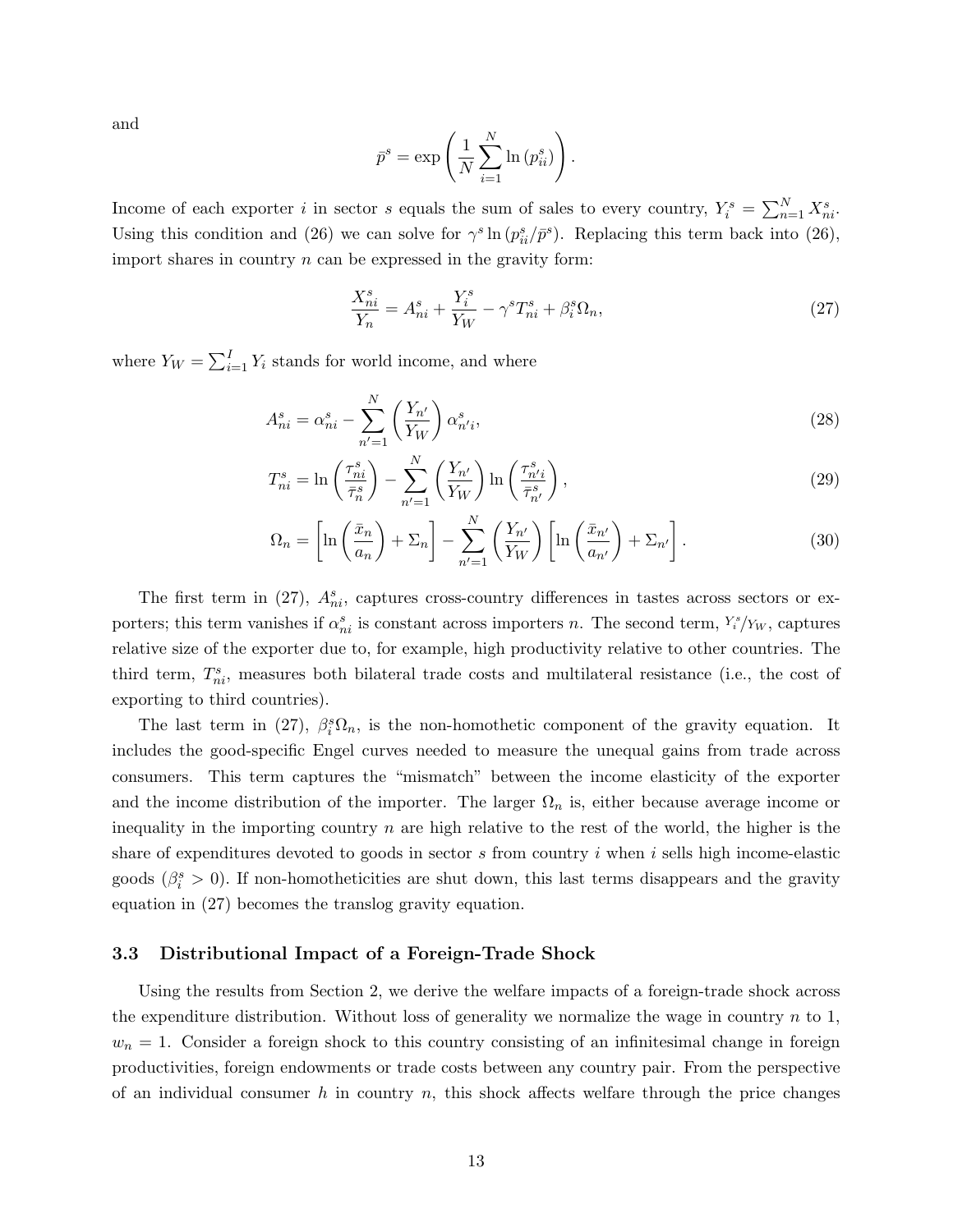and

$$
\bar{p}^s = \exp\left(\frac{1}{N} \sum_{i=1}^N \ln\left(p_{ii}^s\right)\right).
$$

Income of each exporter i in sector s equals the sum of sales to every country,  $Y_i^s = \sum_{n=1}^{N} X_{ni}^s$ . Using this condition and (26) we can solve for  $\gamma^s \ln (p_{ii}^s/\bar{p}^s)$ . Replacing this term back into (26), import shares in country  $n$  can be expressed in the gravity form:

$$
\frac{X_{ni}^s}{Y_n} = A_{ni}^s + \frac{Y_i^s}{Y_W} - \gamma^s T_{ni}^s + \beta_i^s \Omega_n,\tag{27}
$$

where  $Y_W = \sum_{i=1}^{I} Y_i$  stands for world income, and where

$$
A_{ni}^s = \alpha_{ni}^s - \sum_{n'=1}^N \left(\frac{Y_{n'}}{Y_W}\right) \alpha_{n'i}^s,
$$
\n(28)

$$
T_{ni}^s = \ln\left(\frac{\tau_{ni}^s}{\bar{\tau}_n^s}\right) - \sum_{n'=1}^N \left(\frac{Y_{n'}}{Y_W}\right) \ln\left(\frac{\tau_{n'i}^s}{\bar{\tau}_{n'}^s}\right),\tag{29}
$$

$$
\Omega_n = \left[ \ln \left( \frac{\bar{x}_n}{a_n} \right) + \Sigma_n \right] - \sum_{n'=1}^N \left( \frac{Y_{n'}}{Y_W} \right) \left[ \ln \left( \frac{\bar{x}_{n'}}{a_{n'}} \right) + \Sigma_{n'} \right]. \tag{30}
$$

The first term in (27),  $A_{ni}^s$ , captures cross-country differences in tastes across sectors or exporters; this term vanishes if  $\alpha_{ni}^s$  is constant across importers n. The second term,  $Y_i^s/\gamma_w$ , captures relative size of the exporter due to, for example, high productivity relative to other countries. The third term,  $T_{ni}^s$ , measures both bilateral trade costs and multilateral resistance (i.e., the cost of exporting to third countries).

The last term in (27),  $\beta_i^s \Omega_n$ , is the non-homothetic component of the gravity equation. It includes the good-specific Engel curves needed to measure the unequal gains from trade across consumers. This term captures the "mismatch" between the income elasticity of the exporter and the income distribution of the importer. The larger  $\Omega_n$  is, either because average income or inequality in the importing country  $n$  are high relative to the rest of the world, the higher is the share of expenditures devoted to goods in sector  $s$  from country  $i$  when  $i$  sells high income-elastic goods ( $\beta_i^s > 0$ ). If non-homotheticities are shut down, this last terms disappears and the gravity equation in (27) becomes the translog gravity equation.

#### 3.3 Distributional Impact of a Foreign-Trade Shock

Using the results from Section 2, we derive the welfare impacts of a foreign-trade shock across the expenditure distribution. Without loss of generality we normalize the wage in country  $n$  to 1,  $w_n = 1$ . Consider a foreign shock to this country consisting of an infinitesimal change in foreign productivities, foreign endowments or trade costs between any country pair. From the perspective of an individual consumer h in country n, this shock affects welfare through the price changes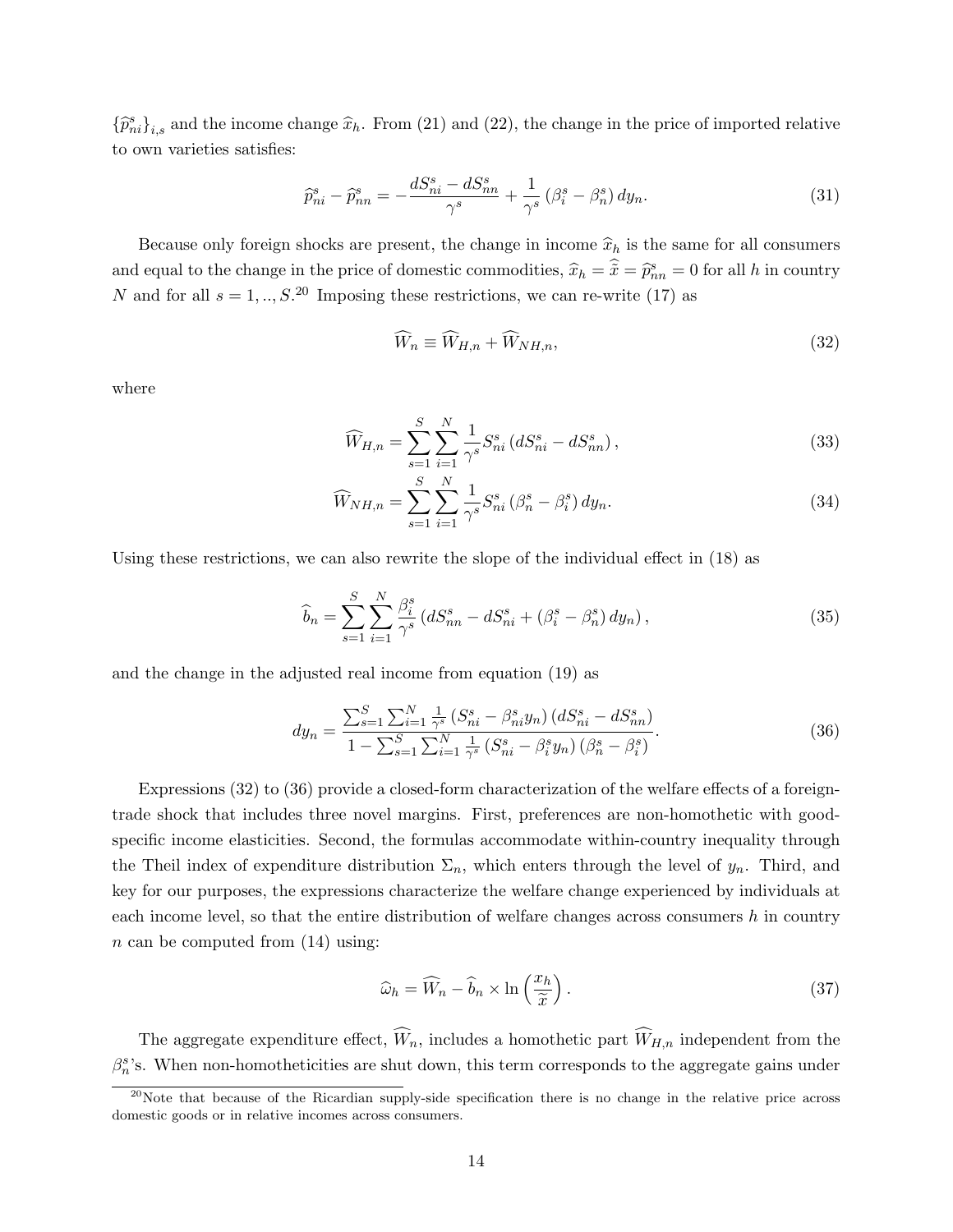${\{\widehat{p}_{ni}^s\}}_{i,s}$  and the income change  $\widehat{x}_h$ . From (21) and (22), the change in the price of imported relative to own varieties satisfies:

$$
\widehat{p}_{ni}^s - \widehat{p}_{nn}^s = -\frac{dS_{ni}^s - dS_{nn}^s}{\gamma^s} + \frac{1}{\gamma^s} \left(\beta_i^s - \beta_n^s\right) dy_n. \tag{31}
$$

Because only foreign shocks are present, the change in income  $\hat{x}_h$  is the same for all consumers and equal to the change in the price of domestic commodities,  $\hat{x}_h = \hat{x} = \hat{p}_{nn}^s = 0$  for all h in country N and for all  $s = 1, ..., S$ <sup>20</sup> Imposing these restrictions, we can re-write (17) as

$$
\widehat{W}_n \equiv \widehat{W}_{H,n} + \widehat{W}_{NH,n},\tag{32}
$$

where

$$
\widehat{W}_{H,n} = \sum_{s=1}^{S} \sum_{i=1}^{N} \frac{1}{\gamma^s} S_{ni}^s \left( d S_{ni}^s - d S_{nn}^s \right),\tag{33}
$$

$$
\widehat{W}_{NH,n} = \sum_{s=1}^{S} \sum_{i=1}^{N} \frac{1}{\gamma^s} S_{ni}^s \left(\beta_n^s - \beta_i^s\right) dy_n.
$$
\n(34)

Using these restrictions, we can also rewrite the slope of the individual effect in (18) as

$$
\widehat{b}_n = \sum_{s=1}^{S} \sum_{i=1}^{N} \frac{\beta_i^s}{\gamma^s} \left( dS_{nn}^s - dS_{ni}^s + (\beta_i^s - \beta_n^s) \, dy_n \right),\tag{35}
$$

and the change in the adjusted real income from equation (19) as

$$
dy_n = \frac{\sum_{s=1}^{S} \sum_{i=1}^{N} \frac{1}{\gamma^s} \left( S_{ni}^s - \beta_{ni}^s y_n \right) \left( d S_{ni}^s - d S_{nn}^s \right)}{1 - \sum_{s=1}^{S} \sum_{i=1}^{N} \frac{1}{\gamma^s} \left( S_{ni}^s - \beta_i^s y_n \right) \left( \beta_n^s - \beta_i^s \right)}.
$$
(36)

Expressions (32) to (36) provide a closed-form characterization of the welfare effects of a foreigntrade shock that includes three novel margins. First, preferences are non-homothetic with goodspecific income elasticities. Second, the formulas accommodate within-country inequality through the Theil index of expenditure distribution  $\Sigma_n$ , which enters through the level of  $y_n$ . Third, and key for our purposes, the expressions characterize the welfare change experienced by individuals at each income level, so that the entire distribution of welfare changes across consumers  $h$  in country  $n$  can be computed from  $(14)$  using:

$$
\widehat{\omega}_h = \widehat{W}_n - \widehat{b}_n \times \ln\left(\frac{x_h}{\widetilde{x}}\right). \tag{37}
$$

The aggregate expenditure effect,  $\widehat{W}_n$ , includes a homothetic part  $\widehat{W}_{H,n}$  independent from the  $\beta_n^s$ 's. When non-homotheticities are shut down, this term corresponds to the aggregate gains under

 $^{20}$ Note that because of the Ricardian supply-side specification there is no change in the relative price across domestic goods or in relative incomes across consumers.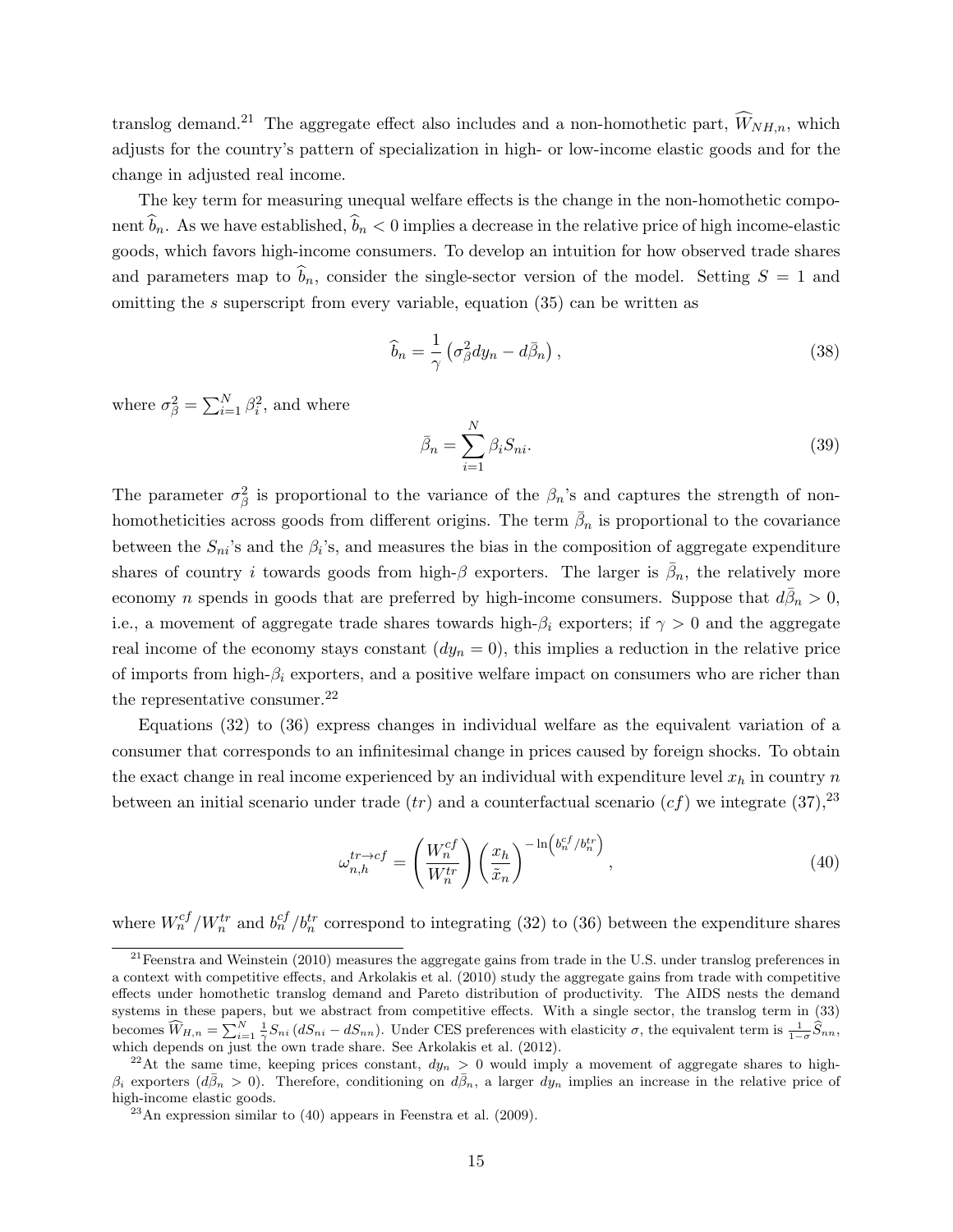translog demand.<sup>21</sup> The aggregate effect also includes and a non-homothetic part,  $\widehat{W}_{NH,n}$ , which adjusts for the country's pattern of specialization in high- or low-income elastic goods and for the change in adjusted real income.

The key term for measuring unequal welfare effects is the change in the non-homothetic component  $\hat{b}_n$ . As we have established,  $\hat{b}_n < 0$  implies a decrease in the relative price of high income-elastic goods, which favors high-income consumers. To develop an intuition for how observed trade shares and parameters map to  $\hat{b}_n$ , consider the single-sector version of the model. Setting  $S = 1$  and omitting the s superscript from every variable, equation (35) can be written as

$$
\widehat{b}_n = \frac{1}{\gamma} \left( \sigma_\beta^2 dy_n - d\bar{\beta}_n \right),\tag{38}
$$

where  $\sigma_{\beta}^2 = \sum_{i=1}^N \beta_i^2$ , and where

$$
\bar{\beta}_n = \sum_{i=1}^N \beta_i S_{ni}.\tag{39}
$$

The parameter  $\sigma_{\beta}^2$  is proportional to the variance of the  $\beta_n$ 's and captures the strength of nonhomotheticities across goods from different origins. The term  $\bar{\beta}_n$  is proportional to the covariance between the  $S_{ni}$ 's and the  $\beta_i$ 's, and measures the bias in the composition of aggregate expenditure shares of country i towards goods from high- $\beta$  exporters. The larger is  $\bar{\beta}_n$ , the relatively more economy n spends in goods that are preferred by high-income consumers. Suppose that  $d\bar{\beta}_n > 0$ , i.e., a movement of aggregate trade shares towards high- $\beta_i$  exporters; if  $\gamma > 0$  and the aggregate real income of the economy stays constant  $(dy_n = 0)$ , this implies a reduction in the relative price of imports from high- $\beta_i$  exporters, and a positive welfare impact on consumers who are richer than the representative consumer.<sup>22</sup>

Equations (32) to (36) express changes in individual welfare as the equivalent variation of a consumer that corresponds to an infinitesimal change in prices caused by foreign shocks. To obtain the exact change in real income experienced by an individual with expenditure level  $x_h$  in country n between an initial scenario under trade  $(tr)$  and a counterfactual scenario  $(cf)$  we integrate  $(37)$ ,  $^{23}$ 

$$
\omega_{n,h}^{tr \to cf} = \left(\frac{W_n^{cf}}{W_n^{tr}}\right) \left(\frac{x_h}{\tilde{x}_n}\right)^{-\ln\left(b_n^{cf}/b_n^{tr}\right)},\tag{40}
$$

where  $W_n^{cf}/W_n^{tr}$  and  $b_n^{cf}/b_n^{tr}$  correspond to integrating (32) to (36) between the expenditure shares

 $^{21}$ Feenstra and Weinstein (2010) measures the aggregate gains from trade in the U.S. under translog preferences in a context with competitive effects, and Arkolakis et al. (2010) study the aggregate gains from trade with competitive effects under homothetic translog demand and Pareto distribution of productivity. The AIDS nests the demand systems in these papers, but we abstract from competitive effects. With a single sector, the translog term in (33) becomes  $\widehat{W}_{H,n} = \sum_{i=1}^{N} \frac{1}{\gamma} S_{ni} (dS_{ni} - dS_{nn}).$  Under CES preferences with elasticity  $\sigma$ , the equivalent term is  $\frac{1}{1-\sigma} \widehat{S}_{nn}$ , which depends on just the own trade share. See Arkolakis et al. (2012).

<sup>&</sup>lt;sup>22</sup>At the same time, keeping prices constant,  $dy_n > 0$  would imply a movement of aggregate shares to high- $\beta_i$  exporters  $(d\bar{\beta}_n > 0)$ . Therefore, conditioning on  $d\bar{\beta}_n$ , a larger  $dy_n$  implies an increase in the relative price of high-income elastic goods.

 $^{23}$ An expression similar to (40) appears in Feenstra et al. (2009).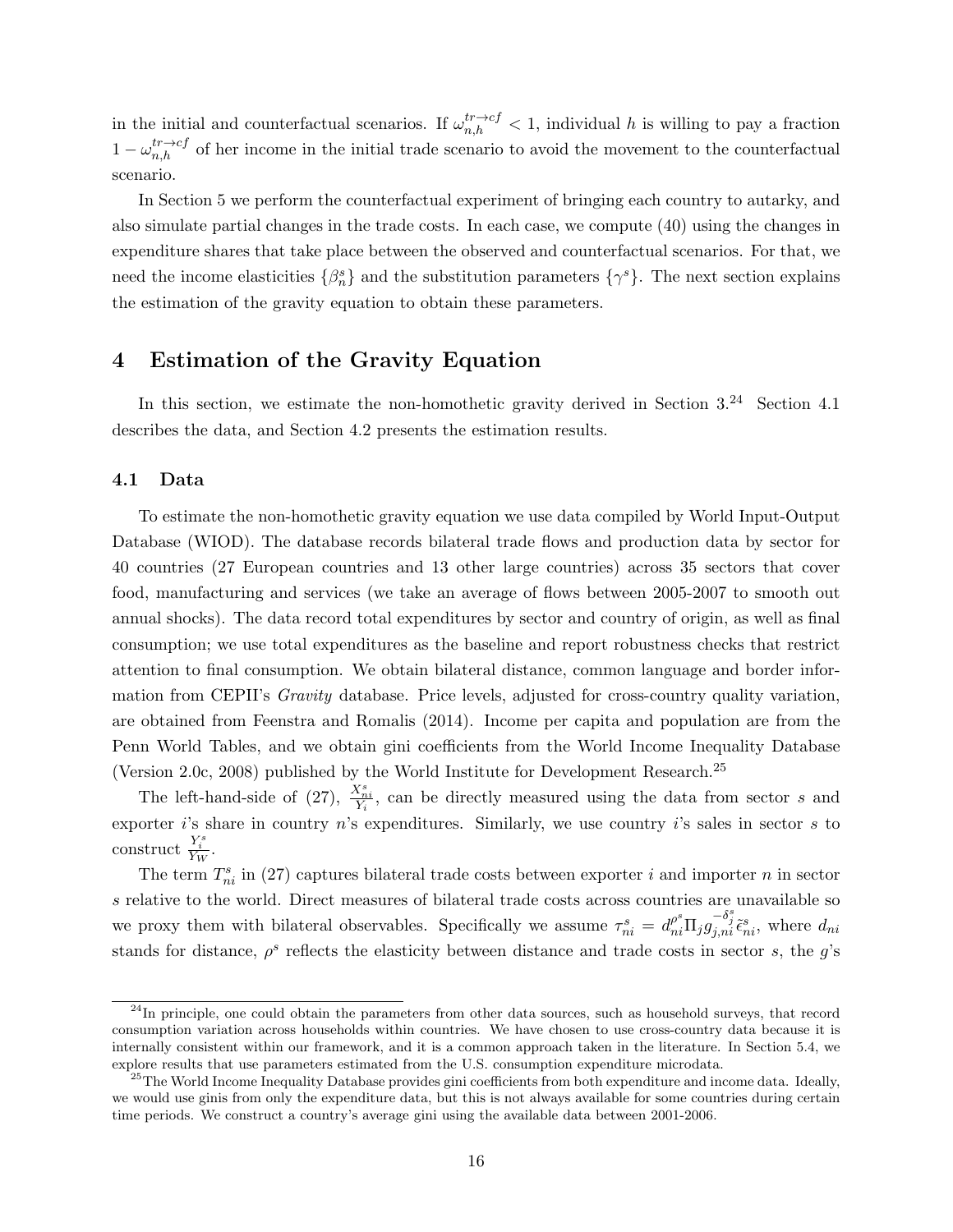in the initial and counterfactual scenarios. If  $\omega_{n,h}^{tr\to cf} < 1$ , individual h is willing to pay a fraction  $1 - \omega_{n,h}^{tr \to cf}$  of her income in the initial trade scenario to avoid the movement to the counterfactual scenario.

In Section 5 we perform the counterfactual experiment of bringing each country to autarky, and also simulate partial changes in the trade costs. In each case, we compute (40) using the changes in expenditure shares that take place between the observed and counterfactual scenarios. For that, we need the income elasticities  $\{\beta_n^s\}$  and the substitution parameters  $\{\gamma^s\}$ . The next section explains the estimation of the gravity equation to obtain these parameters.

## 4 Estimation of the Gravity Equation

In this section, we estimate the non-homothetic gravity derived in Section 3.<sup>24</sup> Section 4.1 describes the data, and Section 4.2 presents the estimation results.

#### 4.1 Data

To estimate the non-homothetic gravity equation we use data compiled by World Input-Output Database (WIOD). The database records bilateral trade flows and production data by sector for 40 countries (27 European countries and 13 other large countries) across 35 sectors that cover food, manufacturing and services (we take an average of flows between 2005-2007 to smooth out annual shocks). The data record total expenditures by sector and country of origin, as well as final consumption; we use total expenditures as the baseline and report robustness checks that restrict attention to final consumption. We obtain bilateral distance, common language and border information from CEPII's *Gravity* database. Price levels, adjusted for cross-country quality variation, are obtained from Feenstra and Romalis (2014). Income per capita and population are from the Penn World Tables, and we obtain gini coefficients from the World Income Inequality Database (Version 2.0c, 2008) published by the World Institute for Development Research.<sup>25</sup>

The left-hand-side of (27),  $\frac{X_{ni}^{s}}{Y_i}$ , can be directly measured using the data from sector s and exporter is share in country n's expenditures. Similarly, we use country is sales in sector s to construct  $\frac{Y_i^s}{Y_W}$ .

The term  $T_{ni}^s$  in (27) captures bilateral trade costs between exporter i and importer n in sector s relative to the world. Direct measures of bilateral trade costs across countries are unavailable so we proxy them with bilateral observables. Specifically we assume  $\tau_{ni}^s = d_{ni}^{\rho^s} \Pi_j g_{j,ni}^{-\delta_j^s} \tilde{\epsilon}_{ni}^s$ , where  $d_{ni}$ stands for distance,  $\rho^s$  reflects the elasticity between distance and trade costs in sector s, the g's

<sup>&</sup>lt;sup>24</sup>In principle, one could obtain the parameters from other data sources, such as household surveys, that record consumption variation across households within countries. We have chosen to use cross-country data because it is internally consistent within our framework, and it is a common approach taken in the literature. In Section 5.4, we explore results that use parameters estimated from the U.S. consumption expenditure microdata.

<sup>&</sup>lt;sup>25</sup>The World Income Inequality Database provides gini coefficients from both expenditure and income data. Ideally, we would use ginis from only the expenditure data, but this is not always available for some countries during certain time periods. We construct a country's average gini using the available data between 2001-2006.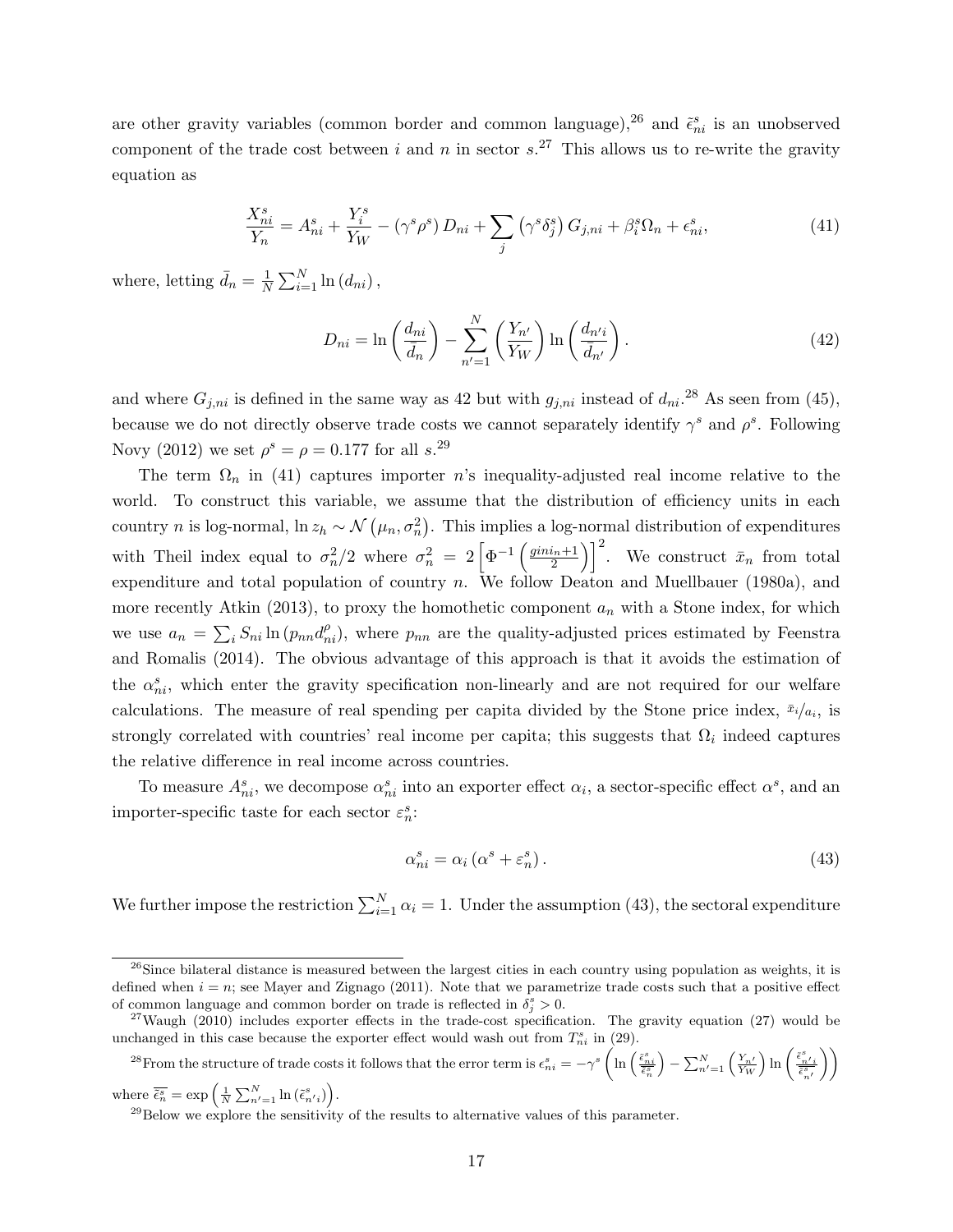are other gravity variables (common border and common language),<sup>26</sup> and  $\tilde{\epsilon}_{ni}^s$  is an unobserved component of the trade cost between i and n in sector  $s$ <sup>27</sup>. This allows us to re-write the gravity equation as

$$
\frac{X_{ni}^s}{Y_n} = A_{ni}^s + \frac{Y_i^s}{Y_W} - (\gamma^s \rho^s) D_{ni} + \sum_j (\gamma^s \delta_j^s) G_{j,ni} + \beta_i^s \Omega_n + \epsilon_{ni}^s,
$$
\n(41)

where, letting  $\bar{d}_n = \frac{1}{N}$  $\frac{1}{N} \sum_{i=1}^{N} \ln (d_{ni}),$ 

$$
D_{ni} = \ln\left(\frac{d_{ni}}{\bar{d}_n}\right) - \sum_{n'=1}^{N} \left(\frac{Y_{n'}}{Y_W}\right) \ln\left(\frac{d_{n'i}}{\bar{d}_{n'}}\right). \tag{42}
$$

and where  $G_{j,ni}$  is defined in the same way as 42 but with  $g_{j,ni}$  instead of  $d_{ni}$ .<sup>28</sup> As seen from (45), because we do not directly observe trade costs we cannot separately identify  $\gamma^s$  and  $\rho^s$ . Following Novy (2012) we set  $\rho^s = \rho = 0.177$  for all s.<sup>29</sup>

The term  $\Omega_n$  in (41) captures importer n's inequality-adjusted real income relative to the world. To construct this variable, we assume that the distribution of efficiency units in each country *n* is log-normal, ln  $z_h \sim \mathcal{N}(\mu_n, \sigma_n^2)$ . This implies a log-normal distribution of expenditures with Theil index equal to  $\sigma_n^2/2$  where  $\sigma_n^2 = 2 \left[ \Phi^{-1} \left( \frac{ginin+1}{2} \right) \right]$  $\left(\frac{i_n+1}{2}\right)^2$ . We construct  $\bar{x}_n$  from total expenditure and total population of country n. We follow Deaton and Muellbauer (1980a), and more recently Atkin (2013), to proxy the homothetic component  $a_n$  with a Stone index, for which we use  $a_n = \sum_i S_{ni} \ln(p_{nn} d_{ni}^{\rho}),$  where  $p_{nn}$  are the quality-adjusted prices estimated by Feenstra and Romalis (2014). The obvious advantage of this approach is that it avoids the estimation of the  $\alpha_{ni}^s$ , which enter the gravity specification non-linearly and are not required for our welfare calculations. The measure of real spending per capita divided by the Stone price index,  $\bar{x}_i/a_i$ , is strongly correlated with countries' real income per capita; this suggests that  $\Omega_i$  indeed captures the relative difference in real income across countries.

To measure  $A_{ni}^s$ , we decompose  $\alpha_{ni}^s$  into an exporter effect  $\alpha_i$ , a sector-specific effect  $\alpha^s$ , and an importer-specific taste for each sector  $\varepsilon_n^s$ :

$$
\alpha_{ni}^s = \alpha_i \left( \alpha^s + \varepsilon_n^s \right). \tag{43}
$$

We further impose the restriction  $\sum_{i=1}^{N} \alpha_i = 1$ . Under the assumption (43), the sectoral expenditure

<sup>28</sup>From the structure of trade costs it follows that the error term is  $\epsilon_{ni}^s = -\gamma^s \left( \ln \left( \frac{\tilde{\epsilon}_{ni}^s}{\tilde{\epsilon}_{ni}^s} \right) \right)$  $\Big) - \sum_{n'=1}^N \left(\tfrac{Y_{n'}}{Y_W}\right) \ln \left( \tfrac{\tilde{\epsilon}_{n'j}^s}{\tilde{\epsilon}_{n'}^s} \right)$  $\setminus$ 

where  $\overline{\tilde{\epsilon}_n^s} = \exp\left(\frac{1}{N}\sum_{n'=1}^N \ln(\tilde{\epsilon}_{n'i}^s)\right)$ .

 $^{26}$ Since bilateral distance is measured between the largest cities in each country using population as weights, it is defined when  $i = n$ ; see Mayer and Zignago (2011). Note that we parametrize trade costs such that a positive effect of common language and common border on trade is reflected in  $\delta_j^s > 0$ .

 $27$ Waugh (2010) includes exporter effects in the trade-cost specification. The gravity equation (27) would be unchanged in this case because the exporter effect would wash out from  $T_{ni}^s$  in (29).

 $^{29}$ Below we explore the sensitivity of the results to alternative values of this parameter.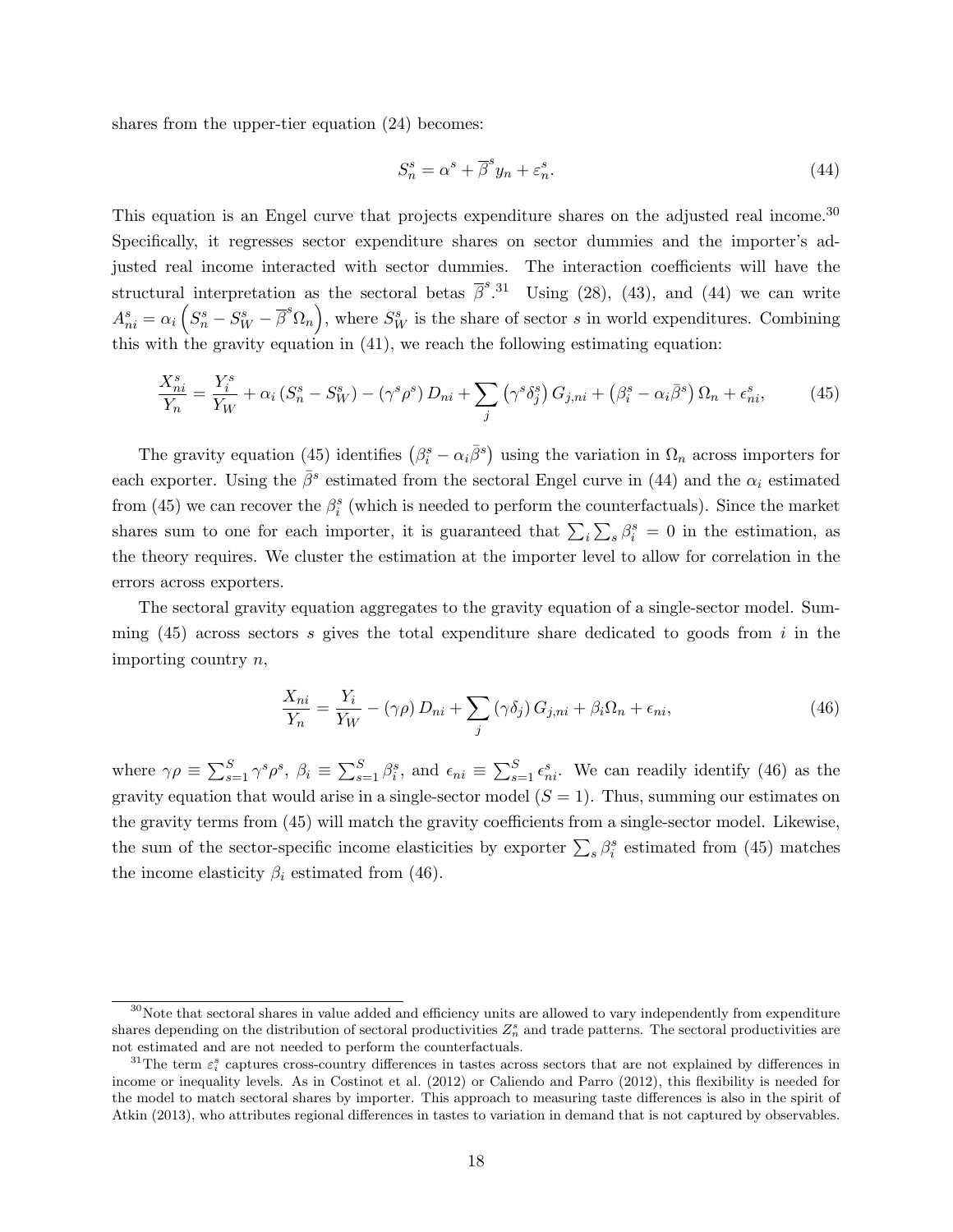shares from the upper-tier equation (24) becomes:

$$
S_n^s = \alpha^s + \overline{\beta}^s y_n + \varepsilon_n^s. \tag{44}
$$

This equation is an Engel curve that projects expenditure shares on the adjusted real income.<sup>30</sup> Specifically, it regresses sector expenditure shares on sector dummies and the importer's adjusted real income interacted with sector dummies. The interaction coefficients will have the structural interpretation as the sectoral betas  $\bar{\beta}^{s}$ .<sup>31</sup> Using (28), (43), and (44) we can write  $A_{ni}^s = \alpha_i \left( S_n^s - S_W^s - \overline{\beta}^s \Omega_n \right)$ , where  $S_W^s$  is the share of sector s in world expenditures. Combining this with the gravity equation in  $(41)$ , we reach the following estimating equation:

$$
\frac{X_{ni}^s}{Y_n} = \frac{Y_i^s}{Y_W} + \alpha_i \left( S_n^s - S_W^s \right) - \left( \gamma^s \rho^s \right) D_{ni} + \sum_j \left( \gamma^s \delta_j^s \right) G_{j,ni} + \left( \beta_i^s - \alpha_i \bar{\beta}^s \right) \Omega_n + \epsilon_{ni}^s,\tag{45}
$$

The gravity equation (45) identifies  $(\beta_i^s - \alpha_i \bar{\beta}^s)$  using the variation in  $\Omega_n$  across importers for each exporter. Using the  $\bar{\beta}^s$  estimated from the sectoral Engel curve in (44) and the  $\alpha_i$  estimated from (45) we can recover the  $\beta_i^s$  (which is needed to perform the counterfactuals). Since the market shares sum to one for each importer, it is guaranteed that  $\sum_i \sum_s \beta_i^s = 0$  in the estimation, as the theory requires. We cluster the estimation at the importer level to allow for correlation in the errors across exporters.

The sectoral gravity equation aggregates to the gravity equation of a single-sector model. Summing  $(45)$  across sectors s gives the total expenditure share dedicated to goods from i in the importing country n,

$$
\frac{X_{ni}}{Y_n} = \frac{Y_i}{Y_W} - (\gamma \rho) D_{ni} + \sum_j (\gamma \delta_j) G_{j,ni} + \beta_i \Omega_n + \epsilon_{ni},
$$
\n(46)

where  $\gamma \rho \equiv \sum_{s=1}^S \gamma^s \rho^s$ ,  $\beta_i \equiv \sum_{s=1}^S \beta_i^s$ , and  $\epsilon_{ni} \equiv \sum_{s=1}^S \epsilon_{ni}^s$ . We can readily identify (46) as the gravity equation that would arise in a single-sector model  $(S = 1)$ . Thus, summing our estimates on the gravity terms from (45) will match the gravity coefficients from a single-sector model. Likewise, the sum of the sector-specific income elasticities by exporter  $\sum_{s} \beta_i^s$  estimated from (45) matches the income elasticity  $\beta_i$  estimated from (46).

 $30$ Note that sectoral shares in value added and efficiency units are allowed to vary independently from expenditure shares depending on the distribution of sectoral productivities  $Z_n^s$  and trade patterns. The sectoral productivities are not estimated and are not needed to perform the counterfactuals.

<sup>&</sup>lt;sup>31</sup>The term  $\varepsilon_i^s$  captures cross-country differences in tastes across sectors that are not explained by differences in income or inequality levels. As in Costinot et al. (2012) or Caliendo and Parro (2012), this flexibility is needed for the model to match sectoral shares by importer. This approach to measuring taste differences is also in the spirit of Atkin (2013), who attributes regional differences in tastes to variation in demand that is not captured by observables.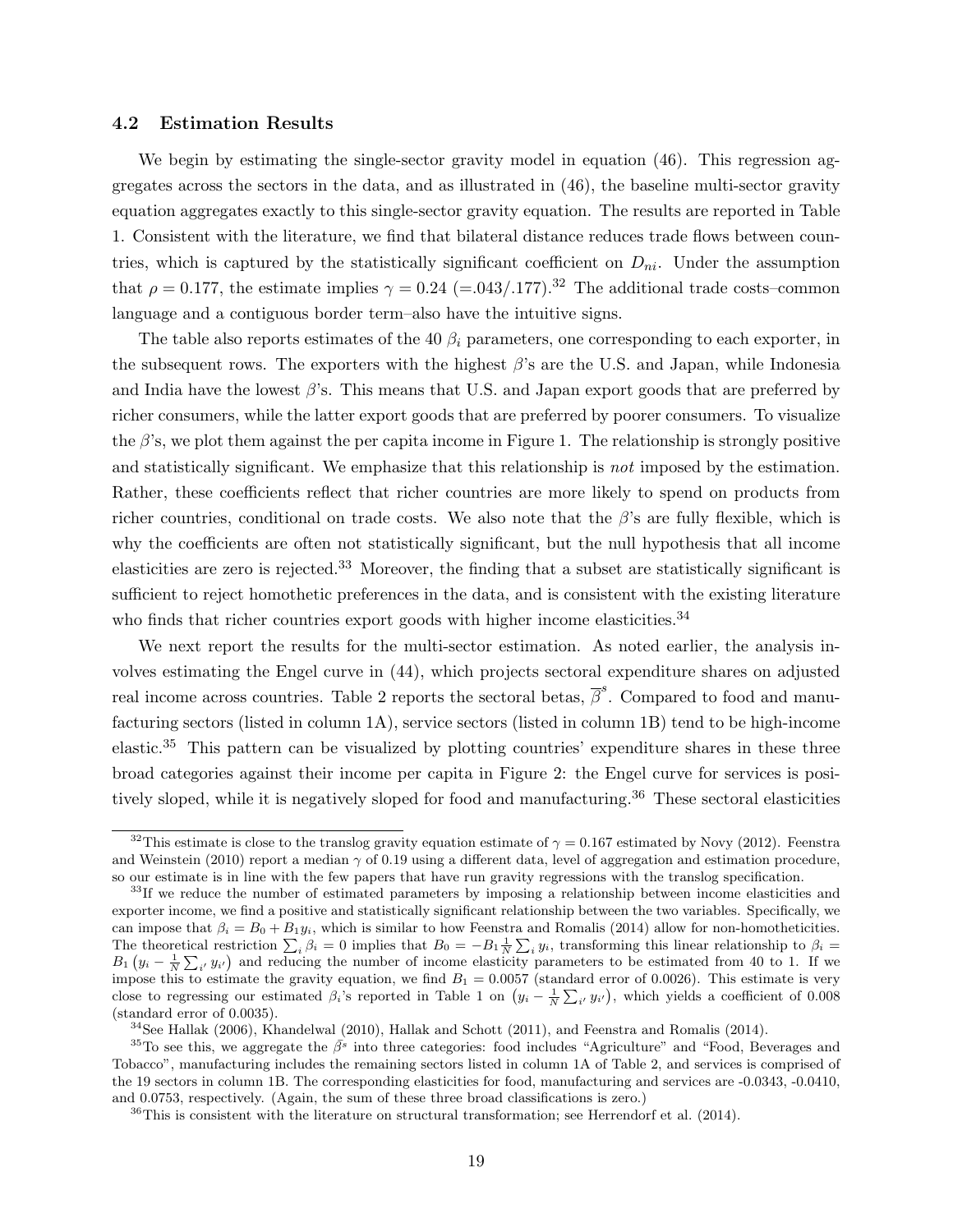#### 4.2 Estimation Results

We begin by estimating the single-sector gravity model in equation (46). This regression aggregates across the sectors in the data, and as illustrated in (46), the baseline multi-sector gravity equation aggregates exactly to this single-sector gravity equation. The results are reported in Table 1. Consistent with the literature, we find that bilateral distance reduces trade flows between countries, which is captured by the statistically significant coefficient on  $D_{ni}$ . Under the assumption that  $\rho = 0.177$ , the estimate implies  $\gamma = 0.24$  (=.043/.177).<sup>32</sup> The additional trade costs–common language and a contiguous border term–also have the intuitive signs.

The table also reports estimates of the 40  $\beta_i$  parameters, one corresponding to each exporter, in the subsequent rows. The exporters with the highest  $\beta$ 's are the U.S. and Japan, while Indonesia and India have the lowest  $\beta$ 's. This means that U.S. and Japan export goods that are preferred by richer consumers, while the latter export goods that are preferred by poorer consumers. To visualize the  $\beta$ 's, we plot them against the per capita income in Figure 1. The relationship is strongly positive and statistically significant. We emphasize that this relationship is *not* imposed by the estimation. Rather, these coefficients reflect that richer countries are more likely to spend on products from richer countries, conditional on trade costs. We also note that the  $\beta$ 's are fully flexible, which is why the coefficients are often not statistically significant, but the null hypothesis that all income elasticities are zero is rejected.<sup>33</sup> Moreover, the finding that a subset are statistically significant is sufficient to reject homothetic preferences in the data, and is consistent with the existing literature who finds that richer countries export goods with higher income elasticities.<sup>34</sup>

We next report the results for the multi-sector estimation. As noted earlier, the analysis involves estimating the Engel curve in (44), which projects sectoral expenditure shares on adjusted real income across countries. Table 2 reports the sectoral betas,  $\bar{\beta}^s$ . Compared to food and manufacturing sectors (listed in column 1A), service sectors (listed in column 1B) tend to be high-income elastic.<sup>35</sup> This pattern can be visualized by plotting countries' expenditure shares in these three broad categories against their income per capita in Figure 2: the Engel curve for services is positively sloped, while it is negatively sloped for food and manufacturing.<sup>36</sup> These sectoral elasticities

<sup>&</sup>lt;sup>32</sup>This estimate is close to the translog gravity equation estimate of  $\gamma = 0.167$  estimated by Novy (2012). Feenstra and Weinstein (2010) report a median  $\gamma$  of 0.19 using a different data, level of aggregation and estimation procedure, so our estimate is in line with the few papers that have run gravity regressions with the translog specification.

<sup>&</sup>lt;sup>33</sup>If we reduce the number of estimated parameters by imposing a relationship between income elasticities and exporter income, we find a positive and statistically significant relationship between the two variables. Specifically, we can impose that  $\beta_i = B_0 + B_1 y_i$ , which is similar to how Feenstra and Romalis (2014) allow for non-homotheticities. The theoretical restriction  $\sum_i \beta_i = 0$  implies that  $B_0 = -B_1 \frac{1}{N} \sum_i y_i$ , transforming this linear relationship to  $\beta_i =$  $B_1(y_i - \frac{1}{N} \sum_{i'} y_{i'})$  and reducing the number of income elasticity parameters to be estimated from 40 to 1. If we impose this to estimate the gravity equation, we find  $B_1 = 0.0057$  (standard error of 0.0026). This estimate is very close to regressing our estimated  $\beta_i$ 's reported in Table 1 on  $(y_i - \frac{1}{N} \sum_{i'} y_{i'})$ , which yields a coefficient of 0.008 (standard error of 0.0035).

 $34$ See Hallak (2006), Khandelwal (2010), Hallak and Schott (2011), and Feenstra and Romalis (2014).

<sup>&</sup>lt;sup>35</sup>To see this, we aggregate the  $\bar{\beta}^s$  into three categories: food includes "Agriculture" and "Food, Beverages and Tobacco", manufacturing includes the remaining sectors listed in column 1A of Table 2, and services is comprised of the 19 sectors in column 1B. The corresponding elasticities for food, manufacturing and services are -0.0343, -0.0410, and 0.0753, respectively. (Again, the sum of these three broad classifications is zero.)

 $36$ This is consistent with the literature on structural transformation; see Herrendorf et al. (2014).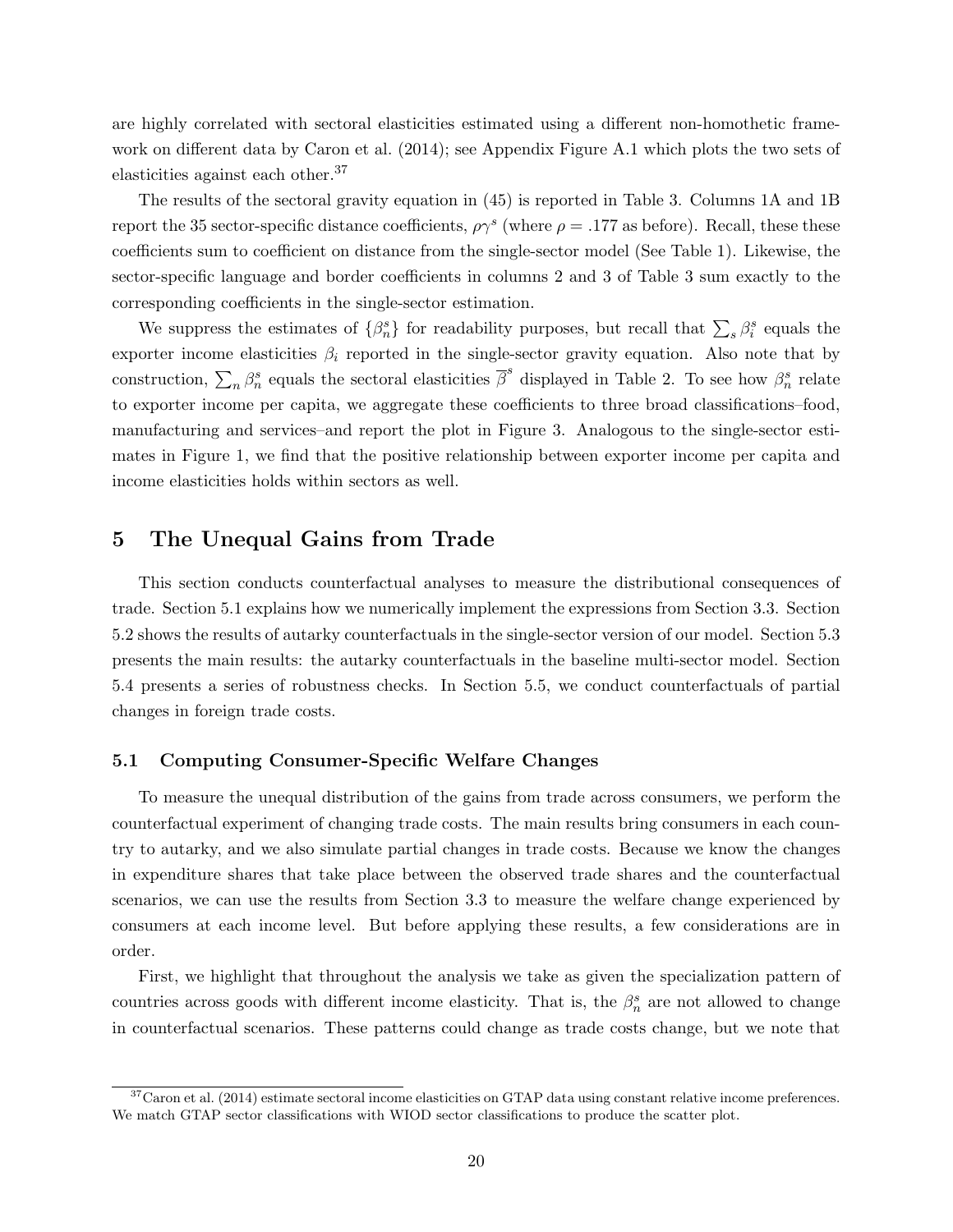are highly correlated with sectoral elasticities estimated using a different non-homothetic framework on different data by Caron et al. (2014); see Appendix Figure A.1 which plots the two sets of elasticities against each other.<sup>37</sup>

The results of the sectoral gravity equation in (45) is reported in Table 3. Columns 1A and 1B report the 35 sector-specific distance coefficients,  $\rho \gamma^s$  (where  $\rho = .177$  as before). Recall, these these coefficients sum to coefficient on distance from the single-sector model (See Table 1). Likewise, the sector-specific language and border coefficients in columns 2 and 3 of Table 3 sum exactly to the corresponding coefficients in the single-sector estimation.

We suppress the estimates of  $\{\beta_n^s\}$  for readability purposes, but recall that  $\sum_s \beta_i^s$  equals the exporter income elasticities  $\beta_i$  reported in the single-sector gravity equation. Also note that by construction,  $\sum_n \beta_n^s$  equals the sectoral elasticities  $\bar{\beta}^s$  displayed in Table 2. To see how  $\beta_n^s$  relate to exporter income per capita, we aggregate these coefficients to three broad classifications–food, manufacturing and services–and report the plot in Figure 3. Analogous to the single-sector estimates in Figure 1, we find that the positive relationship between exporter income per capita and income elasticities holds within sectors as well.

# 5 The Unequal Gains from Trade

This section conducts counterfactual analyses to measure the distributional consequences of trade. Section 5.1 explains how we numerically implement the expressions from Section 3.3. Section 5.2 shows the results of autarky counterfactuals in the single-sector version of our model. Section 5.3 presents the main results: the autarky counterfactuals in the baseline multi-sector model. Section 5.4 presents a series of robustness checks. In Section 5.5, we conduct counterfactuals of partial changes in foreign trade costs.

#### 5.1 Computing Consumer-Specific Welfare Changes

To measure the unequal distribution of the gains from trade across consumers, we perform the counterfactual experiment of changing trade costs. The main results bring consumers in each country to autarky, and we also simulate partial changes in trade costs. Because we know the changes in expenditure shares that take place between the observed trade shares and the counterfactual scenarios, we can use the results from Section 3.3 to measure the welfare change experienced by consumers at each income level. But before applying these results, a few considerations are in order.

First, we highlight that throughout the analysis we take as given the specialization pattern of countries across goods with different income elasticity. That is, the  $\beta_n^s$  are not allowed to change in counterfactual scenarios. These patterns could change as trade costs change, but we note that

<sup>&</sup>lt;sup>37</sup>Caron et al. (2014) estimate sectoral income elasticities on GTAP data using constant relative income preferences. We match GTAP sector classifications with WIOD sector classifications to produce the scatter plot.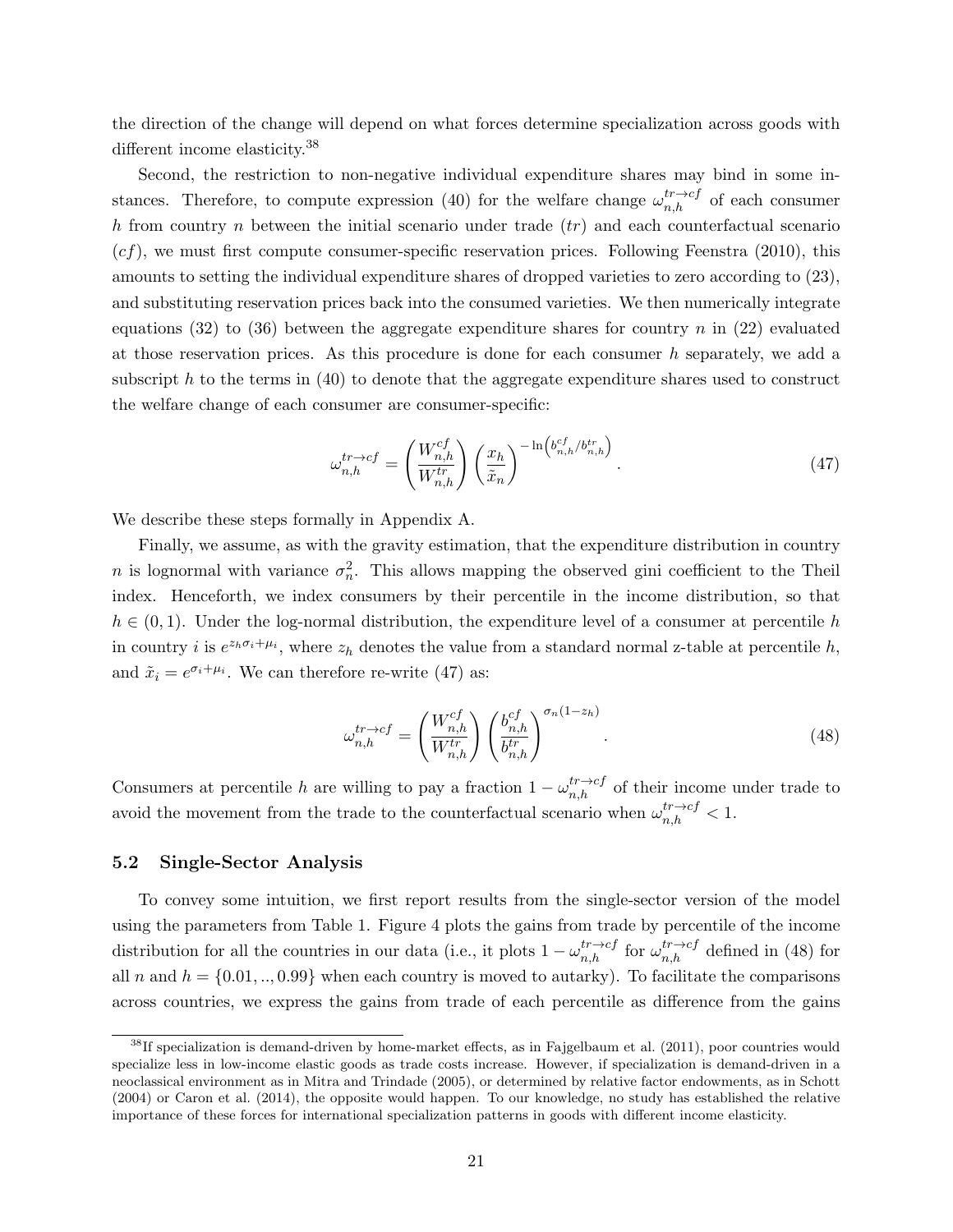the direction of the change will depend on what forces determine specialization across goods with different income elasticity.<sup>38</sup>

Second, the restriction to non-negative individual expenditure shares may bind in some instances. Therefore, to compute expression (40) for the welfare change  $\omega_{n,h}^{tr\to cf}$  of each consumer h from country n between the initial scenario under trade  $(tr)$  and each counterfactual scenario  $(cf)$ , we must first compute consumer-specific reservation prices. Following Feenstra (2010), this amounts to setting the individual expenditure shares of dropped varieties to zero according to (23), and substituting reservation prices back into the consumed varieties. We then numerically integrate equations (32) to (36) between the aggregate expenditure shares for country n in (22) evaluated at those reservation prices. As this procedure is done for each consumer h separately, we add a subscript h to the terms in (40) to denote that the aggregate expenditure shares used to construct the welfare change of each consumer are consumer-specific:

$$
\omega_{n,h}^{tr \to cf} = \left(\frac{W_{n,h}^{cf}}{W_{n,h}^{tr}}\right) \left(\frac{x_h}{\tilde{x}_n}\right)^{-\ln\left(b_{n,h}^{cf}/b_{n,h}^{tr}\right)}.
$$
\n(47)

We describe these steps formally in Appendix A.

Finally, we assume, as with the gravity estimation, that the expenditure distribution in country n is lognormal with variance  $\sigma_n^2$ . This allows mapping the observed gini coefficient to the Theil index. Henceforth, we index consumers by their percentile in the income distribution, so that  $h \in (0, 1)$ . Under the log-normal distribution, the expenditure level of a consumer at percentile h in country *i* is  $e^{z_h \sigma_i + \mu_i}$ , where  $z_h$  denotes the value from a standard normal z-table at percentile h, and  $\tilde{x}_i = e^{\sigma_i + \mu_i}$ . We can therefore re-write (47) as:

$$
\omega_{n,h}^{tr \to cf} = \left(\frac{W_{n,h}^{cf}}{W_{n,h}^{tr}}\right) \left(\frac{b_{n,h}^{cf}}{b_{n,h}^{tr}}\right)^{\sigma_n(1-z_h)}.\tag{48}
$$

Consumers at percentile h are willing to pay a fraction  $1 - \omega_{n,h}^{tr \to cf}$  of their income under trade to avoid the movement from the trade to the counterfactual scenario when  $\omega_{n,h}^{tr\to cf} < 1$ .

#### 5.2 Single-Sector Analysis

To convey some intuition, we first report results from the single-sector version of the model using the parameters from Table 1. Figure 4 plots the gains from trade by percentile of the income distribution for all the countries in our data (i.e., it plots  $1 - \omega_{n,h}^{tr \to cf}$  for  $\omega_{n,h}^{tr \to cf}$  defined in (48) for all n and  $h = \{0.01, ..., 0.99\}$  when each country is moved to autarky). To facilitate the comparisons across countries, we express the gains from trade of each percentile as difference from the gains

 $38$ If specialization is demand-driven by home-market effects, as in Fajgelbaum et al. (2011), poor countries would specialize less in low-income elastic goods as trade costs increase. However, if specialization is demand-driven in a neoclassical environment as in Mitra and Trindade (2005), or determined by relative factor endowments, as in Schott (2004) or Caron et al. (2014), the opposite would happen. To our knowledge, no study has established the relative importance of these forces for international specialization patterns in goods with different income elasticity.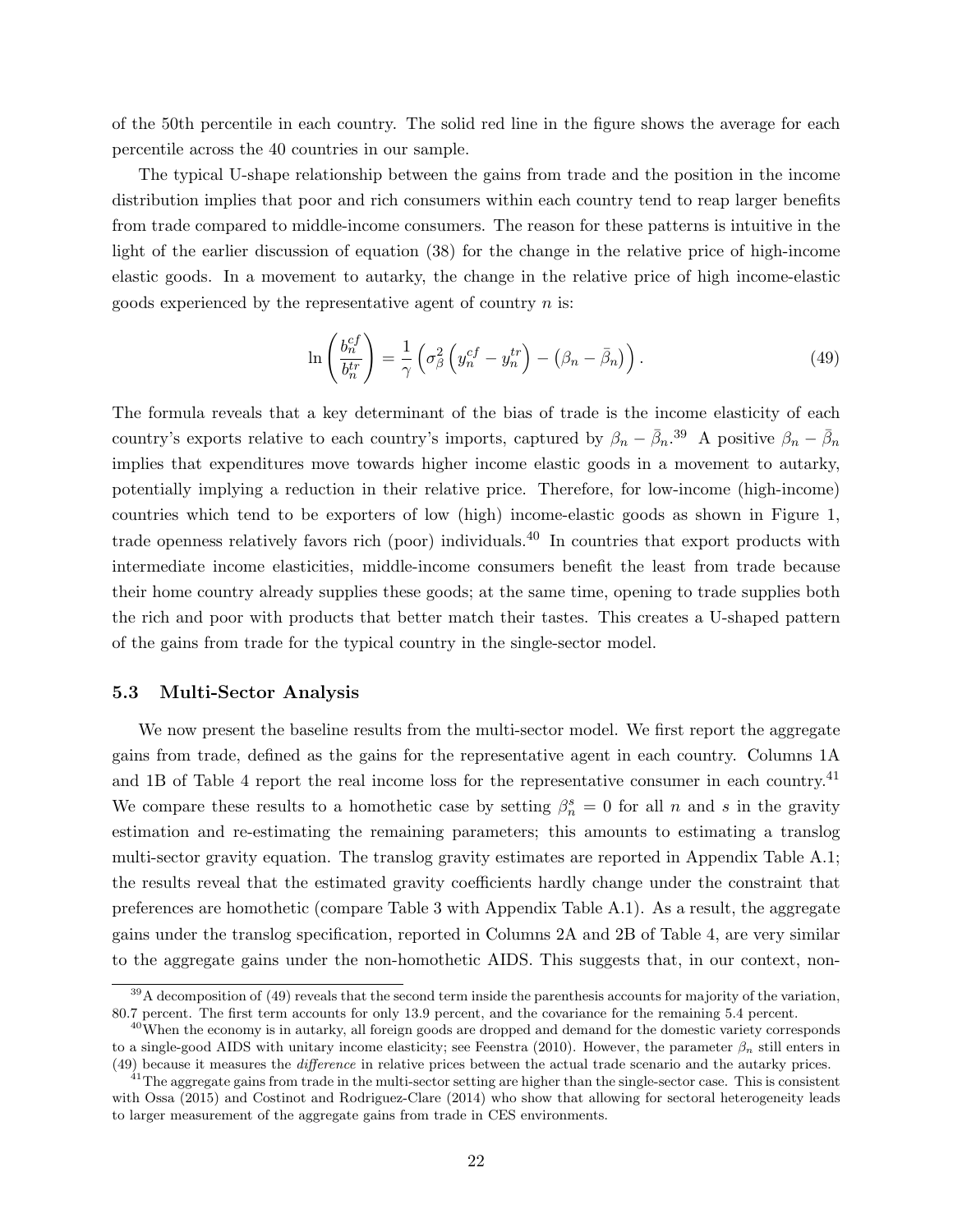of the 50th percentile in each country. The solid red line in the figure shows the average for each percentile across the 40 countries in our sample.

The typical U-shape relationship between the gains from trade and the position in the income distribution implies that poor and rich consumers within each country tend to reap larger benefits from trade compared to middle-income consumers. The reason for these patterns is intuitive in the light of the earlier discussion of equation (38) for the change in the relative price of high-income elastic goods. In a movement to autarky, the change in the relative price of high income-elastic goods experienced by the representative agent of country  $n$  is:

$$
\ln\left(\frac{b_n^{cf}}{b_n^{tr}}\right) = \frac{1}{\gamma} \left(\sigma_\beta^2 \left(y_n^{cf} - y_n^{tr}\right) - \left(\beta_n - \bar{\beta}_n\right)\right). \tag{49}
$$

The formula reveals that a key determinant of the bias of trade is the income elasticity of each country's exports relative to each country's imports, captured by  $\beta_n - \bar{\beta}_n$ <sup>39</sup> A positive  $\beta_n - \bar{\beta}_n$ implies that expenditures move towards higher income elastic goods in a movement to autarky, potentially implying a reduction in their relative price. Therefore, for low-income (high-income) countries which tend to be exporters of low (high) income-elastic goods as shown in Figure 1, trade openness relatively favors rich (poor) individuals.<sup>40</sup> In countries that export products with intermediate income elasticities, middle-income consumers benefit the least from trade because their home country already supplies these goods; at the same time, opening to trade supplies both the rich and poor with products that better match their tastes. This creates a U-shaped pattern of the gains from trade for the typical country in the single-sector model.

#### 5.3 Multi-Sector Analysis

We now present the baseline results from the multi-sector model. We first report the aggregate gains from trade, defined as the gains for the representative agent in each country. Columns 1A and 1B of Table 4 report the real income loss for the representative consumer in each country.<sup>41</sup> We compare these results to a homothetic case by setting  $\beta_n^s = 0$  for all n and s in the gravity estimation and re-estimating the remaining parameters; this amounts to estimating a translog multi-sector gravity equation. The translog gravity estimates are reported in Appendix Table A.1; the results reveal that the estimated gravity coefficients hardly change under the constraint that preferences are homothetic (compare Table 3 with Appendix Table A.1). As a result, the aggregate gains under the translog specification, reported in Columns 2A and 2B of Table 4, are very similar to the aggregate gains under the non-homothetic AIDS. This suggests that, in our context, non-

 $39A$  decomposition of (49) reveals that the second term inside the parenthesis accounts for majority of the variation, 80.7 percent. The first term accounts for only 13.9 percent, and the covariance for the remaining 5.4 percent.

<sup>&</sup>lt;sup>40</sup>When the economy is in autarky, all foreign goods are dropped and demand for the domestic variety corresponds to a single-good AIDS with unitary income elasticity; see Feenstra (2010). However, the parameter  $\beta_n$  still enters in (49) because it measures the difference in relative prices between the actual trade scenario and the autarky prices.

 $41$ The aggregate gains from trade in the multi-sector setting are higher than the single-sector case. This is consistent with Ossa (2015) and Costinot and Rodriguez-Clare (2014) who show that allowing for sectoral heterogeneity leads to larger measurement of the aggregate gains from trade in CES environments.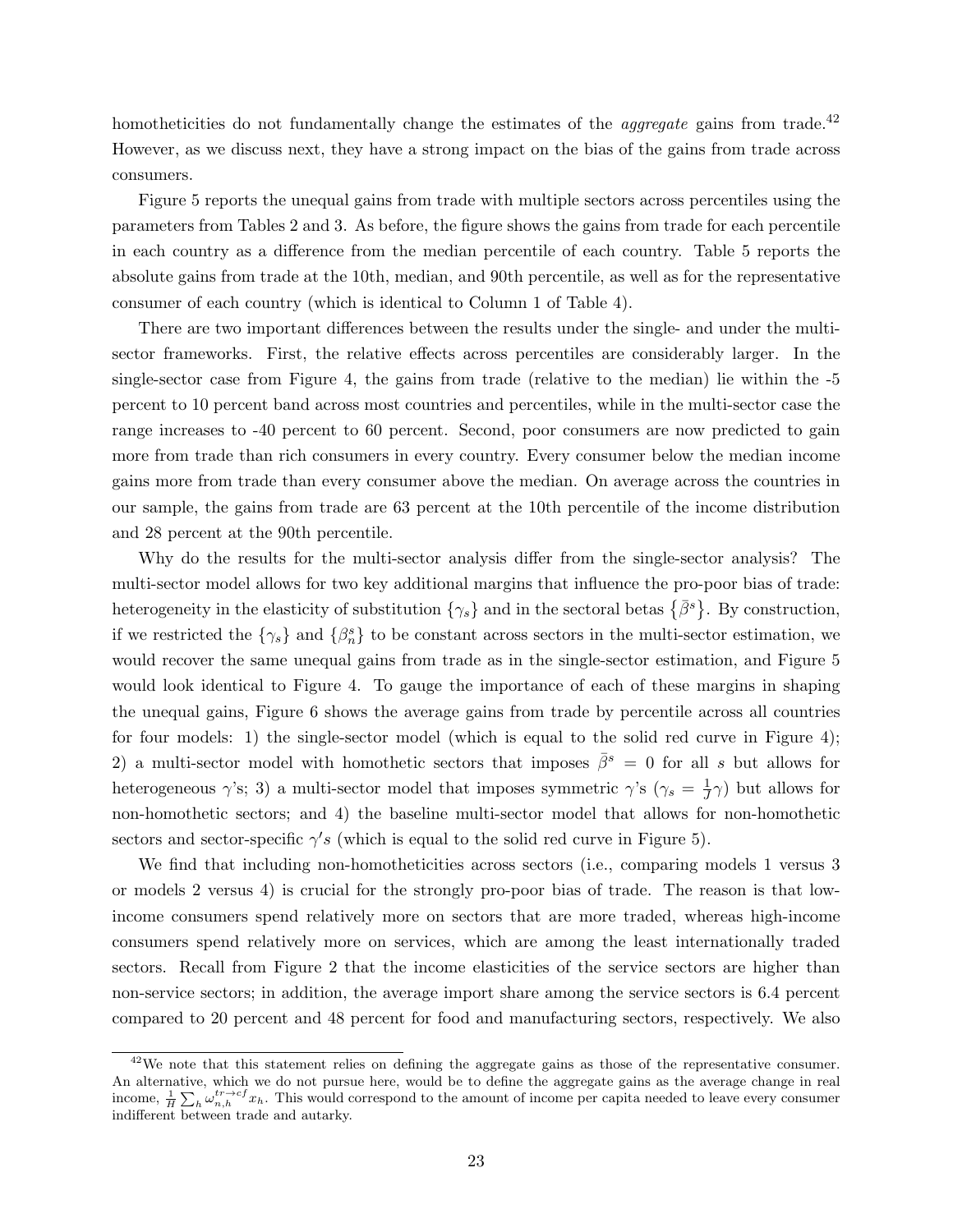homotheticities do not fundamentally change the estimates of the *aggregate* gains from trade.<sup>42</sup> However, as we discuss next, they have a strong impact on the bias of the gains from trade across consumers.

Figure 5 reports the unequal gains from trade with multiple sectors across percentiles using the parameters from Tables 2 and 3. As before, the figure shows the gains from trade for each percentile in each country as a difference from the median percentile of each country. Table 5 reports the absolute gains from trade at the 10th, median, and 90th percentile, as well as for the representative consumer of each country (which is identical to Column 1 of Table 4).

There are two important differences between the results under the single- and under the multisector frameworks. First, the relative effects across percentiles are considerably larger. In the single-sector case from Figure 4, the gains from trade (relative to the median) lie within the -5 percent to 10 percent band across most countries and percentiles, while in the multi-sector case the range increases to -40 percent to 60 percent. Second, poor consumers are now predicted to gain more from trade than rich consumers in every country. Every consumer below the median income gains more from trade than every consumer above the median. On average across the countries in our sample, the gains from trade are 63 percent at the 10th percentile of the income distribution and 28 percent at the 90th percentile.

Why do the results for the multi-sector analysis differ from the single-sector analysis? The multi-sector model allows for two key additional margins that influence the pro-poor bias of trade: heterogeneity in the elasticity of substitution  $\{\gamma_s\}$  and in the sectoral betas  $\{\bar{\beta}^s\}$ . By construction, if we restricted the  $\{\gamma_s\}$  and  $\{\beta_n^s\}$  to be constant across sectors in the multi-sector estimation, we would recover the same unequal gains from trade as in the single-sector estimation, and Figure 5 would look identical to Figure 4. To gauge the importance of each of these margins in shaping the unequal gains, Figure 6 shows the average gains from trade by percentile across all countries for four models: 1) the single-sector model (which is equal to the solid red curve in Figure 4); 2) a multi-sector model with homothetic sectors that imposes  $\bar{\beta}^s = 0$  for all s but allows for heterogeneous  $\gamma$ 's; 3) a multi-sector model that imposes symmetric  $\gamma$ 's ( $\gamma_s = \frac{1}{J}$  $(\frac{1}{J}\gamma)$  but allows for non-homothetic sectors; and 4) the baseline multi-sector model that allows for non-homothetic sectors and sector-specific  $\gamma' s$  (which is equal to the solid red curve in Figure 5).

We find that including non-homotheticities across sectors (i.e., comparing models 1 versus 3 or models 2 versus 4) is crucial for the strongly pro-poor bias of trade. The reason is that lowincome consumers spend relatively more on sectors that are more traded, whereas high-income consumers spend relatively more on services, which are among the least internationally traded sectors. Recall from Figure 2 that the income elasticities of the service sectors are higher than non-service sectors; in addition, the average import share among the service sectors is 6.4 percent compared to 20 percent and 48 percent for food and manufacturing sectors, respectively. We also

<sup>&</sup>lt;sup>42</sup>We note that this statement relies on defining the aggregate gains as those of the representative consumer. An alternative, which we do not pursue here, would be to define the aggregate gains as the average change in real income,  $\frac{1}{H} \sum_{h} \omega_{n,h}^{tr \to cf} x_h$ . This would correspond to the amount of income per capita needed to leave every consumer indifferent between trade and autarky.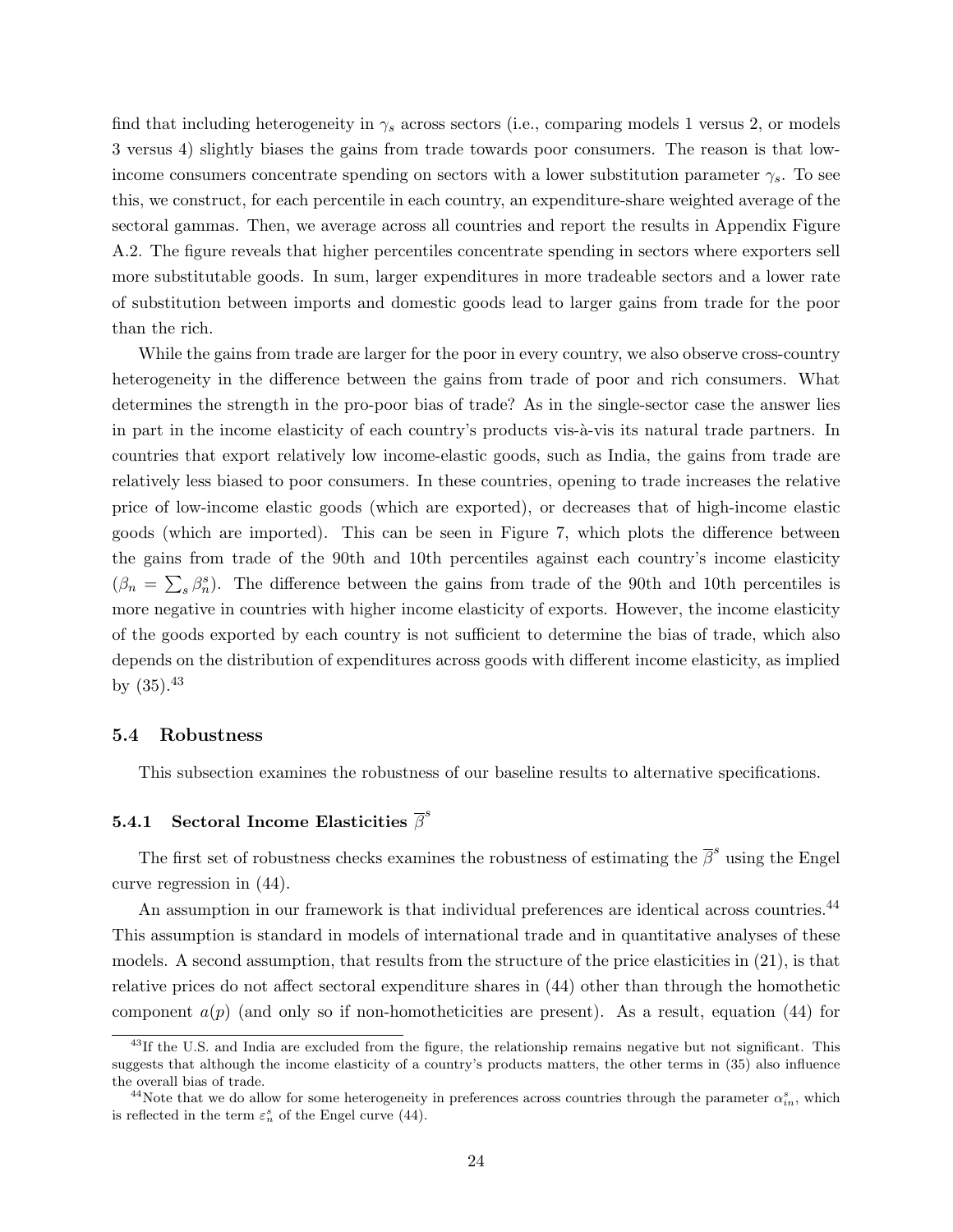find that including heterogeneity in  $\gamma_s$  across sectors (i.e., comparing models 1 versus 2, or models 3 versus 4) slightly biases the gains from trade towards poor consumers. The reason is that lowincome consumers concentrate spending on sectors with a lower substitution parameter  $\gamma_s$ . To see this, we construct, for each percentile in each country, an expenditure-share weighted average of the sectoral gammas. Then, we average across all countries and report the results in Appendix Figure A.2. The figure reveals that higher percentiles concentrate spending in sectors where exporters sell more substitutable goods. In sum, larger expenditures in more tradeable sectors and a lower rate of substitution between imports and domestic goods lead to larger gains from trade for the poor than the rich.

While the gains from trade are larger for the poor in every country, we also observe cross-country heterogeneity in the difference between the gains from trade of poor and rich consumers. What determines the strength in the pro-poor bias of trade? As in the single-sector case the answer lies in part in the income elasticity of each country's products vis- $\hat{a}$ -vis its natural trade partners. In countries that export relatively low income-elastic goods, such as India, the gains from trade are relatively less biased to poor consumers. In these countries, opening to trade increases the relative price of low-income elastic goods (which are exported), or decreases that of high-income elastic goods (which are imported). This can be seen in Figure 7, which plots the difference between the gains from trade of the 90th and 10th percentiles against each country's income elasticity  $(\beta_n = \sum_s \beta_n^s)$ . The difference between the gains from trade of the 90th and 10th percentiles is more negative in countries with higher income elasticity of exports. However, the income elasticity of the goods exported by each country is not sufficient to determine the bias of trade, which also depends on the distribution of expenditures across goods with different income elasticity, as implied by  $(35).^{43}$ 

#### 5.4 Robustness

This subsection examines the robustness of our baseline results to alternative specifications.

# 5.4.1 Sectoral Income Elasticities  $\overline{\beta}^s$

The first set of robustness checks examines the robustness of estimating the  $\overline{\beta}^s$  using the Engel curve regression in (44).

An assumption in our framework is that individual preferences are identical across countries.<sup>44</sup> This assumption is standard in models of international trade and in quantitative analyses of these models. A second assumption, that results from the structure of the price elasticities in (21), is that relative prices do not affect sectoral expenditure shares in (44) other than through the homothetic component  $a(p)$  (and only so if non-homotheticities are present). As a result, equation (44) for

<sup>&</sup>lt;sup>43</sup>If the U.S. and India are excluded from the figure, the relationship remains negative but not significant. This suggests that although the income elasticity of a country's products matters, the other terms in (35) also influence the overall bias of trade.

<sup>&</sup>lt;sup>44</sup>Note that we do allow for some heterogeneity in preferences across countries through the parameter  $\alpha_{in}^s$ , which is reflected in the term  $\varepsilon_n^s$  of the Engel curve (44).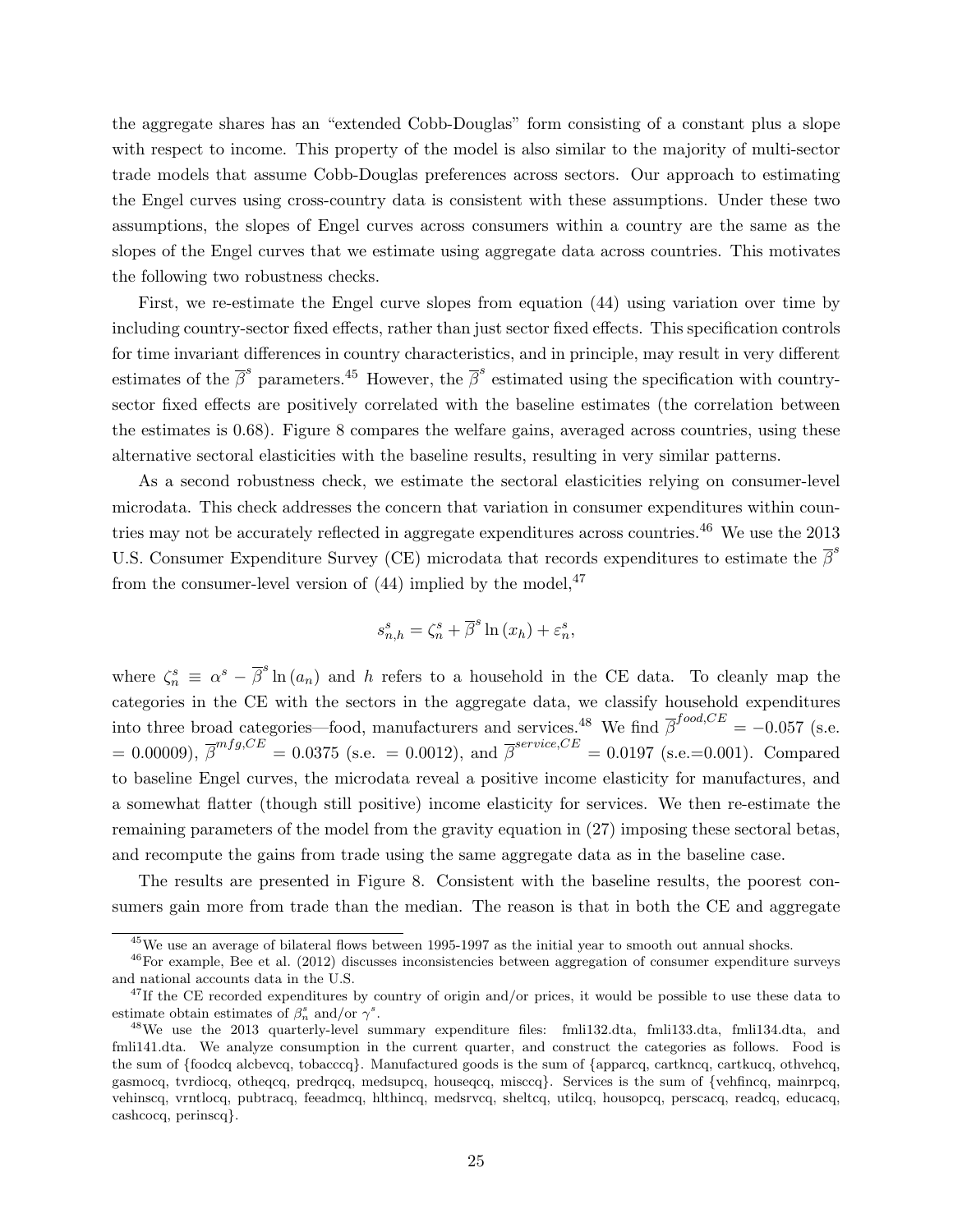the aggregate shares has an "extended Cobb-Douglas" form consisting of a constant plus a slope with respect to income. This property of the model is also similar to the majority of multi-sector trade models that assume Cobb-Douglas preferences across sectors. Our approach to estimating the Engel curves using cross-country data is consistent with these assumptions. Under these two assumptions, the slopes of Engel curves across consumers within a country are the same as the slopes of the Engel curves that we estimate using aggregate data across countries. This motivates the following two robustness checks.

First, we re-estimate the Engel curve slopes from equation (44) using variation over time by including country-sector fixed effects, rather than just sector fixed effects. This specification controls for time invariant differences in country characteristics, and in principle, may result in very different estimates of the  $\bar{\beta}^s$  parameters.<sup>45</sup> However, the  $\bar{\beta}^s$  estimated using the specification with countrysector fixed effects are positively correlated with the baseline estimates (the correlation between the estimates is 0.68). Figure 8 compares the welfare gains, averaged across countries, using these alternative sectoral elasticities with the baseline results, resulting in very similar patterns.

As a second robustness check, we estimate the sectoral elasticities relying on consumer-level microdata. This check addresses the concern that variation in consumer expenditures within countries may not be accurately reflected in aggregate expenditures across countries.<sup>46</sup> We use the  $2013$ U.S. Consumer Expenditure Survey (CE) microdata that records expenditures to estimate the  $\bar{\beta}^s$ from the consumer-level version of  $(44)$  implied by the model,  $47$ 

$$
s_{n,h}^s = \zeta_n^s + \overline{\beta}^s \ln(x_h) + \varepsilon_n^s,
$$

where  $\zeta_n^s \equiv \alpha^s - \overline{\beta}^s \ln(a_n)$  and h refers to a household in the CE data. To cleanly map the categories in the CE with the sectors in the aggregate data, we classify household expenditures into three broad categories—food, manufacturers and services.<sup>48</sup> We find  $\overline{\beta}^{food, CE} = -0.057$  (s.e.  $= 0.00009$ ,  $\overline{\beta}^{mfg,CE} = 0.0375$  (s.e.  $= 0.0012$ ), and  $\overline{\beta}^{service,CE} = 0.0197$  (s.e.=0.001). Compared to baseline Engel curves, the microdata reveal a positive income elasticity for manufactures, and a somewhat flatter (though still positive) income elasticity for services. We then re-estimate the remaining parameters of the model from the gravity equation in (27) imposing these sectoral betas, and recompute the gains from trade using the same aggregate data as in the baseline case.

The results are presented in Figure 8. Consistent with the baseline results, the poorest consumers gain more from trade than the median. The reason is that in both the CE and aggregate

<sup>45</sup>We use an average of bilateral flows between 1995-1997 as the initial year to smooth out annual shocks.

<sup>46</sup>For example, Bee et al. (2012) discusses inconsistencies between aggregation of consumer expenditure surveys and national accounts data in the U.S.

 $47$ If the CE recorded expenditures by country of origin and/or prices, it would be possible to use these data to estimate obtain estimates of  $\beta_n^s$  and/or  $\gamma^s$ .

<sup>48</sup>We use the 2013 quarterly-level summary expenditure files: fmli132.dta, fmli133.dta, fmli134.dta, and fmli141.dta. We analyze consumption in the current quarter, and construct the categories as follows. Food is the sum of {foodcq alcbevcq, tobacccq}. Manufactured goods is the sum of {apparcq, cartkncq, cartkucq, othvehcq, gasmocq, tvrdiocq, otheqcq, predrqcq, medsupcq, houseqcq, misccq}. Services is the sum of {vehfincq, mainrpcq, vehinscq, vrntlocq, pubtracq, feeadmcq, hlthincq, medsrvcq, sheltcq, utilcq, housopcq, perscacq, readcq, educacq, cashcocq, perinscq}.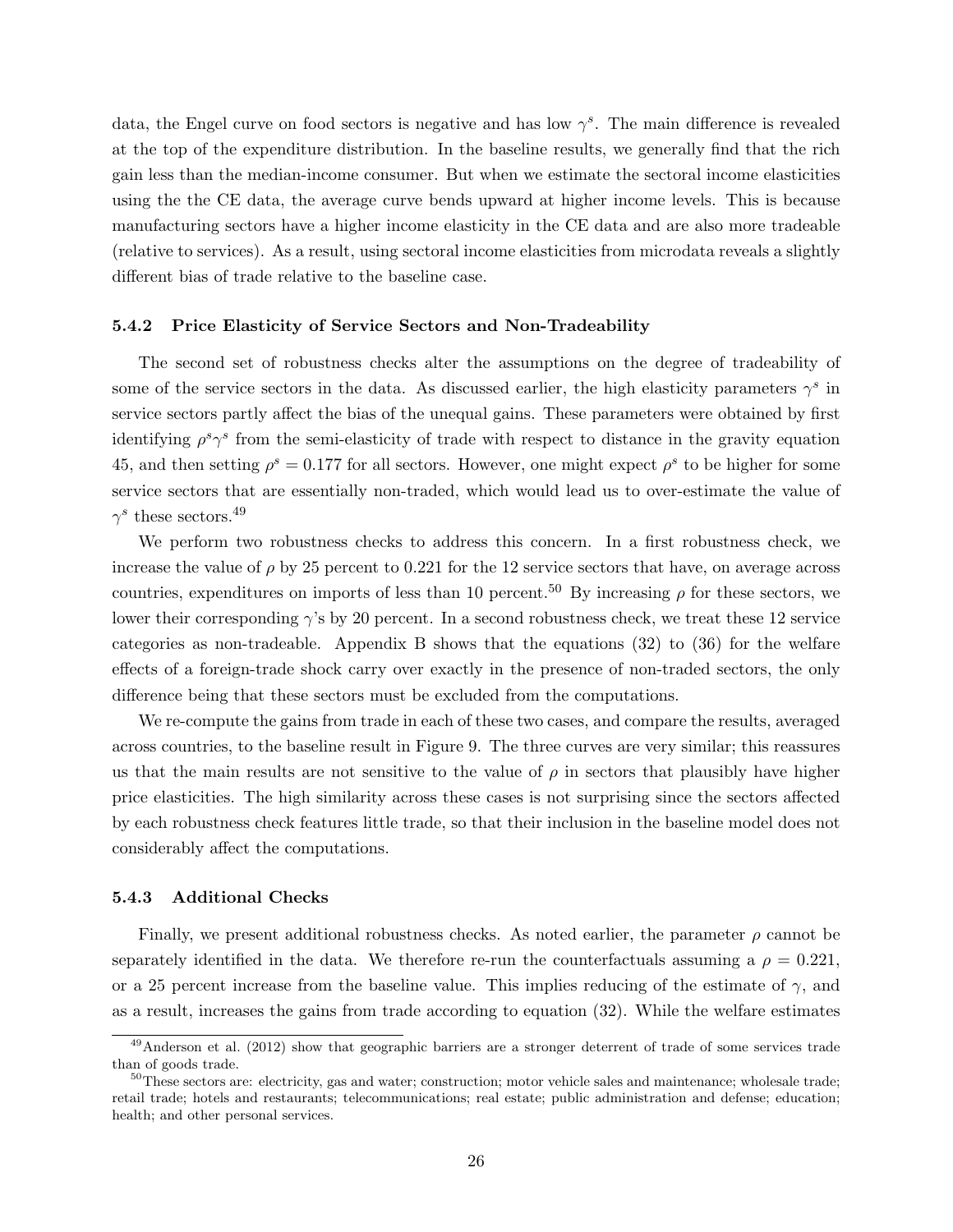data, the Engel curve on food sectors is negative and has low  $\gamma^s$ . The main difference is revealed at the top of the expenditure distribution. In the baseline results, we generally find that the rich gain less than the median-income consumer. But when we estimate the sectoral income elasticities using the the CE data, the average curve bends upward at higher income levels. This is because manufacturing sectors have a higher income elasticity in the CE data and are also more tradeable (relative to services). As a result, using sectoral income elasticities from microdata reveals a slightly different bias of trade relative to the baseline case.

#### 5.4.2 Price Elasticity of Service Sectors and Non-Tradeability

The second set of robustness checks alter the assumptions on the degree of tradeability of some of the service sectors in the data. As discussed earlier, the high elasticity parameters  $\gamma^s$  in service sectors partly affect the bias of the unequal gains. These parameters were obtained by first identifying  $\rho^s \gamma^s$  from the semi-elasticity of trade with respect to distance in the gravity equation 45, and then setting  $\rho^s = 0.177$  for all sectors. However, one might expect  $\rho^s$  to be higher for some service sectors that are essentially non-traded, which would lead us to over-estimate the value of  $\gamma^s$  these sectors.<sup>49</sup>

We perform two robustness checks to address this concern. In a first robustness check, we increase the value of  $\rho$  by 25 percent to 0.221 for the 12 service sectors that have, on average across countries, expenditures on imports of less than 10 percent.<sup>50</sup> By increasing  $\rho$  for these sectors, we lower their corresponding  $\gamma$ 's by 20 percent. In a second robustness check, we treat these 12 service categories as non-tradeable. Appendix B shows that the equations (32) to (36) for the welfare effects of a foreign-trade shock carry over exactly in the presence of non-traded sectors, the only difference being that these sectors must be excluded from the computations.

We re-compute the gains from trade in each of these two cases, and compare the results, averaged across countries, to the baseline result in Figure 9. The three curves are very similar; this reassures us that the main results are not sensitive to the value of  $\rho$  in sectors that plausibly have higher price elasticities. The high similarity across these cases is not surprising since the sectors affected by each robustness check features little trade, so that their inclusion in the baseline model does not considerably affect the computations.

#### 5.4.3 Additional Checks

Finally, we present additional robustness checks. As noted earlier, the parameter  $\rho$  cannot be separately identified in the data. We therefore re-run the counterfactuals assuming a  $\rho = 0.221$ , or a 25 percent increase from the baseline value. This implies reducing of the estimate of  $\gamma$ , and as a result, increases the gains from trade according to equation (32). While the welfare estimates

<sup>&</sup>lt;sup>49</sup>Anderson et al. (2012) show that geographic barriers are a stronger deterrent of trade of some services trade than of goods trade.

<sup>&</sup>lt;sup>50</sup>These sectors are: electricity, gas and water; construction; motor vehicle sales and maintenance; wholesale trade; retail trade; hotels and restaurants; telecommunications; real estate; public administration and defense; education; health; and other personal services.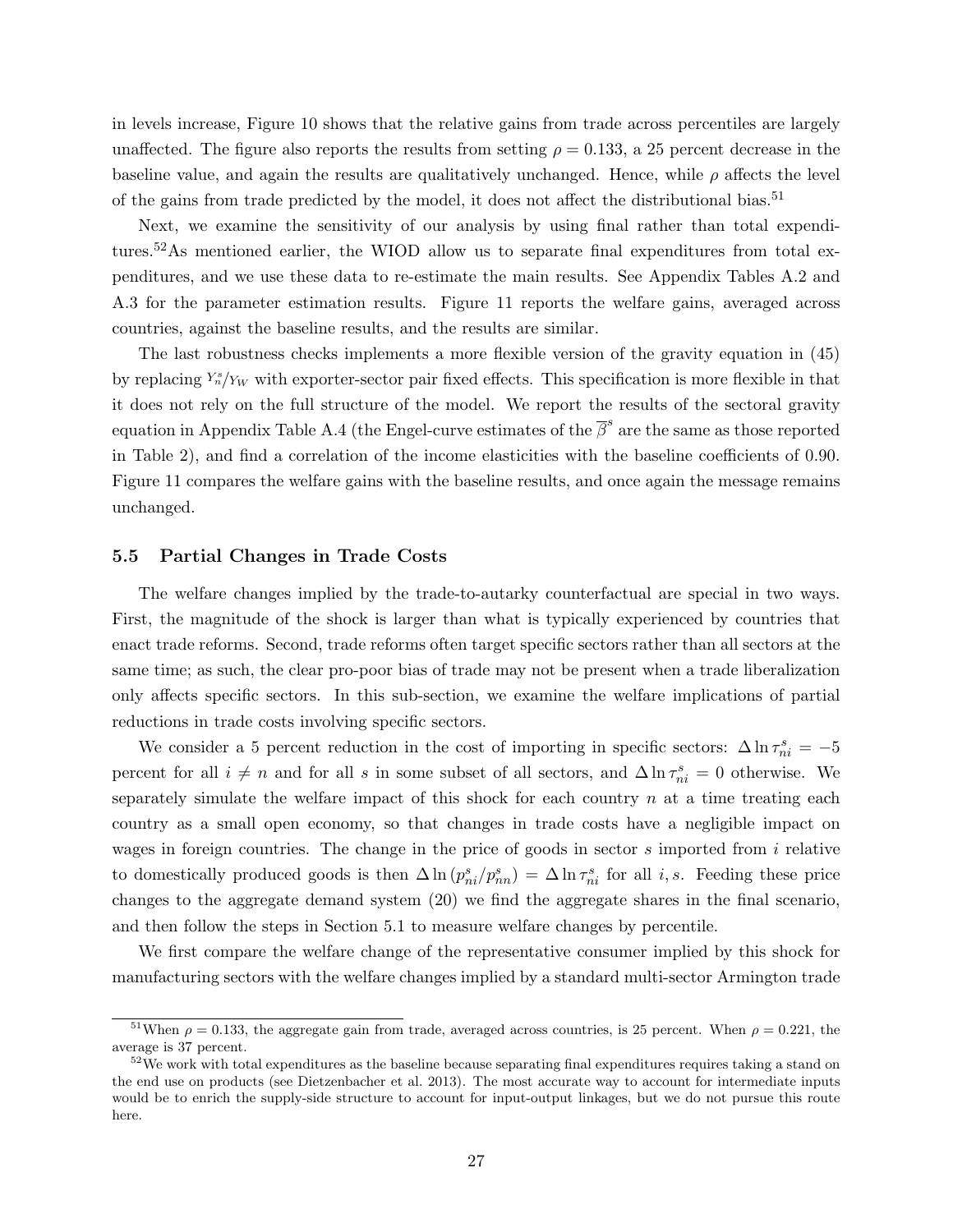in levels increase, Figure 10 shows that the relative gains from trade across percentiles are largely unaffected. The figure also reports the results from setting  $\rho = 0.133$ , a 25 percent decrease in the baseline value, and again the results are qualitatively unchanged. Hence, while  $\rho$  affects the level of the gains from trade predicted by the model, it does not affect the distributional bias.<sup>51</sup>

Next, we examine the sensitivity of our analysis by using final rather than total expenditures.52As mentioned earlier, the WIOD allow us to separate final expenditures from total expenditures, and we use these data to re-estimate the main results. See Appendix Tables A.2 and A.3 for the parameter estimation results. Figure 11 reports the welfare gains, averaged across countries, against the baseline results, and the results are similar.

The last robustness checks implements a more flexible version of the gravity equation in (45) by replacing  $Y_n^s/Y_W$  with exporter-sector pair fixed effects. This specification is more flexible in that it does not rely on the full structure of the model. We report the results of the sectoral gravity equation in Appendix Table A.4 (the Engel-curve estimates of the  $\overline{\beta}^s$  are the same as those reported in Table 2), and find a correlation of the income elasticities with the baseline coefficients of 0.90. Figure 11 compares the welfare gains with the baseline results, and once again the message remains unchanged.

#### 5.5 Partial Changes in Trade Costs

The welfare changes implied by the trade-to-autarky counterfactual are special in two ways. First, the magnitude of the shock is larger than what is typically experienced by countries that enact trade reforms. Second, trade reforms often target specific sectors rather than all sectors at the same time; as such, the clear pro-poor bias of trade may not be present when a trade liberalization only affects specific sectors. In this sub-section, we examine the welfare implications of partial reductions in trade costs involving specific sectors.

We consider a 5 percent reduction in the cost of importing in specific sectors:  $\Delta \ln \tau_{ni}^s = -5$ percent for all  $i \neq n$  and for all s in some subset of all sectors, and  $\Delta \ln \tau_{ni}^s = 0$  otherwise. We separately simulate the welfare impact of this shock for each country  $n$  at a time treating each country as a small open economy, so that changes in trade costs have a negligible impact on wages in foreign countries. The change in the price of goods in sector  $s$  imported from  $i$  relative to domestically produced goods is then  $\Delta \ln (p_{ni}^s/p_{nn}^s) = \Delta \ln \tau_{ni}^s$  for all *i*, *s*. Feeding these price changes to the aggregate demand system (20) we find the aggregate shares in the final scenario, and then follow the steps in Section 5.1 to measure welfare changes by percentile.

We first compare the welfare change of the representative consumer implied by this shock for manufacturing sectors with the welfare changes implied by a standard multi-sector Armington trade

<sup>&</sup>lt;sup>51</sup>When  $\rho = 0.133$ , the aggregate gain from trade, averaged across countries, is 25 percent. When  $\rho = 0.221$ , the average is 37 percent.

 $52\,\text{We work with total expenditures as the baseline because separating final expenditures requires taking a stand on$ the end use on products (see Dietzenbacher et al. 2013). The most accurate way to account for intermediate inputs would be to enrich the supply-side structure to account for input-output linkages, but we do not pursue this route here.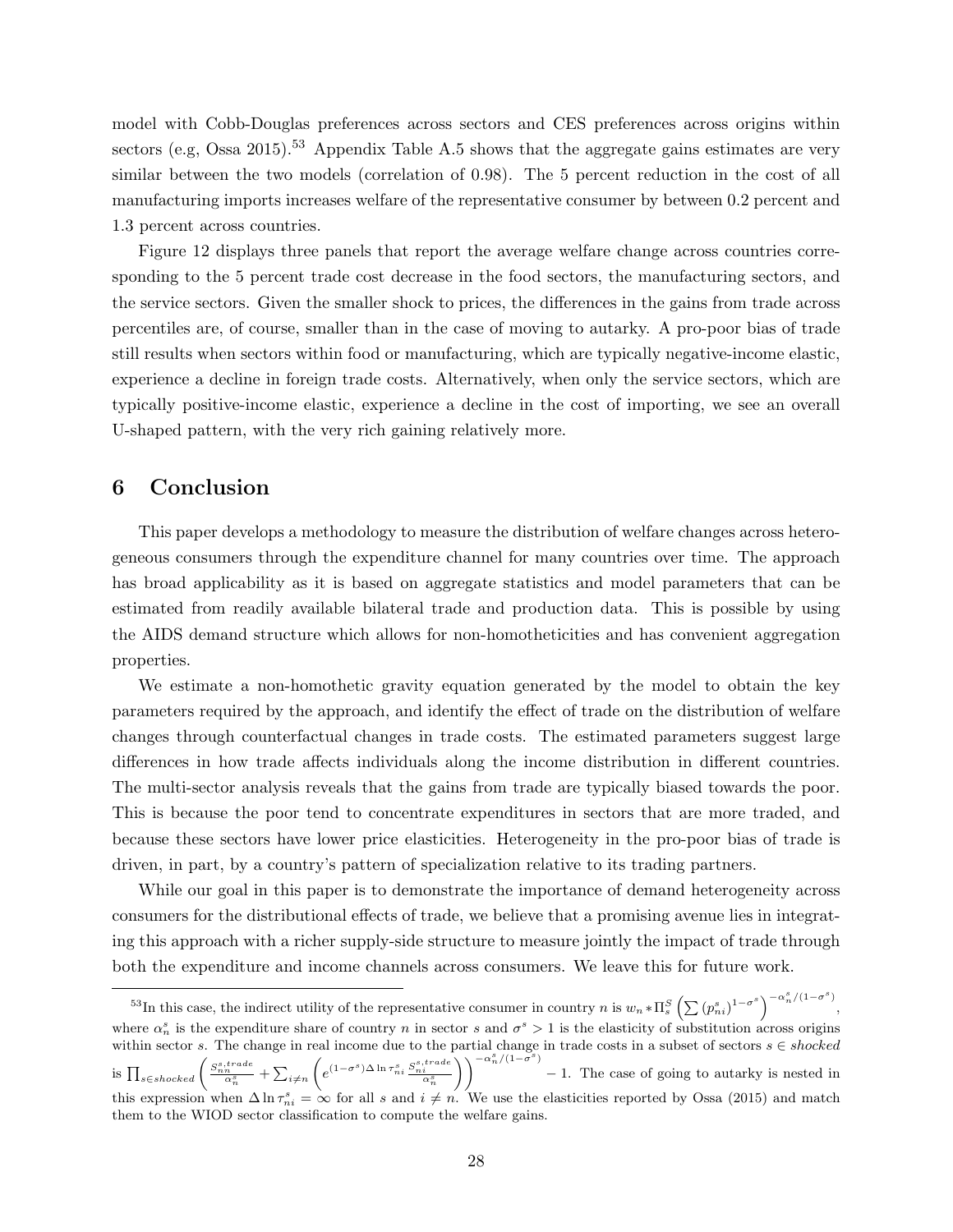model with Cobb-Douglas preferences across sectors and CES preferences across origins within sectors (e.g, Ossa 2015).<sup>53</sup> Appendix Table A.5 shows that the aggregate gains estimates are very similar between the two models (correlation of 0.98). The 5 percent reduction in the cost of all manufacturing imports increases welfare of the representative consumer by between 0.2 percent and 1.3 percent across countries.

Figure 12 displays three panels that report the average welfare change across countries corresponding to the 5 percent trade cost decrease in the food sectors, the manufacturing sectors, and the service sectors. Given the smaller shock to prices, the differences in the gains from trade across percentiles are, of course, smaller than in the case of moving to autarky. A pro-poor bias of trade still results when sectors within food or manufacturing, which are typically negative-income elastic, experience a decline in foreign trade costs. Alternatively, when only the service sectors, which are typically positive-income elastic, experience a decline in the cost of importing, we see an overall U-shaped pattern, with the very rich gaining relatively more.

# 6 Conclusion

This paper develops a methodology to measure the distribution of welfare changes across heterogeneous consumers through the expenditure channel for many countries over time. The approach has broad applicability as it is based on aggregate statistics and model parameters that can be estimated from readily available bilateral trade and production data. This is possible by using the AIDS demand structure which allows for non-homotheticities and has convenient aggregation properties.

We estimate a non-homothetic gravity equation generated by the model to obtain the key parameters required by the approach, and identify the effect of trade on the distribution of welfare changes through counterfactual changes in trade costs. The estimated parameters suggest large differences in how trade affects individuals along the income distribution in different countries. The multi-sector analysis reveals that the gains from trade are typically biased towards the poor. This is because the poor tend to concentrate expenditures in sectors that are more traded, and because these sectors have lower price elasticities. Heterogeneity in the pro-poor bias of trade is driven, in part, by a country's pattern of specialization relative to its trading partners.

While our goal in this paper is to demonstrate the importance of demand heterogeneity across consumers for the distributional effects of trade, we believe that a promising avenue lies in integrating this approach with a richer supply-side structure to measure jointly the impact of trade through both the expenditure and income channels across consumers. We leave this for future work.

<sup>&</sup>lt;sup>53</sup>In this case, the indirect utility of the representative consumer in country n is  $w_n * \Pi_s^S \left( \sum (p_{ni}^s)^{1-\sigma_s^s} \right)^{-\alpha_n^s/(1-\sigma_s^s)}$ , where  $\alpha_n^s$  is the expenditure share of country n in sector s and  $\sigma^s > 1$  is the elasticity of substitution across origins within sector s. The change in real income due to the partial change in trade costs in a subset of sectors  $s \in shocked$ is  $\prod_{s \in shocked} \left( \frac{S_{nn}^{s,trade}}{\alpha_n^s} + \sum_{i \neq n}$  $\Bigg(e^{\left(1-\sigma^{s}\right)\Delta\ln\tau_{ni}^{s}}\frac{S_{ni}^{s,trade}}{\alpha_{n}^{s}}$  $\sum_{n=1}^{\infty}$   $-\frac{\alpha_n^s}{1-\sigma^s}$ − 1. The case of going to autarky is nested in this expression when  $\Delta \ln \tau_{ni}^s = \infty$  for all s and  $i \neq n$ . We use the elasticities reported by Ossa (2015) and match them to the WIOD sector classification to compute the welfare gains.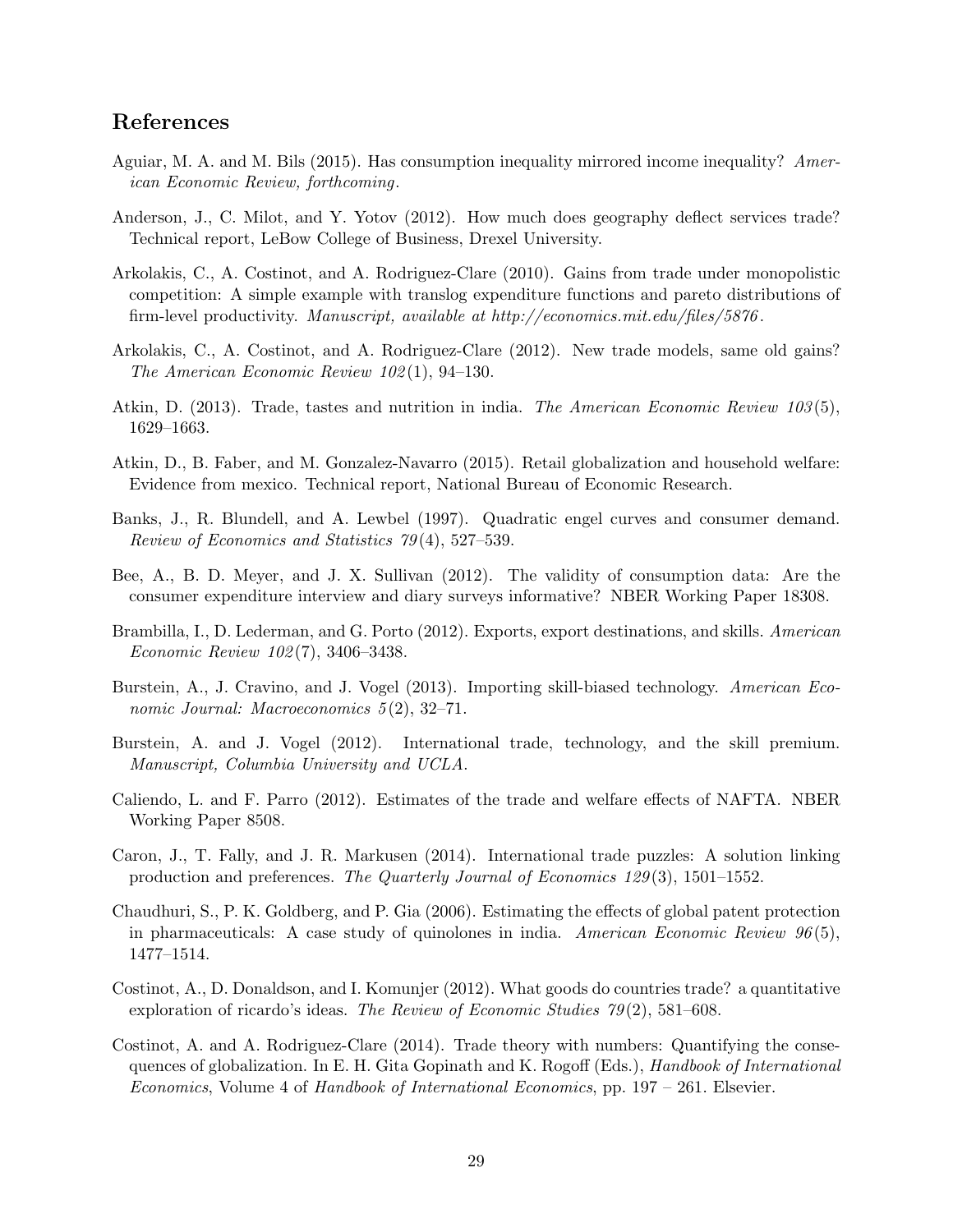# References

- Aguiar, M. A. and M. Bils (2015). Has consumption inequality mirrored income inequality? American Economic Review, forthcoming.
- Anderson, J., C. Milot, and Y. Yotov (2012). How much does geography deflect services trade? Technical report, LeBow College of Business, Drexel University.
- Arkolakis, C., A. Costinot, and A. Rodriguez-Clare (2010). Gains from trade under monopolistic competition: A simple example with translog expenditure functions and pareto distributions of firm-level productivity. Manuscript, available at http://economics.mit.edu/files/5876 .
- Arkolakis, C., A. Costinot, and A. Rodriguez-Clare (2012). New trade models, same old gains? The American Economic Review 102 (1), 94–130.
- Atkin, D. (2013). Trade, tastes and nutrition in india. The American Economic Review 103(5), 1629–1663.
- Atkin, D., B. Faber, and M. Gonzalez-Navarro (2015). Retail globalization and household welfare: Evidence from mexico. Technical report, National Bureau of Economic Research.
- Banks, J., R. Blundell, and A. Lewbel (1997). Quadratic engel curves and consumer demand. Review of Economics and Statistics 79 (4), 527–539.
- Bee, A., B. D. Meyer, and J. X. Sullivan (2012). The validity of consumption data: Are the consumer expenditure interview and diary surveys informative? NBER Working Paper 18308.
- Brambilla, I., D. Lederman, and G. Porto (2012). Exports, export destinations, and skills. American Economic Review 102 (7), 3406–3438.
- Burstein, A., J. Cravino, and J. Vogel (2013). Importing skill-biased technology. American Economic Journal: Macroeconomics 5(2), 32–71.
- Burstein, A. and J. Vogel (2012). International trade, technology, and the skill premium. Manuscript, Columbia University and UCLA.
- Caliendo, L. and F. Parro (2012). Estimates of the trade and welfare effects of NAFTA. NBER Working Paper 8508.
- Caron, J., T. Fally, and J. R. Markusen (2014). International trade puzzles: A solution linking production and preferences. The Quarterly Journal of Economics 129 (3), 1501–1552.
- Chaudhuri, S., P. K. Goldberg, and P. Gia (2006). Estimating the effects of global patent protection in pharmaceuticals: A case study of quinolones in india. American Economic Review  $96(5)$ , 1477–1514.
- Costinot, A., D. Donaldson, and I. Komunjer (2012). What goods do countries trade? a quantitative exploration of ricardo's ideas. The Review of Economic Studies  $79(2)$ , 581–608.
- Costinot, A. and A. Rodriguez-Clare (2014). Trade theory with numbers: Quantifying the consequences of globalization. In E. H. Gita Gopinath and K. Rogoff (Eds.), Handbook of International Economics, Volume 4 of Handbook of International Economics, pp. 197 – 261. Elsevier.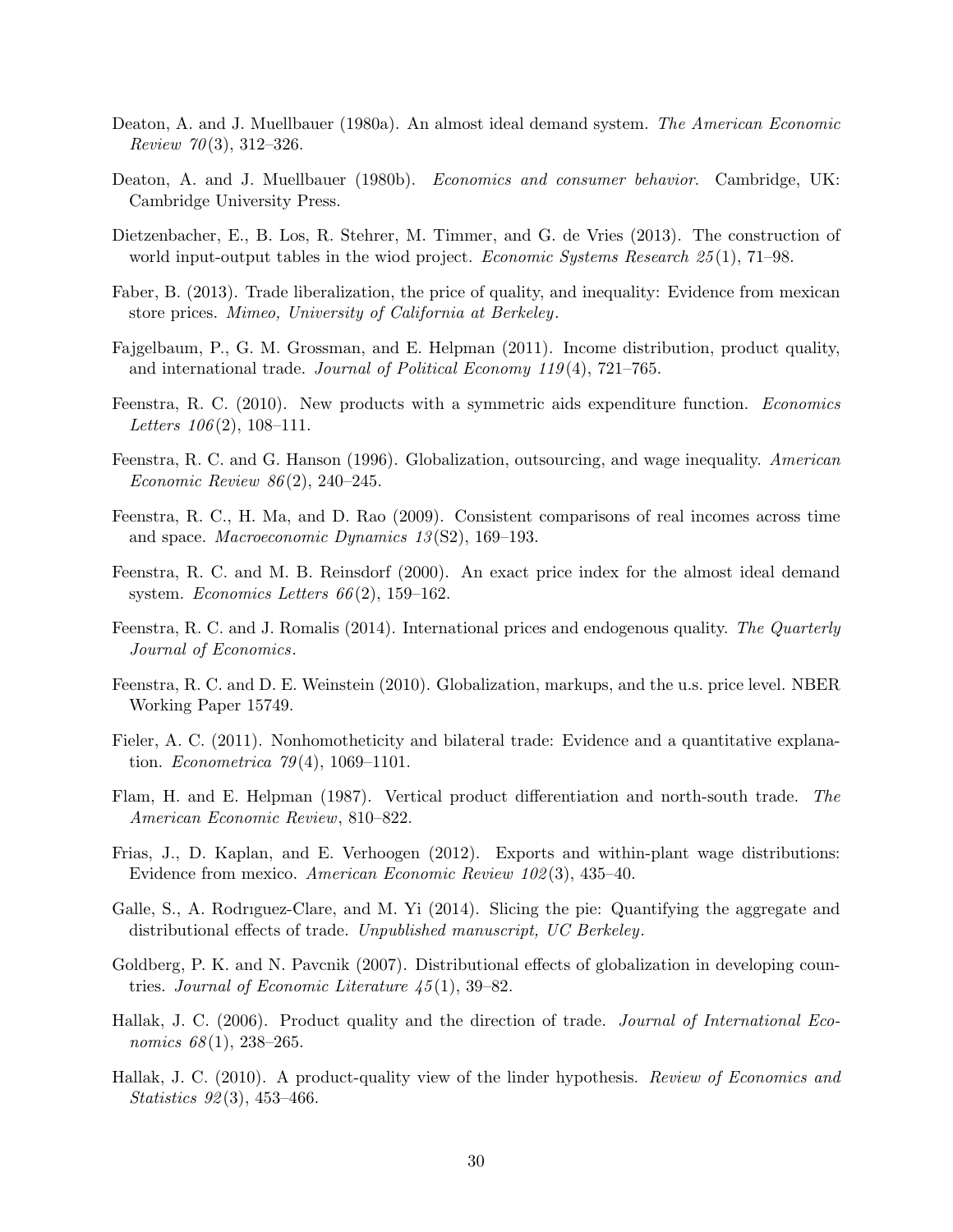- Deaton, A. and J. Muellbauer (1980a). An almost ideal demand system. The American Economic Review 70(3), 312-326.
- Deaton, A. and J. Muellbauer (1980b). *Economics and consumer behavior*. Cambridge, UK: Cambridge University Press.
- Dietzenbacher, E., B. Los, R. Stehrer, M. Timmer, and G. de Vries (2013). The construction of world input-output tables in the wiod project. *Economic Systems Research*  $25(1)$ , 71–98.
- Faber, B. (2013). Trade liberalization, the price of quality, and inequality: Evidence from mexican store prices. Mimeo, University of California at Berkeley.
- Fajgelbaum, P., G. M. Grossman, and E. Helpman (2011). Income distribution, product quality, and international trade. Journal of Political Economy 119(4),  $721-765$ .
- Feenstra, R. C. (2010). New products with a symmetric aids expenditure function. Economics Letters  $106(2)$ , 108-111.
- Feenstra, R. C. and G. Hanson (1996). Globalization, outsourcing, and wage inequality. American Economic Review 86 (2), 240–245.
- Feenstra, R. C., H. Ma, and D. Rao (2009). Consistent comparisons of real incomes across time and space. *Macroeconomic Dynamics*  $13(S2)$ , 169–193.
- Feenstra, R. C. and M. B. Reinsdorf (2000). An exact price index for the almost ideal demand system. Economics Letters  $66(2)$ , 159–162.
- Feenstra, R. C. and J. Romalis (2014). International prices and endogenous quality. The Quarterly Journal of Economics.
- Feenstra, R. C. and D. E. Weinstein (2010). Globalization, markups, and the u.s. price level. NBER Working Paper 15749.
- Fieler, A. C. (2011). Nonhomotheticity and bilateral trade: Evidence and a quantitative explanation. *Econometrica*  $79(4)$ , 1069–1101.
- Flam, H. and E. Helpman (1987). Vertical product differentiation and north-south trade. The American Economic Review, 810–822.
- Frias, J., D. Kaplan, and E. Verhoogen (2012). Exports and within-plant wage distributions: Evidence from mexico. American Economic Review 102 (3), 435–40.
- Galle, S., A. Rodrıguez-Clare, and M. Yi (2014). Slicing the pie: Quantifying the aggregate and distributional effects of trade. Unpublished manuscript, UC Berkeley.
- Goldberg, P. K. and N. Pavcnik (2007). Distributional effects of globalization in developing countries. Journal of Economic Literature  $\frac{45(1)}{39-82}$ .
- Hallak, J. C. (2006). Product quality and the direction of trade. Journal of International Economics  $68(1)$ , 238-265.
- Hallak, J. C. (2010). A product-quality view of the linder hypothesis. Review of Economics and Statistics 92(3), 453-466.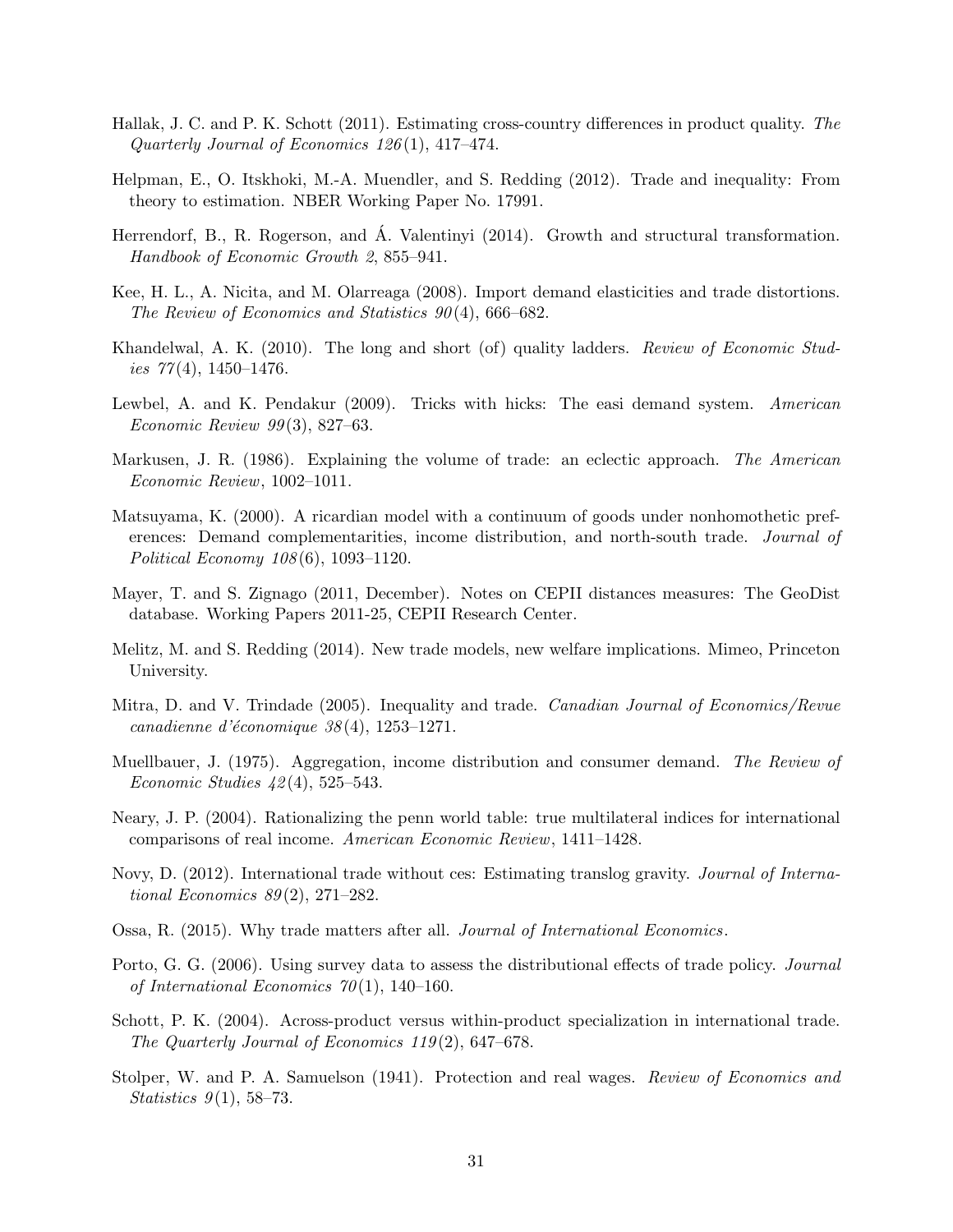- Hallak, J. C. and P. K. Schott (2011). Estimating cross-country differences in product quality. The Quarterly Journal of Economics 126 (1), 417–474.
- Helpman, E., O. Itskhoki, M.-A. Muendler, and S. Redding (2012). Trade and inequality: From theory to estimation. NBER Working Paper No. 17991.
- Herrendorf, B., R. Rogerson, and Á. Valentinyi (2014). Growth and structural transformation. Handbook of Economic Growth 2, 855–941.
- Kee, H. L., A. Nicita, and M. Olarreaga (2008). Import demand elasticities and trade distortions. The Review of Economics and Statistics  $90(4)$ , 666–682.
- Khandelwal, A. K. (2010). The long and short (of) quality ladders. Review of Economic Studies  $77(4)$ , 1450–1476.
- Lewbel, A. and K. Pendakur (2009). Tricks with hicks: The easi demand system. American Economic Review 99 (3), 827–63.
- Markusen, J. R. (1986). Explaining the volume of trade: an eclectic approach. The American Economic Review, 1002–1011.
- Matsuyama, K. (2000). A ricardian model with a continuum of goods under nonhomothetic preferences: Demand complementarities, income distribution, and north-south trade. Journal of Political Economy 108 (6), 1093–1120.
- Mayer, T. and S. Zignago (2011, December). Notes on CEPII distances measures: The GeoDist database. Working Papers 2011-25, CEPII Research Center.
- Melitz, M. and S. Redding (2014). New trade models, new welfare implications. Mimeo, Princeton University.
- Mitra, D. and V. Trindade (2005). Inequality and trade. Canadian Journal of Economics/Revue canadienne d'économique  $38(4)$ , 1253-1271.
- Muellbauer, J. (1975). Aggregation, income distribution and consumer demand. The Review of Economic Studies 42 (4), 525–543.
- Neary, J. P. (2004). Rationalizing the penn world table: true multilateral indices for international comparisons of real income. American Economic Review, 1411–1428.
- Novy, D. (2012). International trade without ces: Estimating translog gravity. Journal of International Economics  $89(2)$ , 271–282.
- Ossa, R. (2015). Why trade matters after all. Journal of International Economics.
- Porto, G. G. (2006). Using survey data to assess the distributional effects of trade policy. Journal of International Economics  $70(1)$ , 140-160.
- Schott, P. K. (2004). Across-product versus within-product specialization in international trade. The Quarterly Journal of Economics 119 (2), 647–678.
- Stolper, W. and P. A. Samuelson (1941). Protection and real wages. Review of Economics and Statistics  $9(1)$ , 58–73.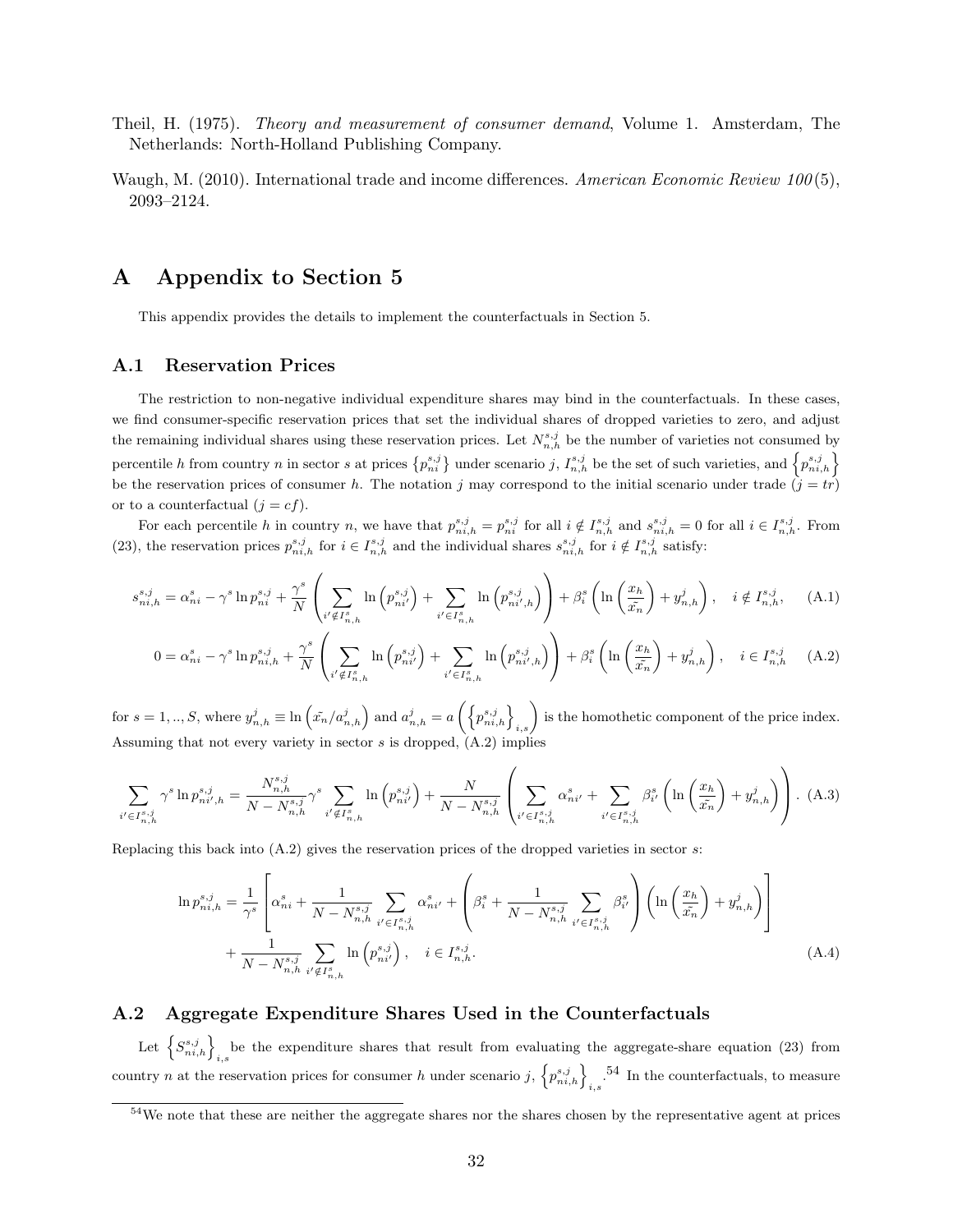- Theil, H. (1975). Theory and measurement of consumer demand, Volume 1. Amsterdam, The Netherlands: North-Holland Publishing Company.
- Waugh, M. (2010). International trade and income differences. American Economic Review  $100(5)$ , 2093–2124.

# A Appendix to Section 5

This appendix provides the details to implement the counterfactuals in Section 5.

#### A.1 Reservation Prices

The restriction to non-negative individual expenditure shares may bind in the counterfactuals. In these cases, we find consumer-specific reservation prices that set the individual shares of dropped varieties to zero, and adjust the remaining individual shares using these reservation prices. Let  $N_{n,h}^{s,j}$  be the number of varieties not consumed by percentile h from country n in sector s at prices  $\{p_{ni}^{s,j}\}$  under scenario j,  $I_{n,h}^{s,j}$  be the set of such varieties, and  $\{p_{ni,h}^{s,j}\}$ be the reservation prices of consumer h. The notation j may correspond to the initial scenario under trade  $(j = tr)$ or to a counterfactual  $(j = cf)$ .

For each percentile h in country n, we have that  $p_{ni,h}^{s,j} = p_{ni}^{s,j}$  for all  $i \notin I_{n,h}^{s,j}$  and  $s_{ni,h}^{s,j} = 0$  for all  $i \in I_{n,h}^{s,j}$ . From (23), the reservation prices  $p_{ni,h}^{s,j}$  for  $i \in I_{n,h}^{s,j}$  and the individual shares  $s_{ni,h}^{s,j}$  for  $i \notin I_{n,h}^{s,j}$  satisfy:

$$
s_{ni,h}^{s,j} = \alpha_{ni}^s - \gamma^s \ln p_{ni}^{s,j} + \frac{\gamma^s}{N} \left( \sum_{i' \notin I_{n,h}^s} \ln \left( p_{ni'}^{s,j} \right) + \sum_{i' \in I_{n,h}^s} \ln \left( p_{ni',h}^{s,j} \right) \right) + \beta_i^s \left( \ln \left( \frac{x_h}{\tilde{x}_h} \right) + y_{n,h}^j \right), \quad i \notin I_{n,h}^{s,j}, \tag{A.1}
$$

$$
0 = \alpha_{ni}^s - \gamma^s \ln p_{ni,h}^{s,j} + \frac{\gamma^s}{N} \left( \sum_{i' \notin I_{n,h}^s} \ln \left( p_{ni'}^{s,j} \right) + \sum_{i' \in I_{n,h}^s} \ln \left( p_{ni',h}^{s,j} \right) \right) + \beta_i^s \left( \ln \left( \frac{x_h}{x_n} \right) + y_{n,h}^j \right), \quad i \in I_{n,h}^{s,j} \tag{A.2}
$$

for  $s = 1, ..., S$ , where  $y_{n,h}^j \equiv \ln \left( \tilde{x_n}/a_{n,h}^j \right)$  and  $a_{n,h}^j = a \left( \left\{ p_{ni,h}^{s,j} \right\}_{i,s} \right)$  is the homothetic component of the price index. Assuming that not every variety in sector  $s$  is dropped,  $(A.2)$  implies

$$
\sum_{i' \in I^{s,j}_{n,h}} \gamma^s \ln p^{s,j}_{ni',h} = \frac{N^{s,j}_{n,h}}{N - N^{s,j}_{n,h}} \gamma^s \sum_{i' \notin I^{s}_{n,h}} \ln \left( p^{s,j}_{ni'} \right) + \frac{N}{N - N^{s,j}_{n,h}} \left( \sum_{i' \in I^{s,j}_{n,h}} \alpha^s_{ni'} + \sum_{i' \in I^{s,j}_{n,h}} \beta^s_{i'} \left( \ln \left( \frac{x_h}{\tilde{x}_n} \right) + y^j_{n,h} \right) \right). \tag{A.3}
$$

Replacing this back into (A.2) gives the reservation prices of the dropped varieties in sector s:

$$
\ln p_{ni,h}^{s,j} = \frac{1}{\gamma^s} \left[ \alpha_{ni}^s + \frac{1}{N - N_{n,h}^{s,j}} \sum_{i' \in I_{n,h}^{s,j}} \alpha_{ni'}^s + \left( \beta_i^s + \frac{1}{N - N_{n,h}^{s,j}} \sum_{i' \in I_{n,h}^{s,j}} \beta_{i'}^s \right) \left( \ln \left( \frac{x_h}{\tilde{x}_n} \right) + y_{n,h}^j \right) \right]
$$
  
+ 
$$
\frac{1}{N - N_{n,h}^{s,j}} \sum_{i' \notin I_{n,h}^s} \ln \left( p_{ni'}^{s,j} \right), \quad i \in I_{n,h}^{s,j}.
$$
 (A.4)

#### A.2 Aggregate Expenditure Shares Used in the Counterfactuals

Let  $\left\{S_{ni,h}^{s,j}\right\}_{i,s}$  be the expenditure shares that result from evaluating the aggregate-share equation (23) from country n at the reservation prices for consumer h under scenario j,  $\left\{p_{ni,h}^{s,j}\right\}_{i,s}$ ,  $^{54}$  In the counterfactuals, to measure

<sup>&</sup>lt;sup>54</sup>We note that these are neither the aggregate shares nor the shares chosen by the representative agent at prices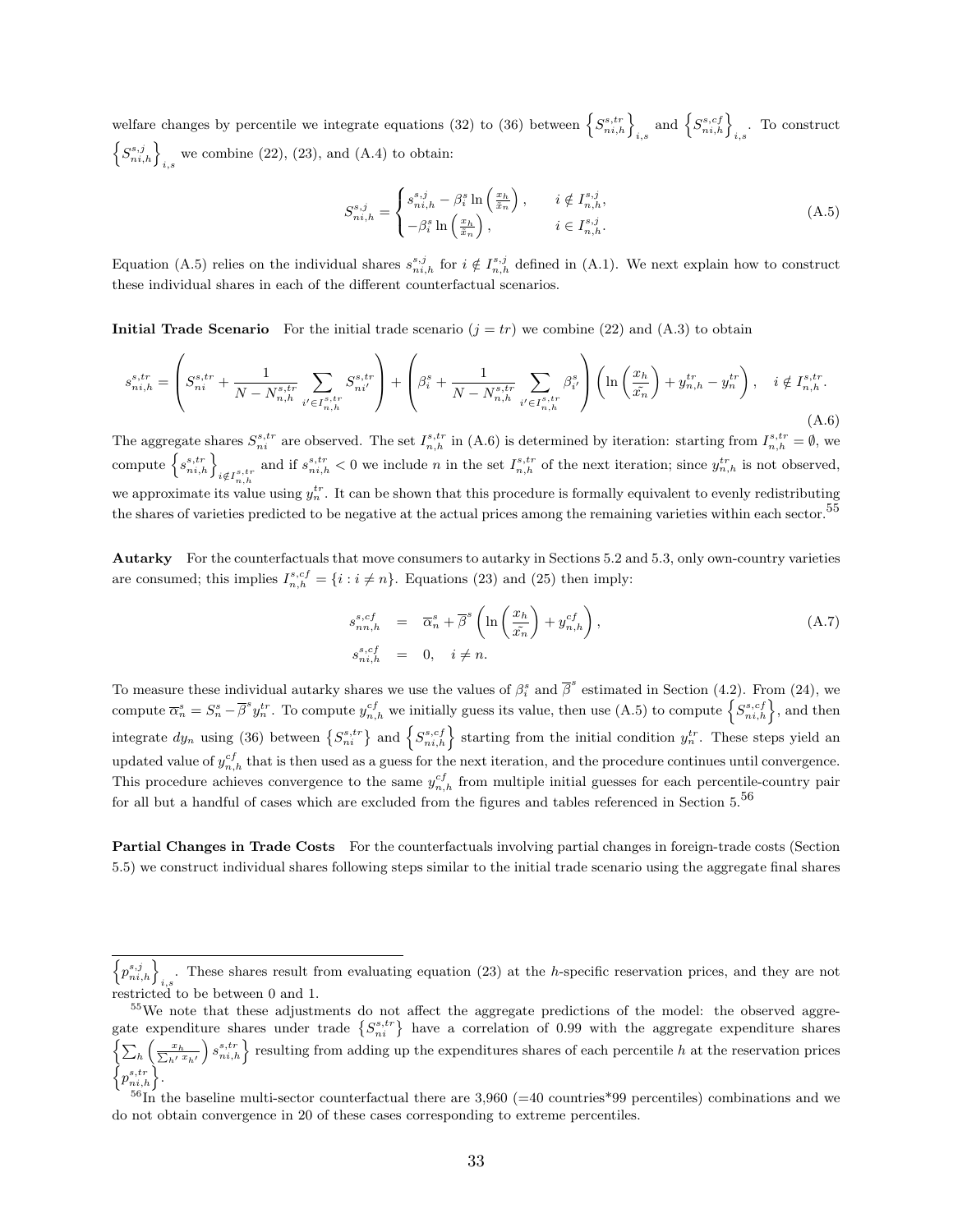welfare changes by percentile we integrate equations (32) to (36) between  $\left\{S_{ni,h}^{s,tr}\right\}_{i,s}$  and  $\left\{S_{ni,h}^{s,cf}\right\}_{i,s}$ . To construct  $\left\{S_{ni,h}^{s,j}\right\}_{i,s}$  we combine (22), (23), and (A.4) to obtain:

$$
S_{ni,h}^{s,j} = \begin{cases} s_{ni,h}^{s,j} - \beta_i^s \ln\left(\frac{x_h}{\tilde{x}_n}\right), & i \notin I_{n,h}^{s,j}, \\ -\beta_i^s \ln\left(\frac{x_h}{\tilde{x}_n}\right), & i \in I_{n,h}^{s,j}.\end{cases}
$$
(A.5)

Equation (A.5) relies on the individual shares  $s_{ni,h}^{s,j}$  for  $i \notin I_{n,h}^{s,j}$  defined in (A.1). We next explain how to construct these individual shares in each of the different counterfactual scenarios.

Initial Trade Scenario For the initial trade scenario  $(j = tr)$  we combine (22) and (A.3) to obtain

$$
s_{ni,h}^{s,tr} = \left( S_{ni}^{s,tr} + \frac{1}{N - N_{n,h}^{s,tr}} \sum_{i' \in I_{n,h}^{s,tr}} S_{ni'}^{s,tr} \right) + \left( \beta_i^s + \frac{1}{N - N_{n,h}^{s,tr}} \sum_{i' \in I_{n,h}^{s,tr}} \beta_{i'}^s \right) \left( \ln \left( \frac{x_h}{\tilde{x_n}} \right) + y_{n,h}^{tr} - y_n^{tr} \right), \quad i \notin I_{n,h}^{s,tr}.
$$
\n(A.6)

The aggregate shares  $S_{ni}^{s,tr}$  are observed. The set  $I_{n,h}^{s,tr}$  in (A.6) is determined by iteration: starting from  $I_{n,h}^{s,tr} = \emptyset$ , we  $\left\{s^{s,tr}_{ni,h}\right\}_{i\notin I^{s,tr}_{n,h}}$ and if  $s_{ni,h}^{s,tr} < 0$  we include n in the set  $I_{n,h}^{s,tr}$  of the next iteration; since  $y_{n,h}^{tr}$  is not observed, we approximate its value using  $y_n^{tr}$ . It can be shown that this procedure is formally equivalent to evenly redistributing the shares of varieties predicted to be negative at the actual prices among the remaining varieties within each sector.<sup>55</sup>

Autarky For the counterfactuals that move consumers to autarky in Sections 5.2 and 5.3, only own-country varieties are consumed; this implies  $I_{n,h}^{s,cf} = \{i : i \neq n\}$ . Equations (23) and (25) then imply:

$$
s_{nn,h}^{s,cf} = \overline{\alpha}_n^s + \overline{\beta}^s \left( \ln \left( \frac{x_h}{\tilde{x}_n} \right) + y_{n,h}^{cf} \right),
$$
  
\n
$$
s_{ni,h}^{s,cf} = 0, \quad i \neq n.
$$
\n(A.7)

To measure these individual autarky shares we use the values of  $\beta_i^s$  and  $\overline{\beta}^s$  estimated in Section (4.2). From (24), we compute  $\overline{\alpha}_n^s = S_n^s - \overline{\beta}^s y_n^{tr}$ . To compute  $y_{n,h}^{cf}$  we initially guess its value, then use (A.5) to compute  $\left\{S_{ni,h}^{s,cf}\right\}$ , and then integrate  $dy_n$  using (36) between  $\{S_{ni}^{s,tr}\}$  and  $\{S_{ni,h}^{s,cf}\}$  starting from the initial condition  $y_n^{tr}$ . These steps yield an updated value of  $y_{n,h}^{cf}$  that is then used as a guess for the next iteration, and the procedure continues until convergence. This procedure achieves convergence to the same  $y_{n,h}^{cf}$  from multiple initial guesses for each percentile-country pair for all but a handful of cases which are excluded from the figures and tables referenced in Section  $5.56$ 

Partial Changes in Trade Costs For the counterfactuals involving partial changes in foreign-trade costs (Section 5.5) we construct individual shares following steps similar to the initial trade scenario using the aggregate final shares

 $\left\{p_{ni,h}^{s,j}\right\}_{i,s}$ . These shares result from evaluating equation (23) at the h-specific reservation prices, and they are not restricted to be between 0 and 1.

<sup>&</sup>lt;sup>55</sup>We note that these adjustments do not affect the aggregate predictions of the model: the observed aggregate expenditure shares under trade  $\{S_{ni}^{s,tr}\}$  have a correlation of 0.99 with the aggregate expenditure shares  $\left\{\sum_h \left(\frac{x_h}{\sum_{h'} x_{h'}}\right) s_{ni,h}^{s,tr}\right\}$  resulting from adding up the expenditures shares of each percentile h at the reservation prices  $\left\{p_{ni,h}^{s,tr}\right\}$ .

 $^{56}$ In the baseline multi-sector counterfactual there are 3,960 (=40 countries\*99 percentiles) combinations and we do not obtain convergence in 20 of these cases corresponding to extreme percentiles.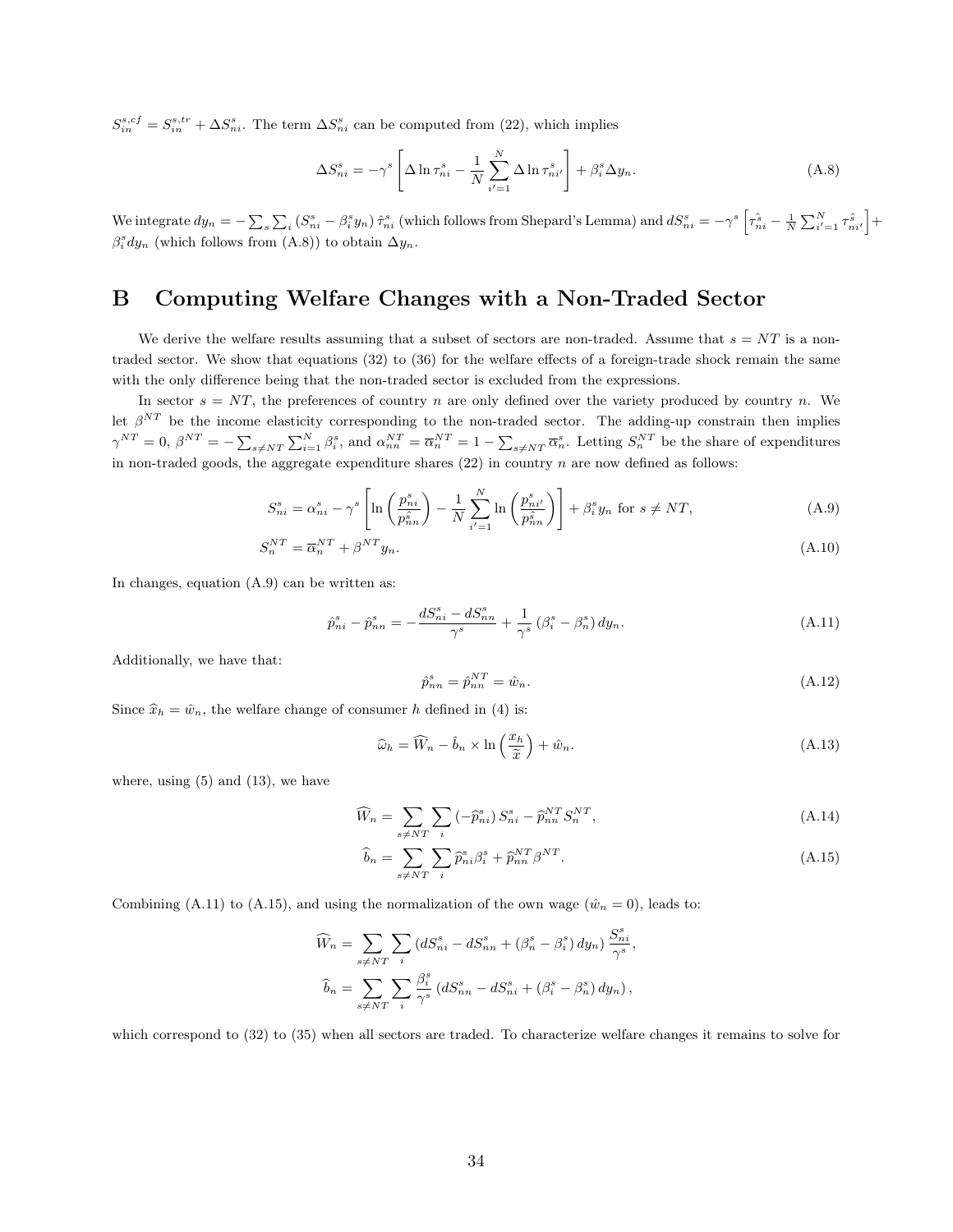$S_{in}^{s,cf} = S_{in}^{s,tr} + \Delta S_{ni}^{s}$ . The term  $\Delta S_{ni}^{s}$  can be computed from (22), which implies

$$
\Delta S_{ni}^s = -\gamma^s \left[ \Delta \ln \tau_{ni}^s - \frac{1}{N} \sum_{i'=1}^N \Delta \ln \tau_{ni'}^s \right] + \beta_i^s \Delta y_n.
$$
 (A.8)

We integrate  $dy_n = -\sum_s \sum_i (S_{ni}^s - \beta_i^s y_n) \hat{\tau}_{ni}^s$  (which follows from Shepard's Lemma) and  $dS_{ni}^s = -\gamma^s \left[ \hat{\tau}_{ni}^s - \frac{1}{N} \sum_{i'=1}^N \hat{\tau}_{ni'}^s \right] +$  $\beta_i^s dy_n$  (which follows from (A.8)) to obtain  $\Delta y_n$ .

# B Computing Welfare Changes with a Non-Traded Sector

We derive the welfare results assuming that a subset of sectors are non-traded. Assume that  $s = NT$  is a nontraded sector. We show that equations (32) to (36) for the welfare effects of a foreign-trade shock remain the same with the only difference being that the non-traded sector is excluded from the expressions.

In sector  $s = NT$ , the preferences of country n are only defined over the variety produced by country n. We let  $\beta^{NT}$  be the income elasticity corresponding to the non-traded sector. The adding-up constrain then implies  $\gamma^{NT} = 0$ ,  $\beta^{NT} = -\sum_{s \neq NT} \sum_{i=1}^{N} \beta_i^s$ , and  $\alpha_{nn}^{NT} = \overline{\alpha}_n^{NT} = 1 - \sum_{s \neq NT} \overline{\alpha}_n^s$ . Letting  $S_n^{NT}$  be the share of expenditures in non-traded goods, the aggregate expenditure shares (22) in country  $n$  are now defined as follows:

$$
S_{ni}^s = \alpha_{ni}^s - \gamma^s \left[ \ln \left( \frac{p_{ni}^s}{p_{nn}^s} \right) - \frac{1}{N} \sum_{i'=1}^N \ln \left( \frac{p_{ni'}^s}{p_{nn}^s} \right) \right] + \beta_i^s y_n \text{ for } s \neq NT,
$$
\n(A.9)

$$
S_n^{NT} = \overline{\alpha}_n^{NT} + \beta^{NT} y_n. \tag{A.10}
$$

In changes, equation (A.9) can be written as:

$$
\hat{p}_{ni}^s - \hat{p}_{nn}^s = -\frac{dS_{ni}^s - dS_{nn}^s}{\gamma^s} + \frac{1}{\gamma^s} \left(\beta_i^s - \beta_n^s\right) dy_n.
$$
\n(A.11)

Additionally, we have that:

$$
\hat{p}_{nn}^s = \hat{p}_{nn}^{NT} = \hat{w}_n.
$$
\n(A.12)

Since  $\hat{x}_h = \hat{w}_n$ , the welfare change of consumer h defined in (4) is:

$$
\widehat{\omega}_h = \widehat{W}_n - \widehat{b}_n \times \ln\left(\frac{x_h}{\widetilde{x}}\right) + \widehat{w}_n.
$$
\n(A.13)

where, using  $(5)$  and  $(13)$ , we have

$$
\widehat{W}_n = \sum_{s \neq NT} \sum_i \left( -\widehat{p}_{ni}^s \right) S_{ni}^s - \widehat{p}_{nn}^{NT} S_n^{NT}, \tag{A.14}
$$

$$
\widehat{b}_n = \sum_{s \neq NT} \sum_i \widehat{p}_{ni}^s \beta_i^s + \widehat{p}_{nn}^{NT} \beta^{NT}.
$$
\n(A.15)

Combining (A.11) to (A.15), and using the normalization of the own wage  $(\hat{w}_n = 0)$ , leads to:

$$
\widehat{W}_n = \sum_{s \neq NT} \sum_i \left( dS_{ni}^s - dS_{nn}^s + (\beta_n^s - \beta_i^s) dy_n \right) \frac{S_{ni}^s}{\gamma^s},
$$
  

$$
\widehat{b}_n = \sum_{s \neq NT} \sum_i \frac{\beta_i^s}{\gamma^s} \left( dS_{nn}^s - dS_{ni}^s + (\beta_i^s - \beta_n^s) dy_n \right),
$$

which correspond to (32) to (35) when all sectors are traded. To characterize welfare changes it remains to solve for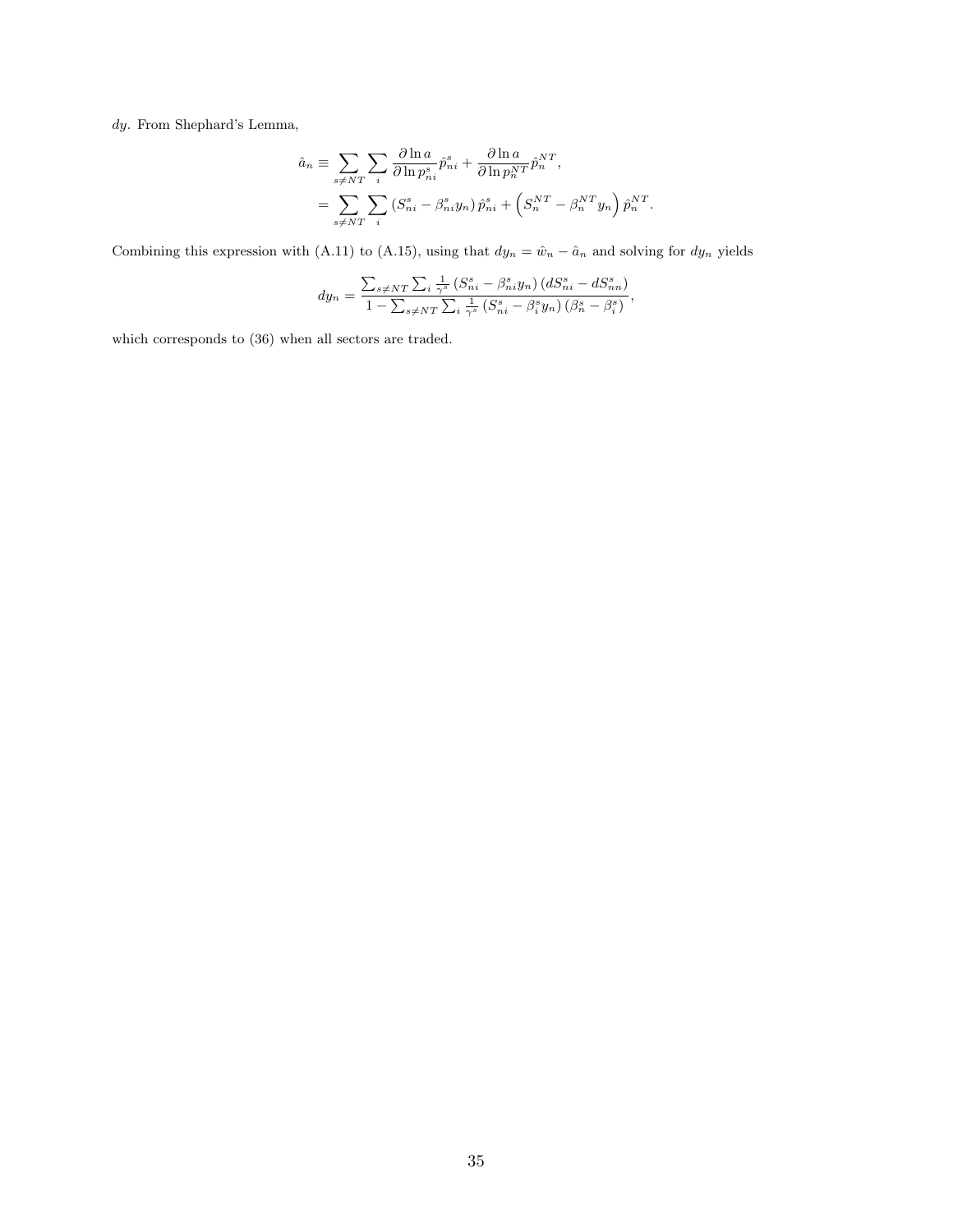$\emph{dy. From Shephard's Lemma},$ 

$$
\hat{a}_n \equiv \sum_{s \neq NT} \sum_i \frac{\partial \ln a}{\partial \ln p_{ni}^s} \hat{p}_{ni}^s + \frac{\partial \ln a}{\partial \ln p_n^{NT}} \hat{p}_n^{NT},
$$
  

$$
= \sum_{s \neq NT} \sum_i \left( S_{ni}^s - \beta_{ni}^s y_n \right) \hat{p}_{ni}^s + \left( S_n^{NT} - \beta_n^{NT} y_n \right) \hat{p}_n^{NT}.
$$

Combining this expression with (A.11) to (A.15), using that  $dy_n = \hat{w}_n - \hat{a}_n$  and solving for  $dy_n$  yields

$$
dy_n = \frac{\sum_{s \neq NT} \sum_i \frac{1}{\gamma^s} \left( S_{ni}^s - \beta_{ni}^s y_n \right) \left( d S_{ni}^s - d S_{nn}^s \right)}{1 - \sum_{s \neq NT} \sum_i \frac{1}{\gamma^s} \left( S_{ni}^s - \beta_i^s y_n \right) \left( \beta_n^s - \beta_i^s \right)},
$$

which corresponds to (36) when all sectors are traded.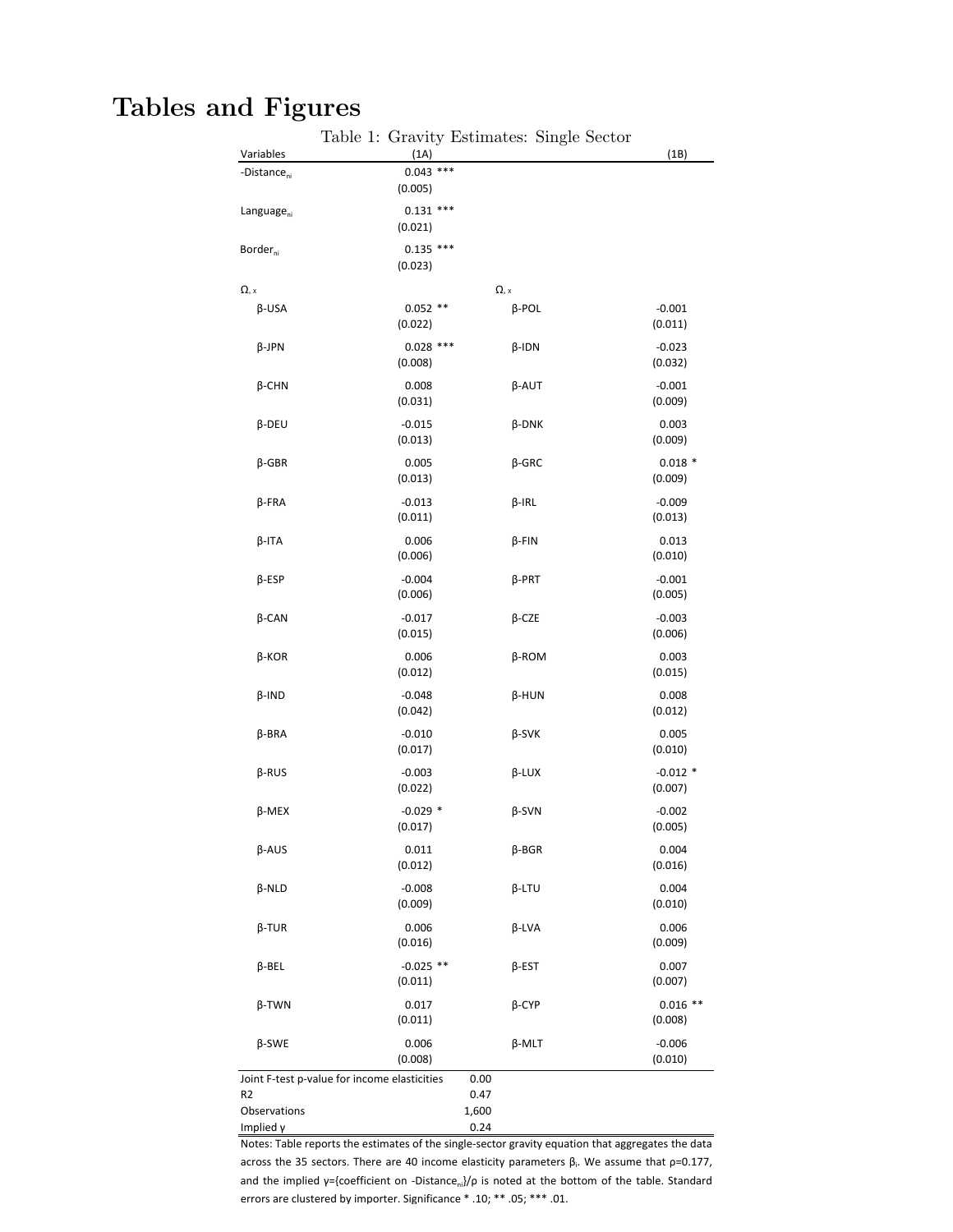# Tables and Figures

|                                        | Table 1: Gravity Estimates: Single Sector    |       |                                    |                       |
|----------------------------------------|----------------------------------------------|-------|------------------------------------|-----------------------|
| Variables                              | (1A)                                         |       |                                    | (1B)                  |
| -Distance <sub>ni</sub>                | $0.043$ ***<br>(0.005)                       |       |                                    |                       |
| Language <sub>ni</sub>                 | $0.131$ ***<br>(0.021)                       |       |                                    |                       |
| Border <sub>ni</sub>                   | $0.135$ ***<br>(0.023)                       |       |                                    |                       |
| $\Omega_{\scriptscriptstyle{\rm n}}$ x |                                              |       | $\Omega_{\scriptscriptstyle{n}}$ x |                       |
|                                        |                                              |       |                                    | $-0.001$              |
| $\beta$ -USA                           | $0.052$ **<br>(0.022)                        |       | $\beta$ -POL                       | (0.011)               |
| $\beta$ -JPN                           | $0.028$ ***<br>(0.008)                       |       | $\beta$ -IDN                       | $-0.023$<br>(0.032)   |
| $\beta$ -CHN                           | 0.008<br>(0.031)                             |       | $\beta$ -AUT                       | $-0.001$<br>(0.009)   |
| $\beta$ -DEU                           | $-0.015$<br>(0.013)                          |       | $\beta$ -DNK                       | 0.003<br>(0.009)      |
| $\beta$ -GBR                           | 0.005<br>(0.013)                             |       | $\beta$ -GRC                       | $0.018*$<br>(0.009)   |
| β-FRA                                  | $-0.013$<br>(0.011)                          |       | $\beta$ -IRL                       | $-0.009$<br>(0.013)   |
| $\beta$ -ITA                           | 0.006<br>(0.006)                             |       | $\beta$ -FIN                       | 0.013<br>(0.010)      |
| $\beta$ -ESP                           | $-0.004$<br>(0.006)                          |       | $\beta$ -PRT                       | $-0.001$<br>(0.005)   |
| $\beta$ -CAN                           | $-0.017$<br>(0.015)                          |       | $\beta$ -CZE                       | $-0.003$<br>(0.006)   |
| β-KOR                                  | 0.006<br>(0.012)                             |       | $\beta$ -ROM                       | 0.003<br>(0.015)      |
| $\beta$ -IND                           | $-0.048$<br>(0.042)                          |       | β-HUN                              | 0.008<br>(0.012)      |
| $\beta$ -BRA                           | $-0.010$<br>(0.017)                          |       | $\beta$ -SVK                       | 0.005<br>(0.010)      |
| $\beta$ -RUS                           | $-0.003$<br>(0.022)                          |       | $\beta$ -LUX                       | $-0.012$ *<br>(0.007) |
| $\beta$ -MEX                           | $-0.029$ *<br>(0.017)                        |       | $\beta$ -SVN                       | $-0.002$<br>(0.005)   |
| $\beta$ -AUS                           | 0.011<br>(0.012)                             |       | $\beta$ -BGR                       | 0.004<br>(0.016)      |
| $\beta$ -NLD                           | $-0.008$<br>(0.009)                          |       | $\beta$ -LTU                       | 0.004<br>(0.010)      |
| $\beta$ -TUR                           | 0.006<br>(0.016)                             |       | $\beta$ -LVA                       | 0.006<br>(0.009)      |
| β-BEL                                  | $-0.025$ **<br>(0.011)                       |       | $\beta$ -EST                       | 0.007<br>(0.007)      |
| $\beta$ -TWN                           | 0.017<br>(0.011)                             |       | $\beta$ -CYP                       | $0.016$ **<br>(0.008) |
| $\beta$ -SWE                           | 0.006<br>(0.008)                             |       | β-MLT                              | $-0.006$<br>(0.010)   |
|                                        | Joint F-test p-value for income elasticities | 0.00  |                                    |                       |
| R <sub>2</sub>                         |                                              | 0.47  |                                    |                       |
| Observations                           |                                              | 1,600 |                                    |                       |
| Implied γ                              |                                              | 0.24  |                                    |                       |

Notes: Table reports the estimates of the single-sector gravity equation that aggregates the data across the 35 sectors. There are 40 income elasticity parameters  $β_i$ . We assume that  $p=0.177$ , and the implied  $\gamma$ ={coefficient on -Distance<sub>ni</sub>}/ $\rho$  is noted at the bottom of the table. Standard errors are clustered by importer. Significance \* .10; \*\* .05; \*\*\* .01.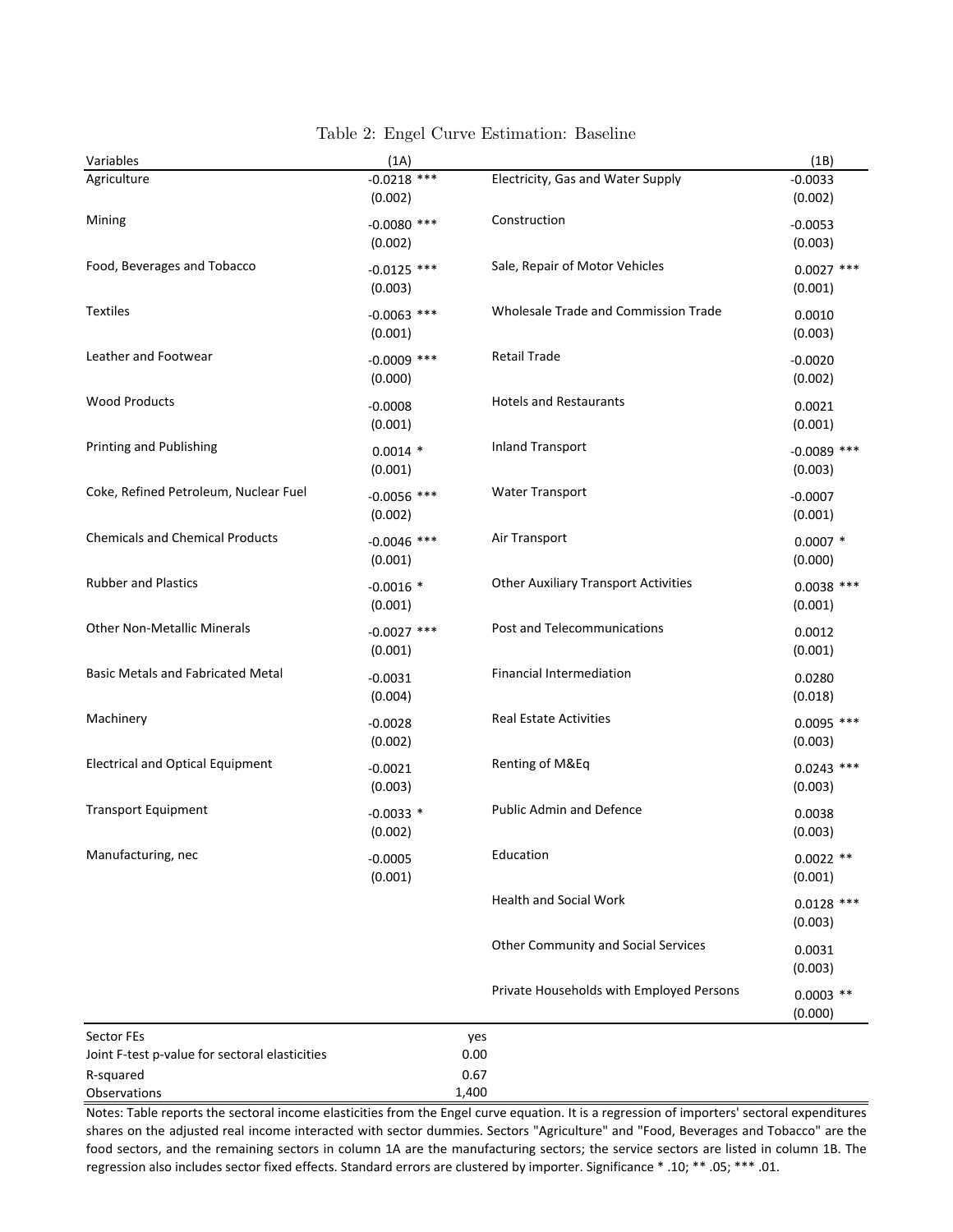| Variables                                                                 | (1A)                     |                                             | (1B)                     |
|---------------------------------------------------------------------------|--------------------------|---------------------------------------------|--------------------------|
| Agriculture                                                               | $-0.0218$ ***<br>(0.002) | Electricity, Gas and Water Supply           | $-0.0033$<br>(0.002)     |
| Mining                                                                    | $-0.0080$ ***<br>(0.002) | Construction                                | $-0.0053$<br>(0.003)     |
| Food, Beverages and Tobacco                                               | $-0.0125$ ***<br>(0.003) | Sale, Repair of Motor Vehicles              | $0.0027$ ***<br>(0.001)  |
| <b>Textiles</b>                                                           | $-0.0063$ ***<br>(0.001) | Wholesale Trade and Commission Trade        | 0.0010<br>(0.003)        |
| Leather and Footwear                                                      | $-0.0009$ ***<br>(0.000) | <b>Retail Trade</b>                         | $-0.0020$<br>(0.002)     |
| <b>Wood Products</b>                                                      | $-0.0008$<br>(0.001)     | <b>Hotels and Restaurants</b>               | 0.0021<br>(0.001)        |
| Printing and Publishing                                                   | $0.0014$ *<br>(0.001)    | <b>Inland Transport</b>                     | $-0.0089$ ***<br>(0.003) |
| Coke, Refined Petroleum, Nuclear Fuel                                     | $-0.0056$ ***<br>(0.002) | <b>Water Transport</b>                      | $-0.0007$<br>(0.001)     |
| <b>Chemicals and Chemical Products</b>                                    | $-0.0046$ ***<br>(0.001) | Air Transport                               | $0.0007*$<br>(0.000)     |
| <b>Rubber and Plastics</b>                                                | $-0.0016$ *<br>(0.001)   | <b>Other Auxiliary Transport Activities</b> | $0.0038$ ***<br>(0.001)  |
| <b>Other Non-Metallic Minerals</b>                                        | $-0.0027$ ***<br>(0.001) | Post and Telecommunications                 | 0.0012<br>(0.001)        |
| <b>Basic Metals and Fabricated Metal</b>                                  | $-0.0031$<br>(0.004)     | Financial Intermediation                    | 0.0280<br>(0.018)        |
| Machinery                                                                 | $-0.0028$<br>(0.002)     | <b>Real Estate Activities</b>               | $0.0095$ ***<br>(0.003)  |
| <b>Electrical and Optical Equipment</b>                                   | $-0.0021$<br>(0.003)     | Renting of M&Eq                             | $0.0243$ ***<br>(0.003)  |
| <b>Transport Equipment</b>                                                | $-0.0033$ *<br>(0.002)   | <b>Public Admin and Defence</b>             | 0.0038<br>(0.003)        |
| Manufacturing, nec                                                        | $-0.0005$<br>(0.001)     | Education                                   | $0.0022$ **<br>(0.001)   |
|                                                                           |                          | <b>Health and Social Work</b>               | $0.0128$ ***<br>(0.003)  |
|                                                                           |                          | <b>Other Community and Social Services</b>  | 0.0031<br>(0.003)        |
|                                                                           |                          | Private Households with Employed Persons    | $0.0003$ **<br>(0.000)   |
| Sector FEs<br>Joint F-test p-value for sectoral elasticities<br>R-squared |                          | yes<br>0.00<br>0.67                         |                          |

Table 2: Engel Curve Estimation: Baseline

Notes: Table reports the sectoral income elasticities from the Engel curve equation. It is a regression of importers' sectoral expenditures shares on the adjusted real income interacted with sector dummies. Sectors "Agriculture" and "Food, Beverages and Tobacco" are the food sectors, and the remaining sectors in column 1A are the manufacturing sectors; the service sectors are listed in column 1B. The regression also includes sector fixed effects. Standard errors are clustered by importer. Significance \* .10; \*\* .05; \*\*\* .01.

Observations 1,400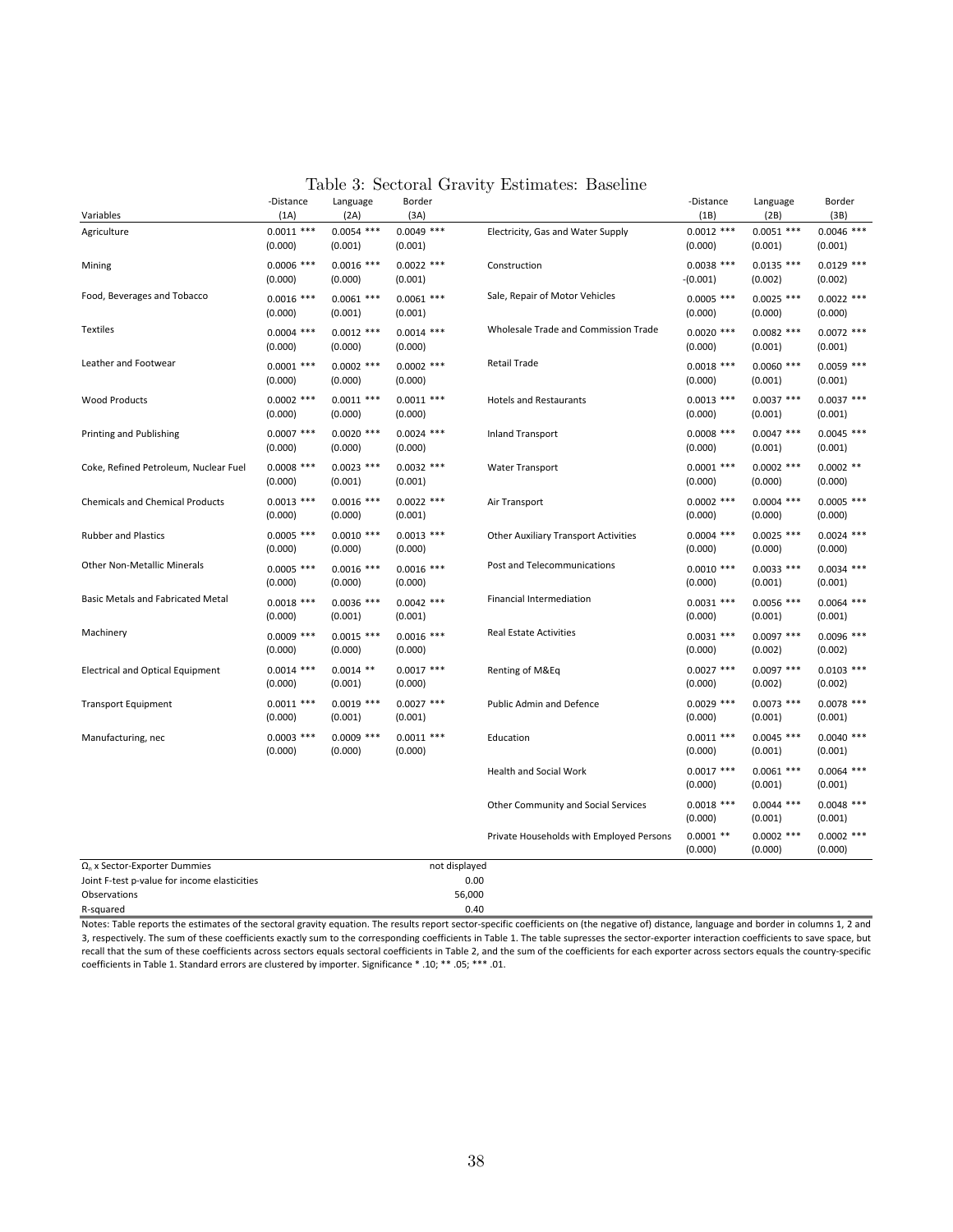| Table 3: Sectoral Gravity Estimates: Baseline |  |  |  |
|-----------------------------------------------|--|--|--|
|-----------------------------------------------|--|--|--|

|                                              | -Distance<br>(1A)       | Language                | Border                  |                                             | -Distance<br>(1B)          | Language                | Border                  |
|----------------------------------------------|-------------------------|-------------------------|-------------------------|---------------------------------------------|----------------------------|-------------------------|-------------------------|
| Variables                                    |                         | (2A)                    | (3A)                    |                                             |                            | (2B)                    | (3B)                    |
| Agriculture                                  | $0.0011$ ***<br>(0.000) | $0.0054$ ***<br>(0.001) | $0.0049$ ***<br>(0.001) | Electricity, Gas and Water Supply           | $0.0012$ ***<br>(0.000)    | $0.0051$ ***<br>(0.001) | $0.0046$ ***<br>(0.001) |
| Mining                                       | $0.0006$ ***<br>(0.000) | $0.0016$ ***<br>(0.000) | $0.0022$ ***<br>(0.001) | Construction                                | $0.0038$ ***<br>$-(0.001)$ | $0.0135$ ***<br>(0.002) | $0.0129$ ***<br>(0.002) |
| Food, Beverages and Tobacco                  | $0.0016$ ***<br>(0.000) | $0.0061$ ***<br>(0.001) | $0.0061$ ***<br>(0.001) | Sale, Repair of Motor Vehicles              | $0.0005$ ***<br>(0.000)    | $0.0025$ ***<br>(0.000) | $0.0022$ ***<br>(0.000) |
| Textiles                                     | $0.0004$ ***<br>(0.000) | $0.0012$ ***<br>(0.000) | $0.0014$ ***<br>(0.000) | Wholesale Trade and Commission Trade        | $0.0020$ ***<br>(0.000)    | $0.0082$ ***<br>(0.001) | $0.0072$ ***<br>(0.001) |
| Leather and Footwear                         | $0.0001$ ***<br>(0.000) | $0.0002$ ***<br>(0.000) | $0.0002$ ***<br>(0.000) | Retail Trade                                | $0.0018$ ***<br>(0.000)    | $0.0060$ ***<br>(0.001) | $0.0059$ ***<br>(0.001) |
| <b>Wood Products</b>                         | $0.0002$ ***<br>(0.000) | $0.0011$ ***<br>(0.000) | $0.0011$ ***<br>(0.000) | <b>Hotels and Restaurants</b>               | $0.0013$ ***<br>(0.000)    | $0.0037$ ***<br>(0.001) | $0.0037$ ***<br>(0.001) |
| Printing and Publishing                      | $0.0007$ ***<br>(0.000) | $0.0020$ ***<br>(0.000) | $0.0024$ ***<br>(0.000) | <b>Inland Transport</b>                     | $0.0008$ ***<br>(0.000)    | $0.0047$ ***<br>(0.001) | $0.0045$ ***<br>(0.001) |
| Coke, Refined Petroleum, Nuclear Fuel        | $0.0008$ ***<br>(0.000) | $0.0023$ ***<br>(0.001) | $0.0032$ ***<br>(0.001) | Water Transport                             | $0.0001$ ***<br>(0.000)    | $0.0002$ ***<br>(0.000) | $0.0002$ **<br>(0.000)  |
| <b>Chemicals and Chemical Products</b>       | $0.0013$ ***<br>(0.000) | $0.0016$ ***<br>(0.000) | $0.0022$ ***<br>(0.001) | Air Transport                               | $0.0002$ ***<br>(0.000)    | $0.0004$ ***<br>(0.000) | $0.0005$ ***<br>(0.000) |
| <b>Rubber and Plastics</b>                   | $0.0005$ ***<br>(0.000) | $0.0010$ ***<br>(0.000) | $0.0013$ ***<br>(0.000) | <b>Other Auxiliary Transport Activities</b> | $0.0004$ ***<br>(0.000)    | $0.0025$ ***<br>(0.000) | $0.0024$ ***<br>(0.000) |
| <b>Other Non-Metallic Minerals</b>           | $0.0005$ ***<br>(0.000) | $0.0016$ ***<br>(0.000) | $0.0016$ ***<br>(0.000) | Post and Telecommunications                 | $0.0010$ ***<br>(0.000)    | $0.0033$ ***<br>(0.001) | $0.0034$ ***<br>(0.001) |
| Basic Metals and Fabricated Metal            | $0.0018$ ***<br>(0.000) | $0.0036$ ***<br>(0.001) | $0.0042$ ***<br>(0.001) | <b>Financial Intermediation</b>             | $0.0031$ ***<br>(0.000)    | $0.0056$ ***<br>(0.001) | $0.0064$ ***<br>(0.001) |
| Machinery                                    | $0.0009$ ***<br>(0.000) | $0.0015$ ***<br>(0.000) | $0.0016$ ***<br>(0.000) | <b>Real Estate Activities</b>               | $0.0031$ ***<br>(0.000)    | $0.0097$ ***<br>(0.002) | $0.0096$ ***<br>(0.002) |
| <b>Electrical and Optical Equipment</b>      | $0.0014$ ***<br>(0.000) | $0.0014$ **<br>(0.001)  | $0.0017$ ***<br>(0.000) | Renting of M&Eq                             | $0.0027$ ***<br>(0.000)    | $0.0097$ ***<br>(0.002) | $0.0103$ ***<br>(0.002) |
| <b>Transport Equipment</b>                   | $0.0011$ ***<br>(0.000) | $0.0019$ ***<br>(0.001) | $0.0027$ ***<br>(0.001) | <b>Public Admin and Defence</b>             | $0.0029$ ***<br>(0.000)    | $0.0073$ ***<br>(0.001) | $0.0078$ ***<br>(0.001) |
| Manufacturing, nec                           | $0.0003$ ***<br>(0.000) | $0.0009$ ***<br>(0.000) | $0.0011$ ***<br>(0.000) | Education                                   | $0.0011$ ***<br>(0.000)    | $0.0045$ ***<br>(0.001) | $0.0040$ ***<br>(0.001) |
|                                              |                         |                         |                         | <b>Health and Social Work</b>               | $0.0017$ ***<br>(0.000)    | $0.0061$ ***<br>(0.001) | $0.0064$ ***<br>(0.001) |
|                                              |                         |                         |                         | Other Community and Social Services         | $0.0018$ ***<br>(0.000)    | $0.0044$ ***<br>(0.001) | $0.0048$ ***<br>(0.001) |
|                                              |                         |                         |                         | Private Households with Employed Persons    | $0.0001$ **<br>(0.000)     | $0.0002$ ***<br>(0.000) | $0.0002$ ***<br>(0.000) |
| $\Omega_n$ x Sector-Exporter Dummies         |                         |                         | not displayed           |                                             |                            |                         |                         |
| Joint F-test p-value for income elasticities |                         |                         |                         | 0.00                                        |                            |                         |                         |
| Observations                                 |                         |                         |                         | 56,000                                      |                            |                         |                         |
| R-squared                                    |                         |                         |                         | 0.40                                        |                            |                         |                         |

Notes: Table reports the estimates of the sectoral gravity equation. The results report sector-specific coefficients on (the negative of) distance, language and border in columns 1, 2 and 3, respectively. The sum of these coefficients exactly sum to the corresponding coefficients in Table 1. The table supresses the sector-exporter interaction coefficients to save space, but recall that the sum of these coefficients across sectors equals sectoral coefficients in Table 2, and the sum of the coefficients for each exporter across sectors equals the country-specific coefficients in Table 1. Standard errors are clustered by importer. Significance \* .10; \*\* .05; \*\*\* .01.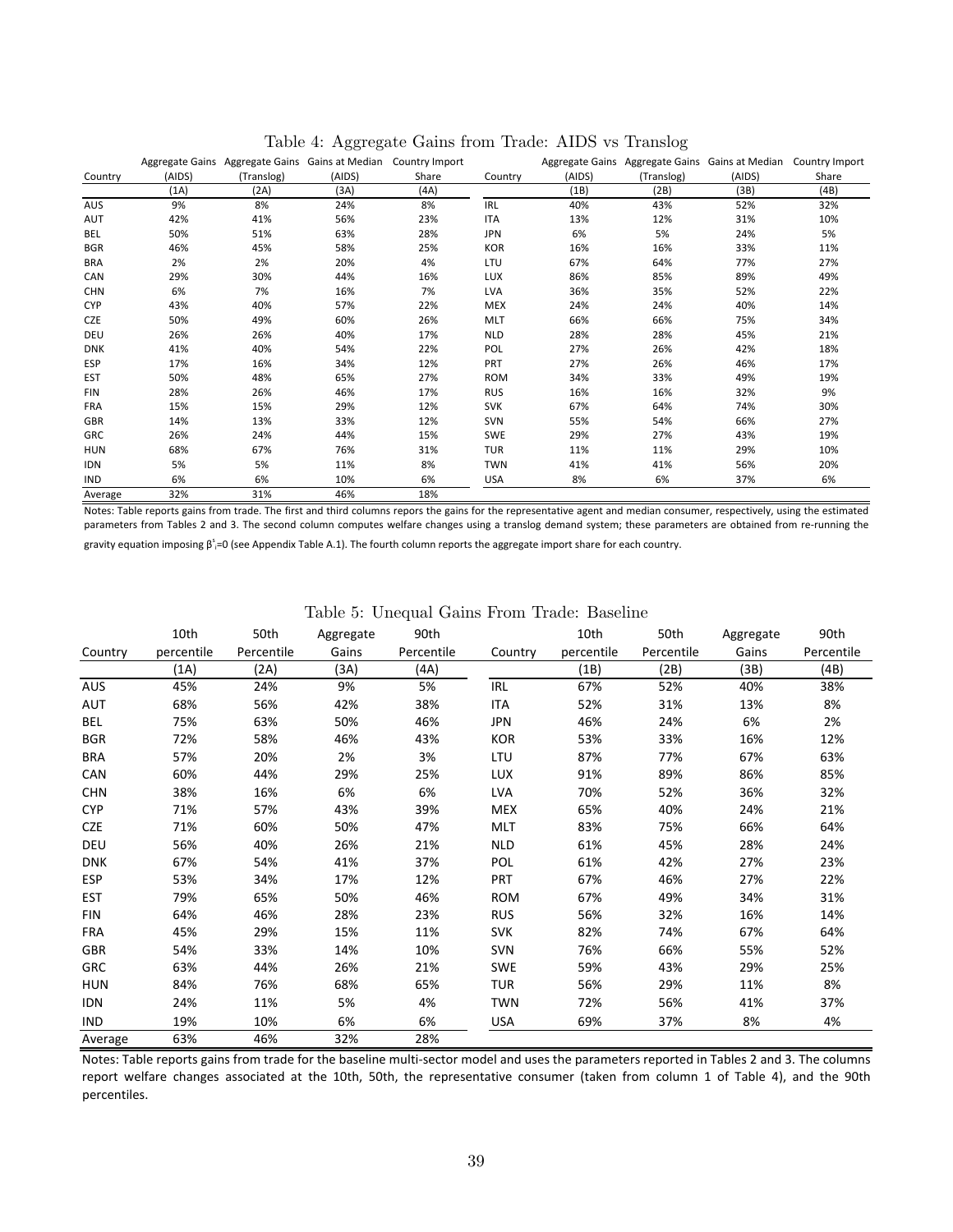|            |        |            |                                                 |                |            |        | $\check{ }$ |                                                                |       |
|------------|--------|------------|-------------------------------------------------|----------------|------------|--------|-------------|----------------------------------------------------------------|-------|
|            |        |            | Aggregate Gains Aggregate Gains Gains at Median | Country Import |            |        |             | Aggregate Gains Aggregate Gains Gains at Median Country Import |       |
| Country    | (AIDS) | (Translog) | (AIDS)                                          | Share          | Country    | (AIDS) | (Translog)  | (AIDS)                                                         | Share |
|            | (1A)   | (2A)       | (3A)                                            | (AA)           |            | (1B)   | (2B)        | (3B)                                                           | (4B)  |
| AUS        | 9%     | 8%         | 24%                                             | 8%             | <b>IRL</b> | 40%    | 43%         | 52%                                                            | 32%   |
| AUT        | 42%    | 41%        | 56%                                             | 23%            | <b>ITA</b> | 13%    | 12%         | 31%                                                            | 10%   |
| BEL        | 50%    | 51%        | 63%                                             | 28%            | <b>JPN</b> | 6%     | 5%          | 24%                                                            | 5%    |
| <b>BGR</b> | 46%    | 45%        | 58%                                             | 25%            | <b>KOR</b> | 16%    | 16%         | 33%                                                            | 11%   |
| <b>BRA</b> | 2%     | 2%         | 20%                                             | 4%             | LTU        | 67%    | 64%         | 77%                                                            | 27%   |
| CAN        | 29%    | 30%        | 44%                                             | 16%            | <b>LUX</b> | 86%    | 85%         | 89%                                                            | 49%   |
| <b>CHN</b> | 6%     | 7%         | 16%                                             | 7%             | LVA        | 36%    | 35%         | 52%                                                            | 22%   |
| <b>CYP</b> | 43%    | 40%        | 57%                                             | 22%            | <b>MEX</b> | 24%    | 24%         | 40%                                                            | 14%   |
| <b>CZE</b> | 50%    | 49%        | 60%                                             | 26%            | <b>MLT</b> | 66%    | 66%         | 75%                                                            | 34%   |
| DEU        | 26%    | 26%        | 40%                                             | 17%            | <b>NLD</b> | 28%    | 28%         | 45%                                                            | 21%   |
| <b>DNK</b> | 41%    | 40%        | 54%                                             | 22%            | POL        | 27%    | 26%         | 42%                                                            | 18%   |
| <b>ESP</b> | 17%    | 16%        | 34%                                             | 12%            | PRT        | 27%    | 26%         | 46%                                                            | 17%   |
| <b>EST</b> | 50%    | 48%        | 65%                                             | 27%            | <b>ROM</b> | 34%    | 33%         | 49%                                                            | 19%   |
| <b>FIN</b> | 28%    | 26%        | 46%                                             | 17%            | <b>RUS</b> | 16%    | 16%         | 32%                                                            | 9%    |
| <b>FRA</b> | 15%    | 15%        | 29%                                             | 12%            | <b>SVK</b> | 67%    | 64%         | 74%                                                            | 30%   |
| GBR        | 14%    | 13%        | 33%                                             | 12%            | <b>SVN</b> | 55%    | 54%         | 66%                                                            | 27%   |
| GRC        | 26%    | 24%        | 44%                                             | 15%            | <b>SWE</b> | 29%    | 27%         | 43%                                                            | 19%   |
| <b>HUN</b> | 68%    | 67%        | 76%                                             | 31%            | TUR        | 11%    | 11%         | 29%                                                            | 10%   |
| <b>IDN</b> | 5%     | 5%         | 11%                                             | 8%             | <b>TWN</b> | 41%    | 41%         | 56%                                                            | 20%   |
| <b>IND</b> | 6%     | 6%         | 10%                                             | 6%             | <b>USA</b> | 8%     | 6%          | 37%                                                            | 6%    |
| Average    | 32%    | 31%        | 46%                                             | 18%            |            |        |             |                                                                |       |

Table 4: Aggregate Gains from Trade: AIDS vs Translog

Notes: Table reports gains from trade. The first and third columns repors the gains for the representative agent and median consumer, respectively, using the estimated parameters from Tables 2 and 3. The second column computes welfare changes using a translog demand system; these parameters are obtained from re-running the

gravity equation imposing  $\beta$ <sup>5</sup>=0 (see Appendix Table A.1). The fourth column reports the aggregate import share for each country.

|            | 10th       | 50th       | Aggregate | 90th       |            | 10th       | 50th       | Aggregate | 90th       |
|------------|------------|------------|-----------|------------|------------|------------|------------|-----------|------------|
| Country    | percentile | Percentile | Gains     | Percentile | Country    | percentile | Percentile | Gains     | Percentile |
|            | (1A)       | (2A)       | (3A)      | (4A)       |            | (1B)       | (2B)       | (3B)      | (4B)       |
| <b>AUS</b> | 45%        | 24%        | 9%        | 5%         | IRL        | 67%        | 52%        | 40%       | 38%        |
| AUT        | 68%        | 56%        | 42%       | 38%        | ITA        | 52%        | 31%        | 13%       | 8%         |
| BEL        | 75%        | 63%        | 50%       | 46%        | JPN        | 46%        | 24%        | 6%        | 2%         |
| <b>BGR</b> | 72%        | 58%        | 46%       | 43%        | <b>KOR</b> | 53%        | 33%        | 16%       | 12%        |
| <b>BRA</b> | 57%        | 20%        | 2%        | 3%         | LTU        | 87%        | 77%        | 67%       | 63%        |
| CAN        | 60%        | 44%        | 29%       | 25%        | <b>LUX</b> | 91%        | 89%        | 86%       | 85%        |
| <b>CHN</b> | 38%        | 16%        | 6%        | 6%         | <b>LVA</b> | 70%        | 52%        | 36%       | 32%        |
| <b>CYP</b> | 71%        | 57%        | 43%       | 39%        | <b>MEX</b> | 65%        | 40%        | 24%       | 21%        |
| <b>CZE</b> | 71%        | 60%        | 50%       | 47%        | <b>MLT</b> | 83%        | 75%        | 66%       | 64%        |
| <b>DEU</b> | 56%        | 40%        | 26%       | 21%        | <b>NLD</b> | 61%        | 45%        | 28%       | 24%        |
| <b>DNK</b> | 67%        | 54%        | 41%       | 37%        | <b>POL</b> | 61%        | 42%        | 27%       | 23%        |
| <b>ESP</b> | 53%        | 34%        | 17%       | 12%        | <b>PRT</b> | 67%        | 46%        | 27%       | 22%        |
| <b>EST</b> | 79%        | 65%        | 50%       | 46%        | <b>ROM</b> | 67%        | 49%        | 34%       | 31%        |
| <b>FIN</b> | 64%        | 46%        | 28%       | 23%        | <b>RUS</b> | 56%        | 32%        | 16%       | 14%        |
| <b>FRA</b> | 45%        | 29%        | 15%       | 11%        | <b>SVK</b> | 82%        | 74%        | 67%       | 64%        |
| <b>GBR</b> | 54%        | 33%        | 14%       | 10%        | <b>SVN</b> | 76%        | 66%        | 55%       | 52%        |
| <b>GRC</b> | 63%        | 44%        | 26%       | 21%        | <b>SWE</b> | 59%        | 43%        | 29%       | 25%        |
| <b>HUN</b> | 84%        | 76%        | 68%       | 65%        | TUR        | 56%        | 29%        | 11%       | 8%         |
| <b>IDN</b> | 24%        | 11%        | 5%        | 4%         | <b>TWN</b> | 72%        | 56%        | 41%       | 37%        |
| <b>IND</b> | 19%        | 10%        | 6%        | 6%         | <b>USA</b> | 69%        | 37%        | 8%        | 4%         |
| Average    | 63%        | 46%        | 32%       | 28%        |            |            |            |           |            |

Table 5: Unequal Gains From Trade: Baseline

Notes: Table reports gains from trade for the baseline multi-sector model and uses the parameters reported in Tables 2 and 3. The columns report welfare changes associated at the 10th, 50th, the representative consumer (taken from column 1 of Table 4), and the 90th percentiles.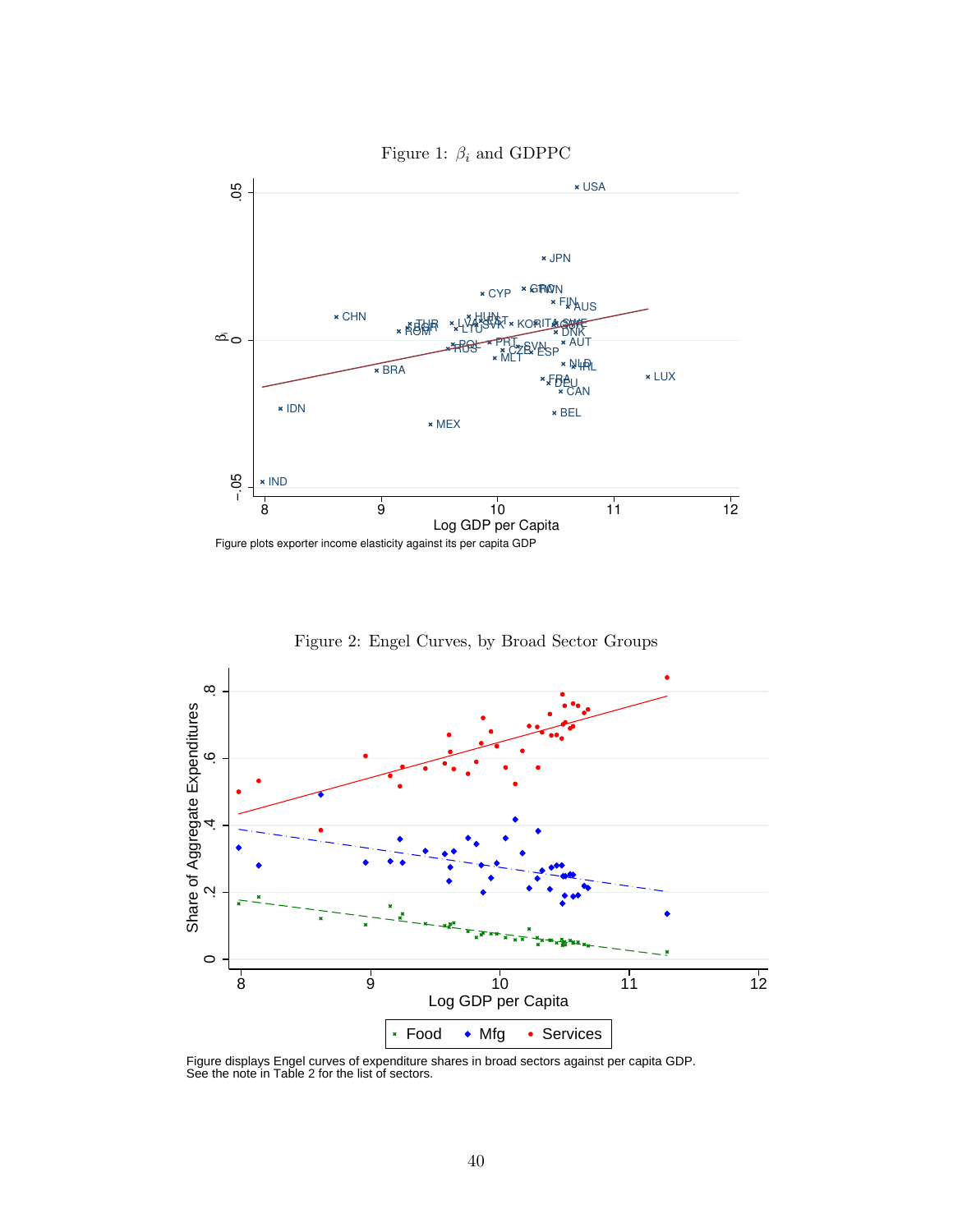

Figure 2: Engel Curves, by Broad Sector Groups



Figure displays Engel curves of expenditure shares in broad sectors against per capita GDP. See the note in Table 2 for the list of sectors.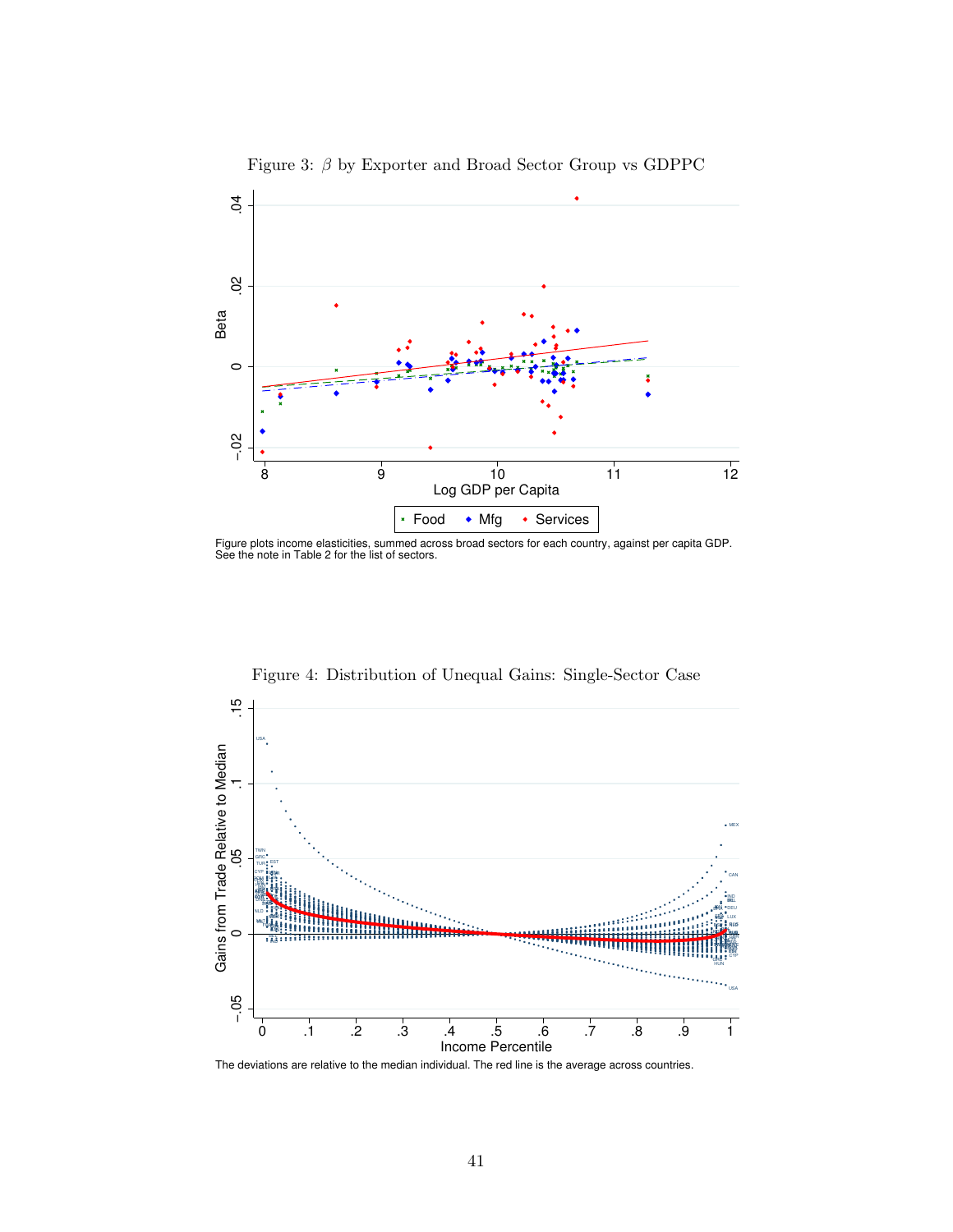

Figure 3:  $\beta$  by Exporter and Broad Sector Group vs GDPPC

Figure plots income elasticities, summed across broad sectors for each country, against per capita GDP. See the note in Table 2 for the list of sectors.



Figure 4: Distribution of Unequal Gains: Single-Sector Case

The deviations are relative to the median individual. The red line is the average across countries.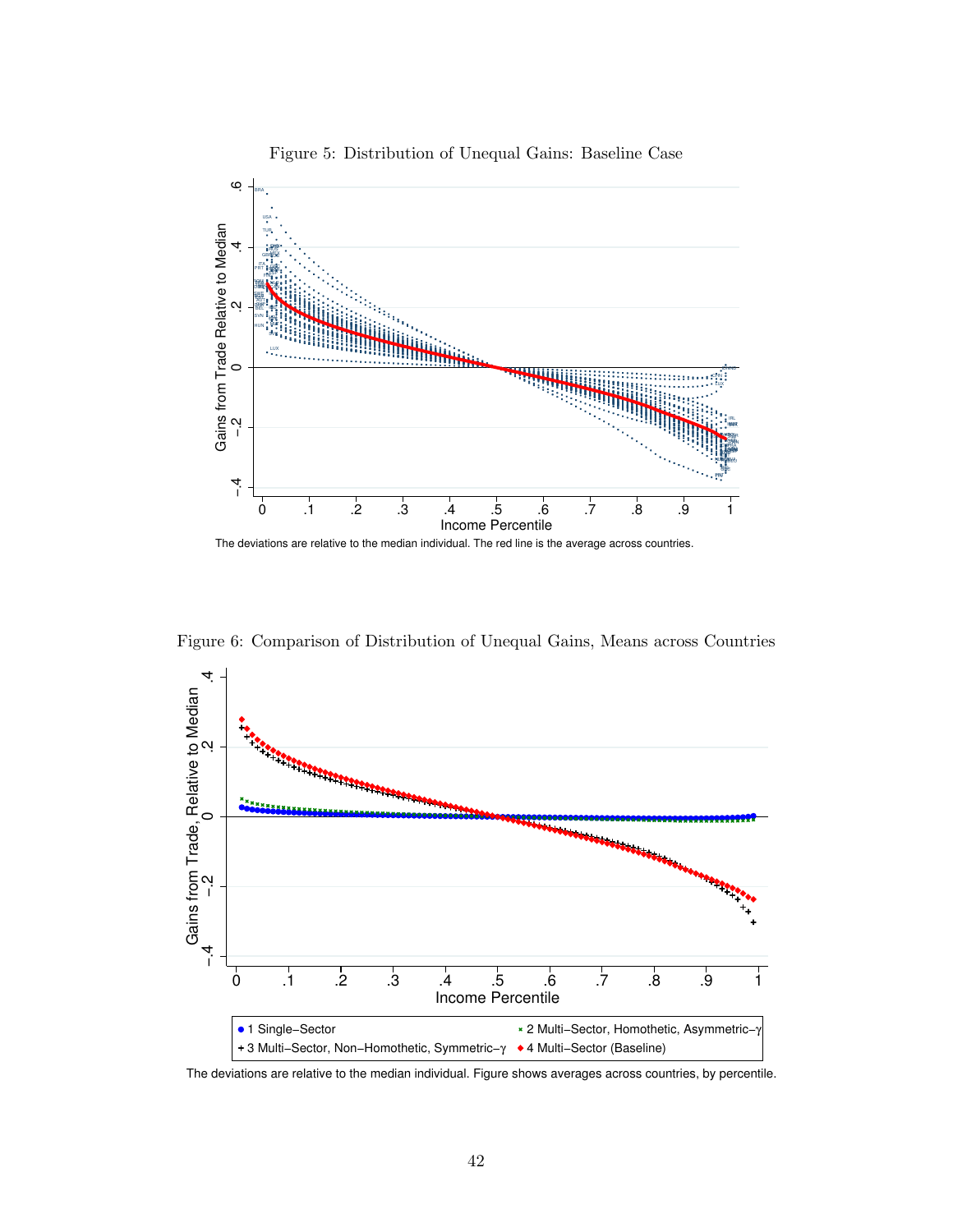

Figure 5: Distribution of Unequal Gains: Baseline Case

Figure 6: Comparison of Distribution of Unequal Gains, Means across Countries



The deviations are relative to the median individual. Figure shows averages across countries, by percentile.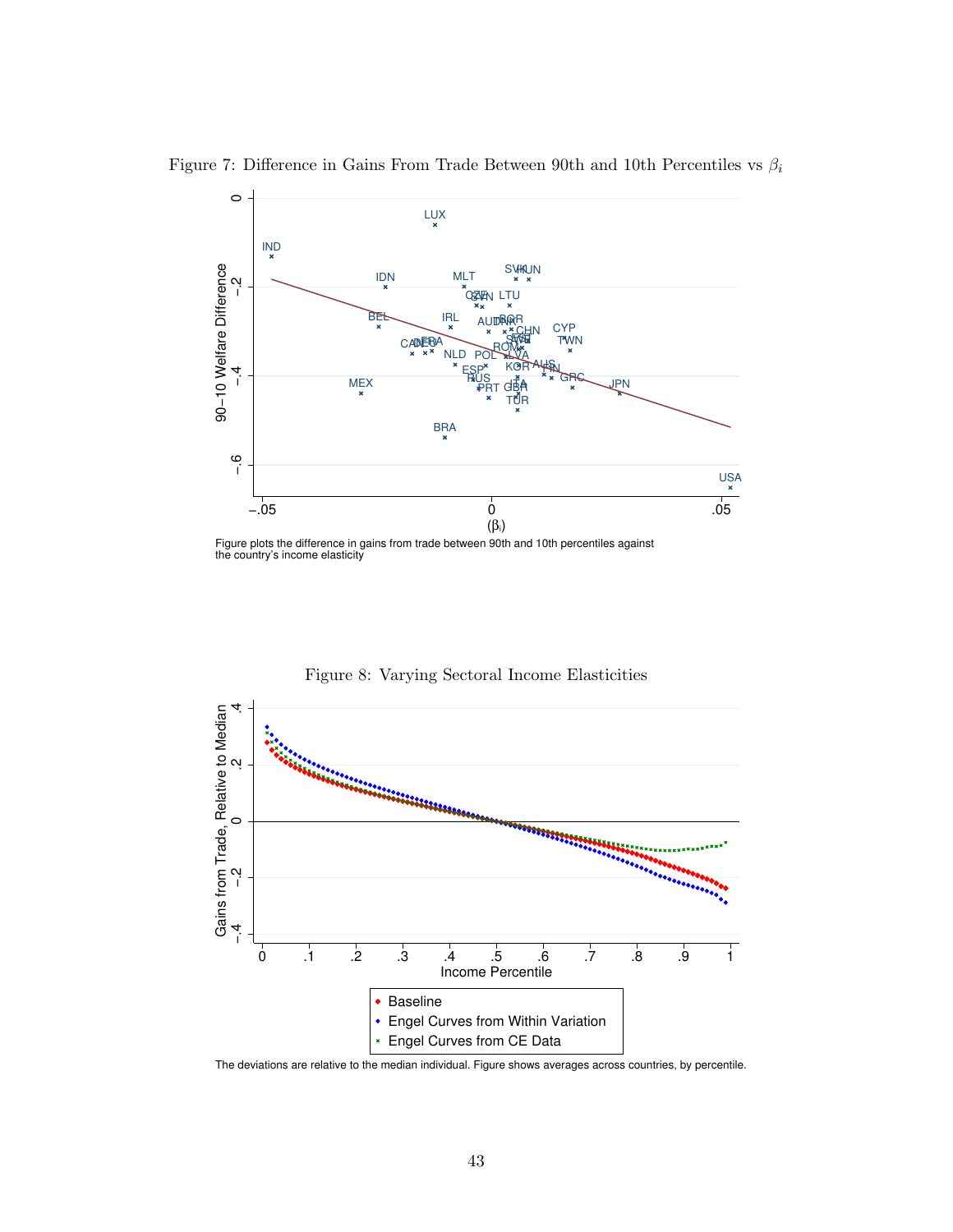

Figure 7: Difference in Gains From Trade Between 90th and 10th Percentiles vs  $\beta_i$ 



Figure 8: Varying Sectoral Income Elasticities

The deviations are relative to the median individual. Figure shows averages across countries, by percentile.

Figure plots the difference in gains from trade between 90th and 10th percentiles against the country's income elasticity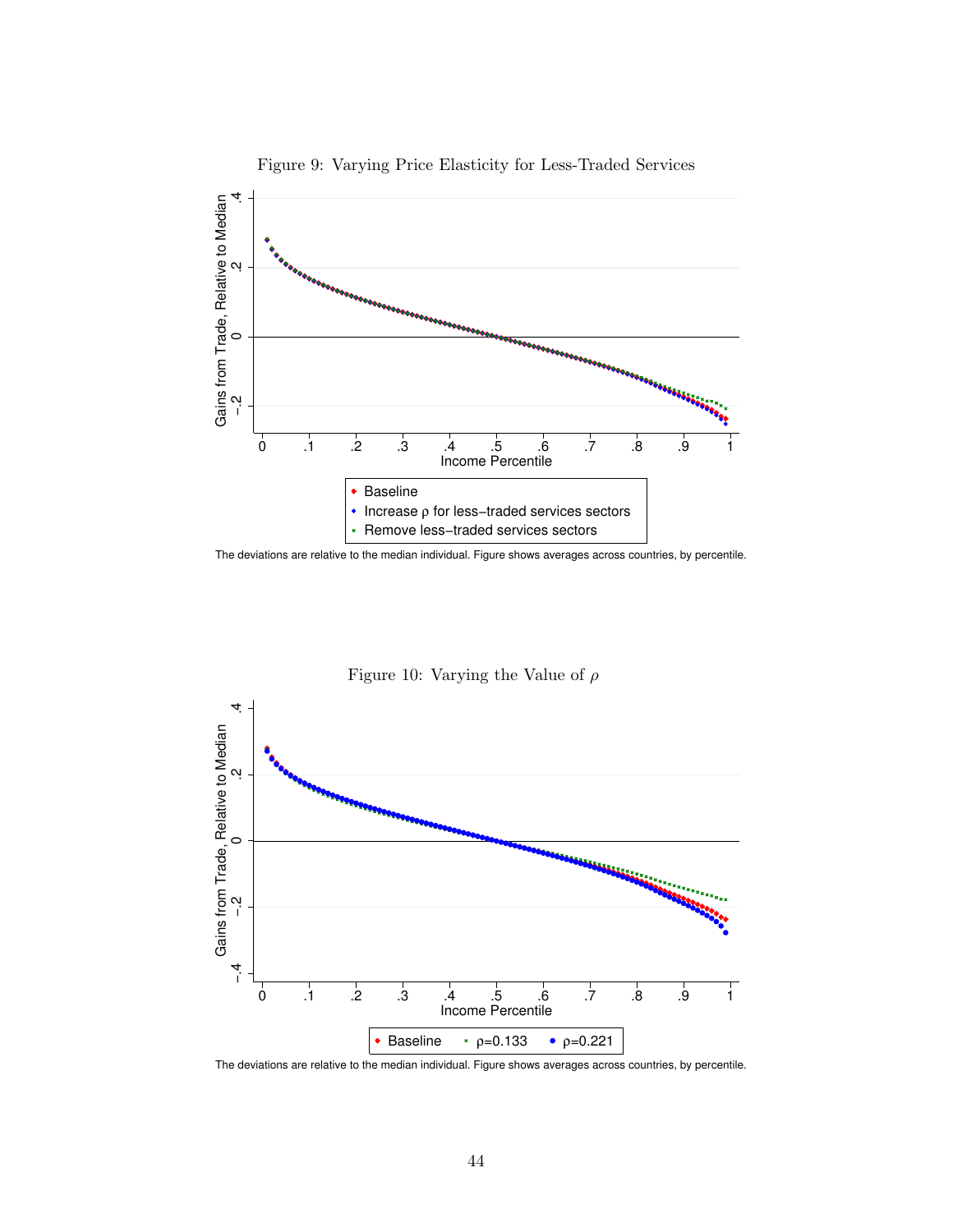

Figure 9: Varying Price Elasticity for Less-Traded Services

The deviations are relative to the median individual. Figure shows averages across countries, by percentile.



Figure 10: Varying the Value of  $\rho$ 

The deviations are relative to the median individual. Figure shows averages across countries, by percentile.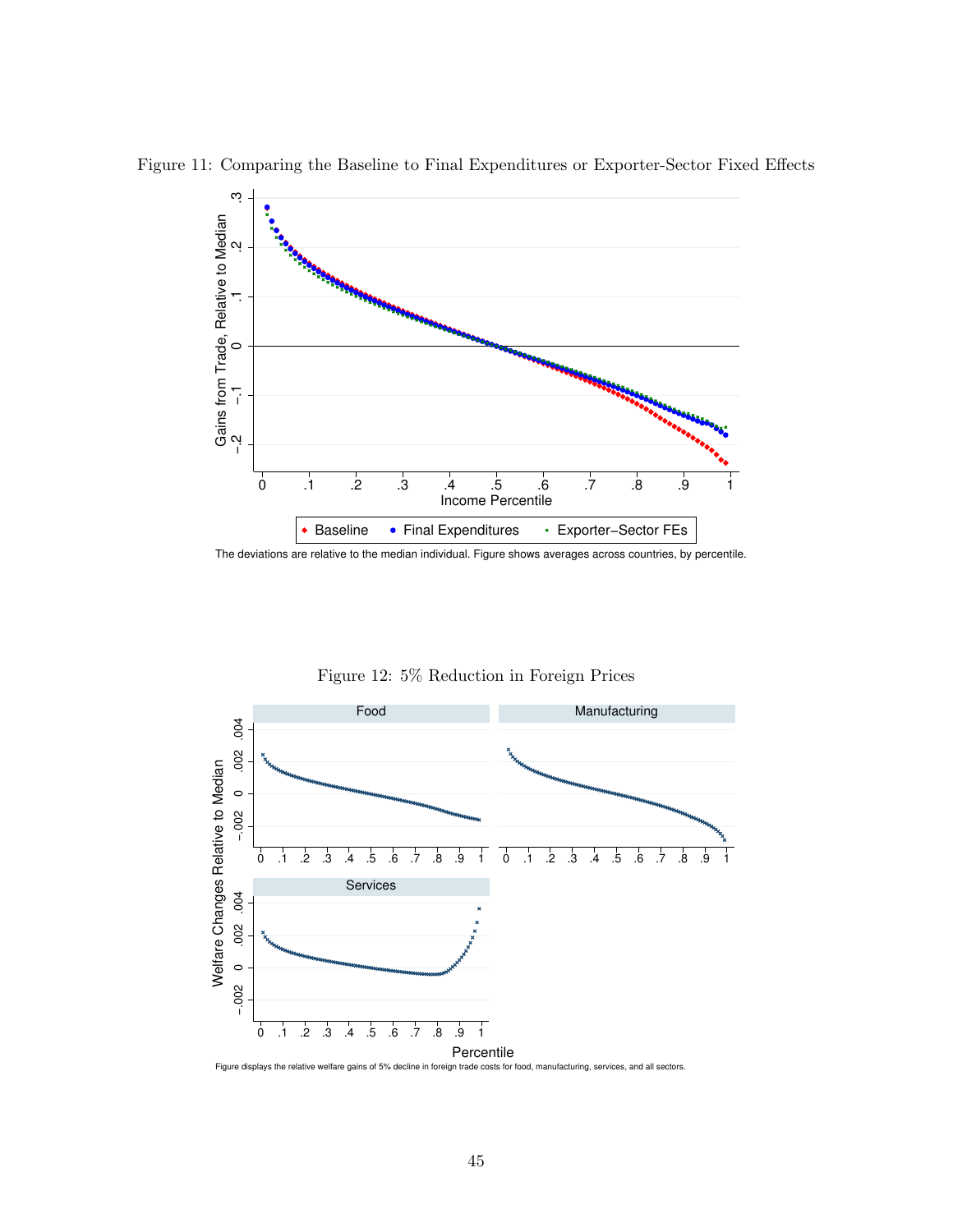

Figure 11: Comparing the Baseline to Final Expenditures or Exporter-Sector Fixed Effects

The deviations are relative to the median individual. Figure shows averages across countries, by percentile.



Figure 12: 5% Reduction in Foreign Prices

Figure displays the relative welfare gains of 5% decline in foreign trade costs for food, manufacturing, services, and all sectors.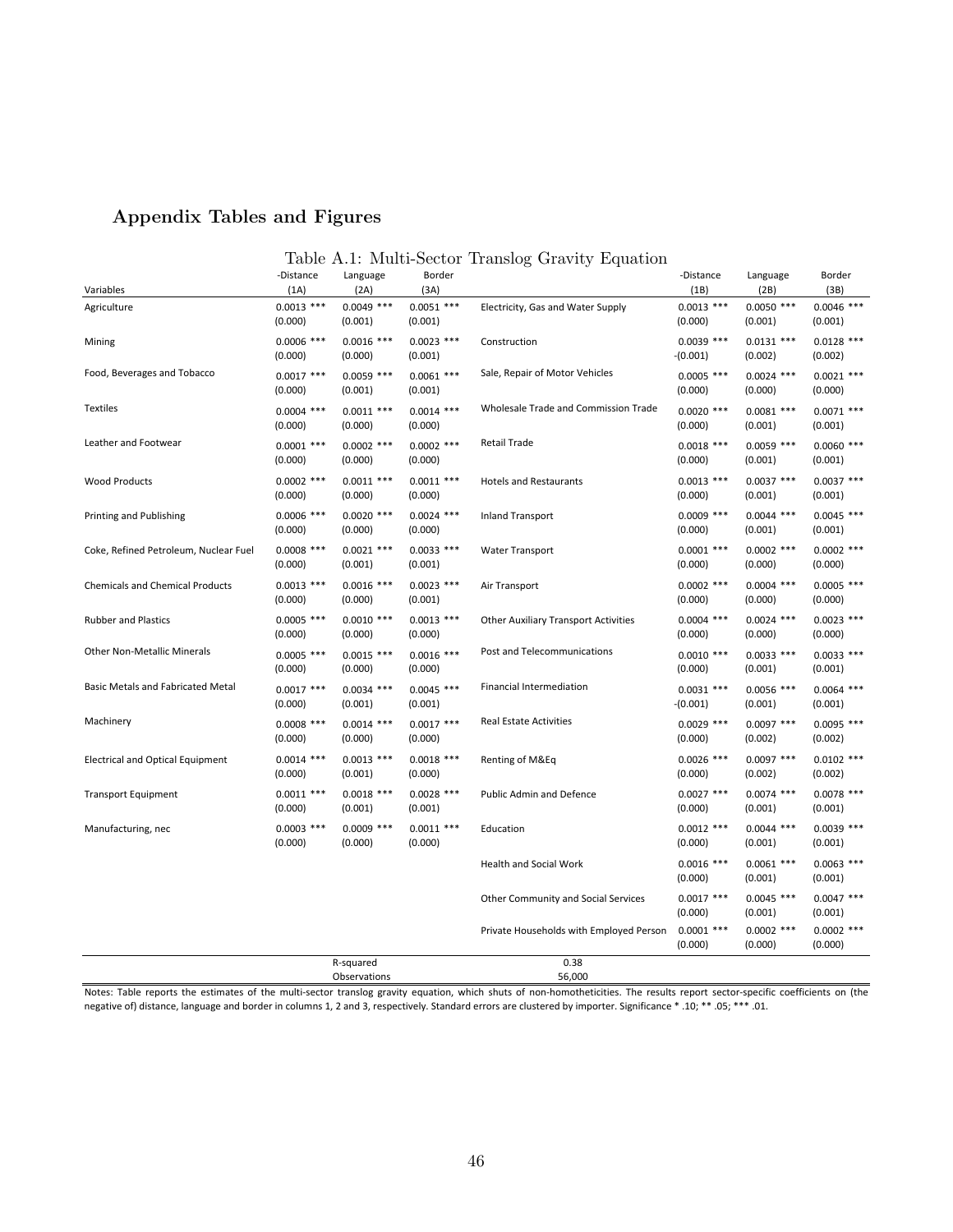# Appendix Tables and Figures

# Table A.1: Multi-Sector Translog Gravity Equation

| Variables                                | -Distance<br>(1A)       | Language<br>(2A)          | Border<br>(3A)          |                                             | -Distance<br>(1B)          | Language<br>(2B)        | Border<br>(3B)          |
|------------------------------------------|-------------------------|---------------------------|-------------------------|---------------------------------------------|----------------------------|-------------------------|-------------------------|
| Agriculture                              | $0.0013$ ***<br>(0.000) | $0.0049$ ***<br>(0.001)   | $0.0051$ ***<br>(0.001) | Electricity, Gas and Water Supply           | $0.0013$ ***<br>(0.000)    | $0.0050$ ***<br>(0.001) | $0.0046$ ***<br>(0.001) |
| Mining                                   | $0.0006$ ***<br>(0.000) | $0.0016$ ***<br>(0.000)   | $0.0023$ ***<br>(0.001) | Construction                                | $0.0039$ ***<br>$-(0.001)$ | $0.0131$ ***<br>(0.002) | $0.0128$ ***<br>(0.002) |
| Food, Beverages and Tobacco              | $0.0017$ ***<br>(0.000) | $0.0059$ ***<br>(0.001)   | $0.0061$ ***<br>(0.001) | Sale, Repair of Motor Vehicles              | $0.0005$ ***<br>(0.000)    | $0.0024$ ***<br>(0.000) | $0.0021$ ***<br>(0.000) |
| <b>Textiles</b>                          | $0.0004$ ***<br>(0.000) | $0.0011$ ***<br>(0.000)   | $0.0014$ ***<br>(0.000) | Wholesale Trade and Commission Trade        | $0.0020$ ***<br>(0.000)    | $0.0081$ ***<br>(0.001) | $0.0071$ ***<br>(0.001) |
| Leather and Footwear                     | $0.0001$ ***<br>(0.000) | $0.0002$ ***<br>(0.000)   | $0.0002$ ***<br>(0.000) | <b>Retail Trade</b>                         | $0.0018$ ***<br>(0.000)    | $0.0059$ ***<br>(0.001) | $0.0060$ ***<br>(0.001) |
| <b>Wood Products</b>                     | $0.0002$ ***<br>(0.000) | $0.0011$ ***<br>(0.000)   | $0.0011$ ***<br>(0.000) | <b>Hotels and Restaurants</b>               | $0.0013$ ***<br>(0.000)    | $0.0037$ ***<br>(0.001) | $0.0037$ ***<br>(0.001) |
| Printing and Publishing                  | $0.0006$ ***<br>(0.000) | $0.0020$ ***<br>(0.000)   | $0.0024$ ***<br>(0.000) | <b>Inland Transport</b>                     | $0.0009$ ***<br>(0.000)    | $0.0044$ ***<br>(0.001) | $0.0045$ ***<br>(0.001) |
| Coke, Refined Petroleum, Nuclear Fuel    | $0.0008$ ***<br>(0.000) | $0.0021$ ***<br>(0.001)   | $0.0033$ ***<br>(0.001) | <b>Water Transport</b>                      | $0.0001$ ***<br>(0.000)    | $0.0002$ ***<br>(0.000) | $0.0002$ ***<br>(0.000) |
| <b>Chemicals and Chemical Products</b>   | $0.0013$ ***<br>(0.000) | $0.0016$ ***<br>(0.000)   | $0.0023$ ***<br>(0.001) | Air Transport                               | $0.0002$ ***<br>(0.000)    | $0.0004$ ***<br>(0.000) | $0.0005$ ***<br>(0.000) |
| <b>Rubber and Plastics</b>               | $0.0005$ ***<br>(0.000) | $0.0010$ ***<br>(0.000)   | $0.0013$ ***<br>(0.000) | <b>Other Auxiliary Transport Activities</b> | $0.0004$ ***<br>(0.000)    | $0.0024$ ***<br>(0.000) | $0.0023$ ***<br>(0.000) |
| <b>Other Non-Metallic Minerals</b>       | $0.0005$ ***<br>(0.000) | $0.0015$ ***<br>(0.000)   | $0.0016$ ***<br>(0.000) | Post and Telecommunications                 | $0.0010$ ***<br>(0.000)    | $0.0033$ ***<br>(0.001) | $0.0033$ ***<br>(0.001) |
| <b>Basic Metals and Fabricated Metal</b> | $0.0017$ ***<br>(0.000) | $0.0034$ ***<br>(0.001)   | $0.0045$ ***<br>(0.001) | Financial Intermediation                    | $0.0031$ ***<br>$-(0.001)$ | $0.0056$ ***<br>(0.001) | $0.0064$ ***<br>(0.001) |
| Machinery                                | $0.0008$ ***<br>(0.000) | $0.0014$ ***<br>(0.000)   | $0.0017$ ***<br>(0.000) | <b>Real Estate Activities</b>               | $0.0029$ ***<br>(0.000)    | $0.0097$ ***<br>(0.002) | $0.0095$ ***<br>(0.002) |
| <b>Electrical and Optical Equipment</b>  | $0.0014$ ***<br>(0.000) | $0.0013$ ***<br>(0.001)   | $0.0018$ ***<br>(0.000) | Renting of M&Eq                             | $0.0026$ ***<br>(0.000)    | $0.0097$ ***<br>(0.002) | $0.0102$ ***<br>(0.002) |
| <b>Transport Equipment</b>               | $0.0011$ ***<br>(0.000) | $0.0018$ ***<br>(0.001)   | $0.0028$ ***<br>(0.001) | <b>Public Admin and Defence</b>             | $0.0027$ ***<br>(0.000)    | $0.0074$ ***<br>(0.001) | $0.0078$ ***<br>(0.001) |
| Manufacturing, nec                       | $0.0003$ ***<br>(0.000) | $0.0009$ ***<br>(0.000)   | $0.0011$ ***<br>(0.000) | Education                                   | $0.0012$ ***<br>(0.000)    | $0.0044$ ***<br>(0.001) | $0.0039$ ***<br>(0.001) |
|                                          |                         |                           |                         | <b>Health and Social Work</b>               | $0.0016$ ***<br>(0.000)    | $0.0061$ ***<br>(0.001) | $0.0063$ ***<br>(0.001) |
|                                          |                         |                           |                         | Other Community and Social Services         | $0.0017$ ***<br>(0.000)    | $0.0045$ ***<br>(0.001) | $0.0047$ ***<br>(0.001) |
|                                          |                         |                           |                         | Private Households with Employed Person     | $0.0001$ ***<br>(0.000)    | $0.0002$ ***<br>(0.000) | $0.0002$ ***<br>(0.000) |
|                                          |                         | R-squared<br>Observations |                         | 0.38<br>56,000                              |                            |                         |                         |

Notes: Table reports the estimates of the multi-sector translog gravity equation, which shuts of non-homotheticities. The results report sector-specific coefficients on (the negative of) distance, language and border in columns 1, 2 and 3, respectively. Standard errors are clustered by importer. Significance \* .10; \*\* .05; \*\*\* .01.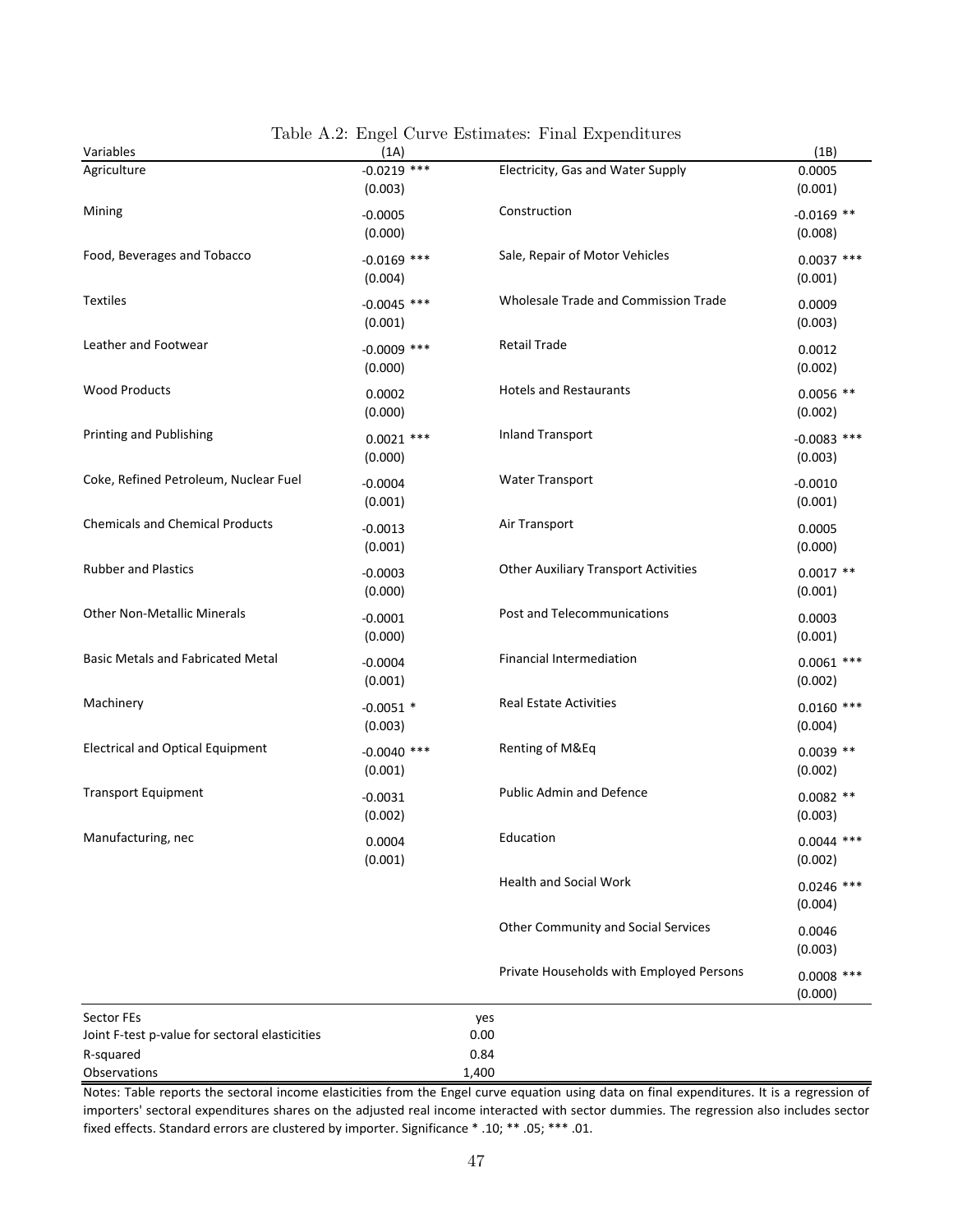| Variables                                      | (1A)                     |                                             | (1B)                     |
|------------------------------------------------|--------------------------|---------------------------------------------|--------------------------|
| Agriculture                                    | $-0.0219$ ***<br>(0.003) | Electricity, Gas and Water Supply           | 0.0005<br>(0.001)        |
| Mining                                         | $-0.0005$<br>(0.000)     | Construction                                | $-0.0169$ **<br>(0.008)  |
| Food, Beverages and Tobacco                    | $-0.0169$ ***<br>(0.004) | Sale, Repair of Motor Vehicles              | $0.0037$ ***<br>(0.001)  |
| <b>Textiles</b>                                | $-0.0045$ ***<br>(0.001) | Wholesale Trade and Commission Trade        | 0.0009<br>(0.003)        |
| Leather and Footwear                           | $-0.0009$ ***<br>(0.000) | <b>Retail Trade</b>                         | 0.0012<br>(0.002)        |
| <b>Wood Products</b>                           | 0.0002<br>(0.000)        | <b>Hotels and Restaurants</b>               | $0.0056$ **<br>(0.002)   |
| Printing and Publishing                        | $0.0021$ ***<br>(0.000)  | <b>Inland Transport</b>                     | $-0.0083$ ***<br>(0.003) |
| Coke, Refined Petroleum, Nuclear Fuel          | $-0.0004$<br>(0.001)     | <b>Water Transport</b>                      | $-0.0010$<br>(0.001)     |
| <b>Chemicals and Chemical Products</b>         | $-0.0013$<br>(0.001)     | Air Transport                               | 0.0005<br>(0.000)        |
| <b>Rubber and Plastics</b>                     | $-0.0003$<br>(0.000)     | <b>Other Auxiliary Transport Activities</b> | $0.0017**$<br>(0.001)    |
| <b>Other Non-Metallic Minerals</b>             | $-0.0001$<br>(0.000)     | Post and Telecommunications                 | 0.0003<br>(0.001)        |
| <b>Basic Metals and Fabricated Metal</b>       | $-0.0004$<br>(0.001)     | Financial Intermediation                    | $0.0061$ ***<br>(0.002)  |
| Machinery                                      | $-0.0051$ *<br>(0.003)   | <b>Real Estate Activities</b>               | $0.0160$ ***<br>(0.004)  |
| <b>Electrical and Optical Equipment</b>        | $-0.0040$ ***<br>(0.001) | Renting of M&Eq                             | $0.0039$ **<br>(0.002)   |
| <b>Transport Equipment</b>                     | $-0.0031$<br>(0.002)     | <b>Public Admin and Defence</b>             | $0.0082$ **<br>(0.003)   |
| Manufacturing, nec                             | 0.0004<br>(0.001)        | Education                                   | $0.0044$ ***<br>(0.002)  |
|                                                |                          | <b>Health and Social Work</b>               | $0.0246$ ***<br>(0.004)  |
|                                                |                          | <b>Other Community and Social Services</b>  | 0.0046<br>(0.003)        |
|                                                |                          | Private Households with Employed Persons    | $0.0008$ ***<br>(0.000)  |
| Sector FEs                                     |                          | yes                                         |                          |
| Joint F-test p-value for sectoral elasticities |                          | 0.00                                        |                          |
| R-squared<br>Observations                      |                          | 0.84<br>1,400                               |                          |

Table A.2: Engel Curve Estimates: Final Expenditures

Notes: Table reports the sectoral income elasticities from the Engel curve equation using data on final expenditures. It is a regression of importers' sectoral expenditures shares on the adjusted real income interacted with sector dummies. The regression also includes sector fixed effects. Standard errors are clustered by importer. Significance \* .10; \*\* .05; \*\*\* .01.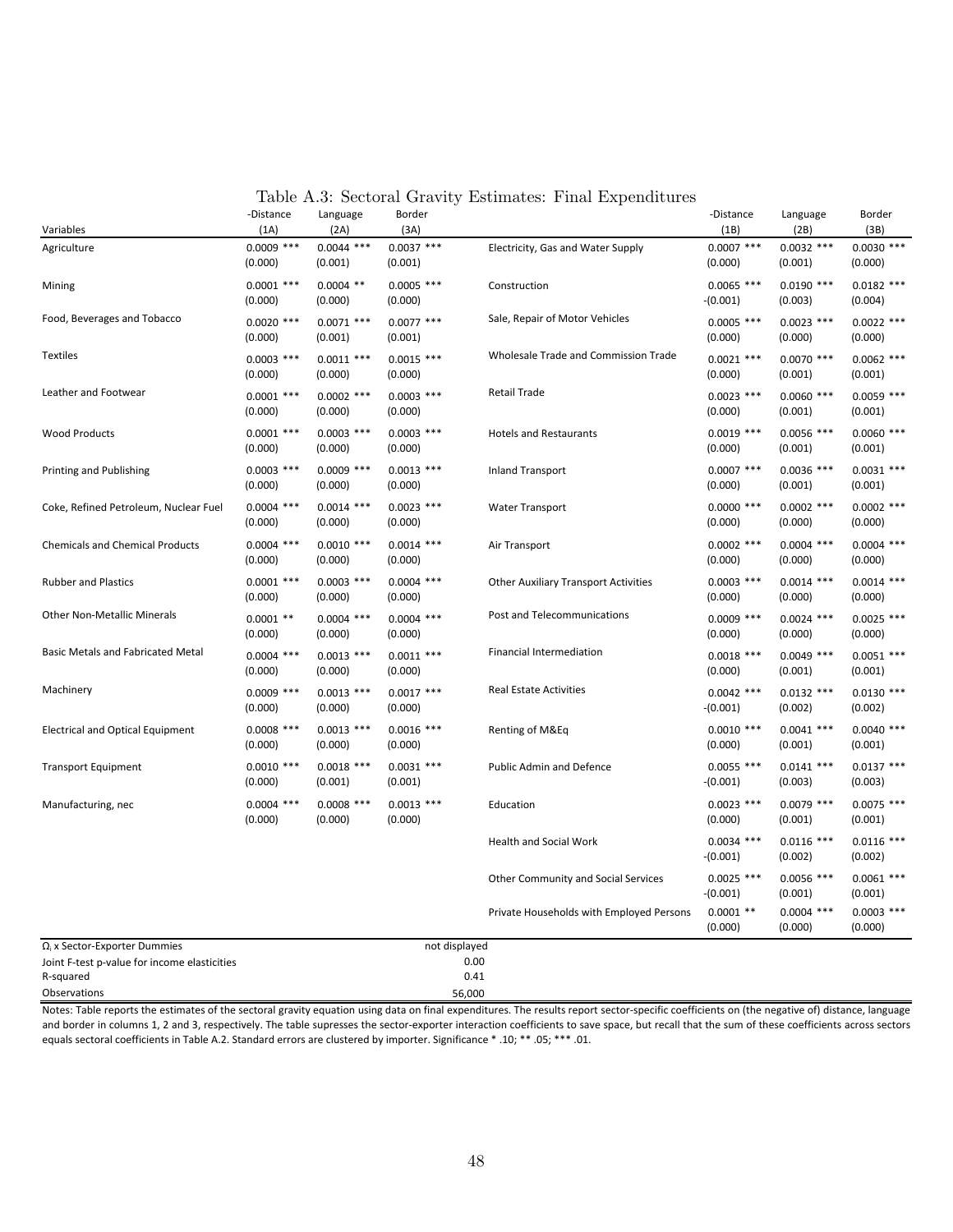| Variables                                                 | -Distance<br>(1A)       | Language<br>(2A)        | Border<br>(3A)          |                                             | -Distance<br>(1B)          | Language<br>(2B)        | Border<br>(3B)          |
|-----------------------------------------------------------|-------------------------|-------------------------|-------------------------|---------------------------------------------|----------------------------|-------------------------|-------------------------|
| Agriculture                                               | $0.0009$ ***<br>(0.000) | $0.0044$ ***<br>(0.001) | $0.0037$ ***<br>(0.001) | Electricity, Gas and Water Supply           | $0.0007$ ***<br>(0.000)    | $0.0032$ ***<br>(0.001) | $0.0030$ ***<br>(0.000) |
| Mining                                                    | $0.0001$ ***<br>(0.000) | $0.0004$ **<br>(0.000)  | $0.0005$ ***<br>(0.000) | Construction                                | $0.0065$ ***<br>$-(0.001)$ | $0.0190$ ***<br>(0.003) | $0.0182$ ***<br>(0.004) |
| Food, Beverages and Tobacco                               | $0.0020$ ***<br>(0.000) | $0.0071$ ***<br>(0.001) | $0.0077$ ***<br>(0.001) | Sale, Repair of Motor Vehicles              | $0.0005$ ***<br>(0.000)    | $0.0023$ ***<br>(0.000) | $0.0022$ ***<br>(0.000) |
| <b>Textiles</b>                                           | $0.0003$ ***<br>(0.000) | $0.0011$ ***<br>(0.000) | $0.0015$ ***<br>(0.000) | Wholesale Trade and Commission Trade        | $0.0021$ ***<br>(0.000)    | $0.0070$ ***<br>(0.001) | $0.0062$ ***<br>(0.001) |
| Leather and Footwear                                      | $0.0001$ ***<br>(0.000) | $0.0002$ ***<br>(0.000) | $0.0003$ ***<br>(0.000) | <b>Retail Trade</b>                         | $0.0023$ ***<br>(0.000)    | $0.0060$ ***<br>(0.001) | $0.0059$ ***<br>(0.001) |
| <b>Wood Products</b>                                      | $0.0001$ ***<br>(0.000) | $0.0003$ ***<br>(0.000) | $0.0003$ ***<br>(0.000) | <b>Hotels and Restaurants</b>               | $0.0019$ ***<br>(0.000)    | $0.0056$ ***<br>(0.001) | $0.0060$ ***<br>(0.001) |
| Printing and Publishing                                   | $0.0003$ ***<br>(0.000) | $0.0009$ ***<br>(0.000) | $0.0013$ ***<br>(0.000) | <b>Inland Transport</b>                     | $0.0007$ ***<br>(0.000)    | $0.0036$ ***<br>(0.001) | $0.0031$ ***<br>(0.001) |
| Coke, Refined Petroleum, Nuclear Fuel                     | $0.0004$ ***<br>(0.000) | $0.0014$ ***<br>(0.000) | $0.0023$ ***<br>(0.000) | <b>Water Transport</b>                      | $0.0000$ ***<br>(0.000)    | $0.0002$ ***<br>(0.000) | $0.0002$ ***<br>(0.000) |
| <b>Chemicals and Chemical Products</b>                    | $0.0004$ ***<br>(0.000) | $0.0010$ ***<br>(0.000) | $0.0014$ ***<br>(0.000) | Air Transport                               | $0.0002$ ***<br>(0.000)    | $0.0004$ ***<br>(0.000) | $0.0004$ ***<br>(0.000) |
| <b>Rubber and Plastics</b>                                | $0.0001$ ***<br>(0.000) | $0.0003$ ***<br>(0.000) | $0.0004$ ***<br>(0.000) | <b>Other Auxiliary Transport Activities</b> | $0.0003$ ***<br>(0.000)    | $0.0014$ ***<br>(0.000) | $0.0014$ ***<br>(0.000) |
| <b>Other Non-Metallic Minerals</b>                        | $0.0001$ **<br>(0.000)  | $0.0004$ ***<br>(0.000) | $0.0004$ ***<br>(0.000) | Post and Telecommunications                 | $0.0009$ ***<br>(0.000)    | $0.0024$ ***<br>(0.000) | $0.0025$ ***<br>(0.000) |
| <b>Basic Metals and Fabricated Metal</b>                  | $0.0004$ ***<br>(0.000) | $0.0013$ ***<br>(0.000) | $0.0011$ ***<br>(0.000) | Financial Intermediation                    | $0.0018$ ***<br>(0.000)    | $0.0049$ ***<br>(0.001) | $0.0051$ ***<br>(0.001) |
| Machinery                                                 | $0.0009$ ***<br>(0.000) | $0.0013$ ***<br>(0.000) | $0.0017$ ***<br>(0.000) | <b>Real Estate Activities</b>               | $0.0042$ ***<br>$-(0.001)$ | $0.0132$ ***<br>(0.002) | $0.0130$ ***<br>(0.002) |
| <b>Electrical and Optical Equipment</b>                   | $0.0008$ ***<br>(0.000) | $0.0013$ ***<br>(0.000) | $0.0016$ ***<br>(0.000) | Renting of M&Eq                             | $0.0010$ ***<br>(0.000)    | $0.0041$ ***<br>(0.001) | $0.0040$ ***<br>(0.001) |
| <b>Transport Equipment</b>                                | $0.0010$ ***<br>(0.000) | $0.0018$ ***<br>(0.001) | $0.0031$ ***<br>(0.001) | Public Admin and Defence                    | $0.0055$ ***<br>$-(0.001)$ | $0.0141$ ***<br>(0.003) | $0.0137$ ***<br>(0.003) |
| Manufacturing, nec                                        | $0.0004$ ***<br>(0.000) | $0.0008$ ***<br>(0.000) | $0.0013$ ***<br>(0.000) | Education                                   | $0.0023$ ***<br>(0.000)    | $0.0079$ ***<br>(0.001) | $0.0075$ ***<br>(0.001) |
|                                                           |                         |                         |                         | <b>Health and Social Work</b>               | $0.0034$ ***<br>$-(0.001)$ | $0.0116$ ***<br>(0.002) | $0.0116$ ***<br>(0.002) |
|                                                           |                         |                         |                         | Other Community and Social Services         | $0.0025$ ***<br>$-(0.001)$ | $0.0056$ ***<br>(0.001) | $0.0061$ ***<br>(0.001) |
|                                                           |                         |                         |                         | Private Households with Employed Persons    | $0.0001$ **<br>(0.000)     | $0.0004$ ***<br>(0.000) | $0.0003$ ***<br>(0.000) |
| $\Omega_i$ x Sector-Exporter Dummies                      |                         |                         | not displayed           |                                             |                            |                         |                         |
| Joint F-test p-value for income elasticities<br>R-squared |                         |                         |                         | 0.00<br>0.41                                |                            |                         |                         |

Table A.3: Sectoral Gravity Estimates: Final Expenditures

Notes: Table reports the estimates of the sectoral gravity equation using data on final expenditures. The results report sector-specific coefficients on (the negative of) distance, language and border in columns 1, 2 and 3, respectively. The table supresses the sector-exporter interaction coefficients to save space, but recall that the sum of these coefficients across sectors equals sectoral coefficients in Table A.2. Standard errors are clustered by importer. Significance \* .10; \*\* .05; \*\*\* .01.

Observations 56,000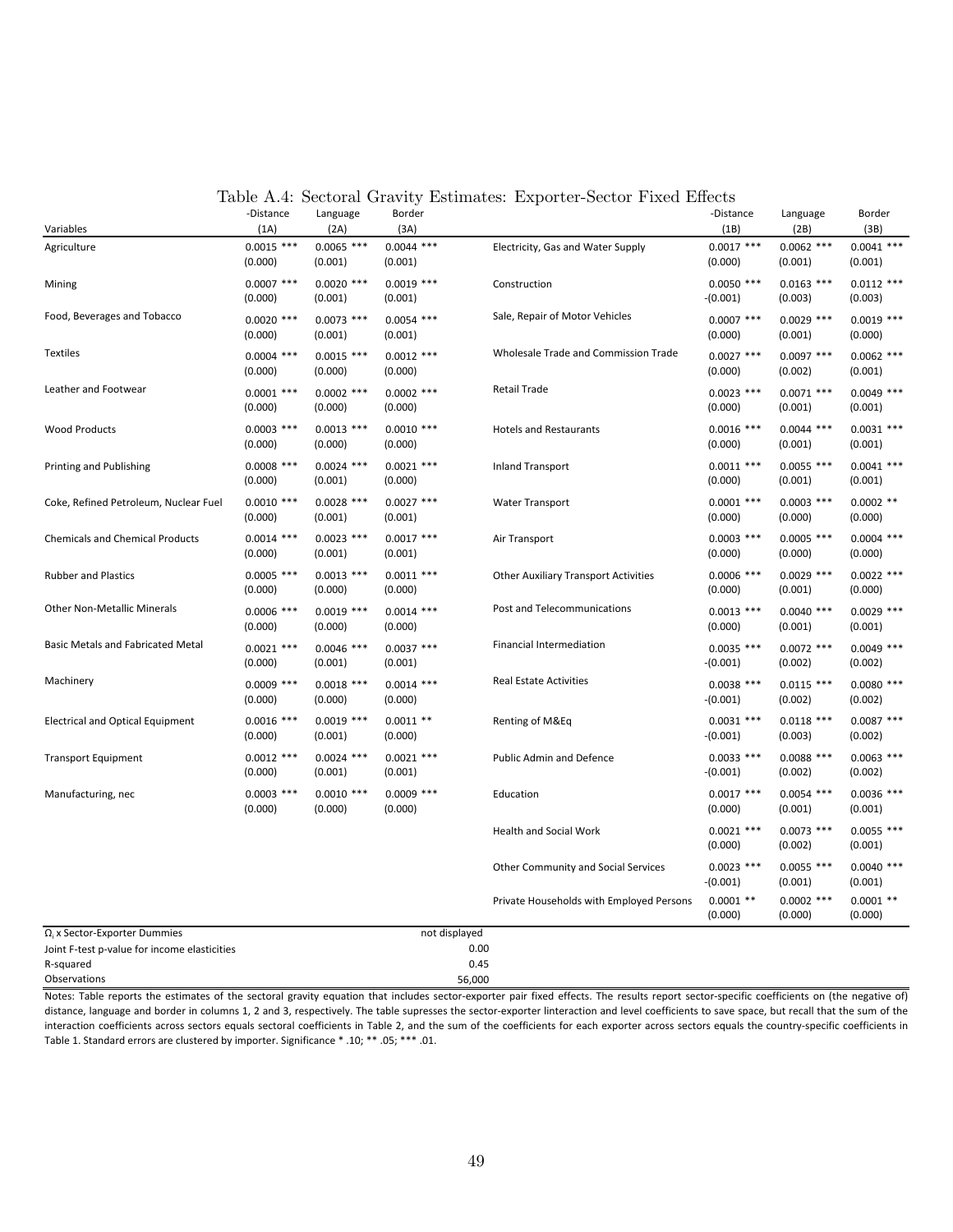| Variables                                    | -Distance<br>(1A)       | Language<br>(2A)        | Border<br>(3A)          |                                             | -Distance<br>(1B)          | Language<br>(2B)        | Border<br>(3B)          |
|----------------------------------------------|-------------------------|-------------------------|-------------------------|---------------------------------------------|----------------------------|-------------------------|-------------------------|
| Agriculture                                  | $0.0015$ ***<br>(0.000) | $0.0065$ ***<br>(0.001) | $0.0044$ ***<br>(0.001) | Electricity, Gas and Water Supply           | $0.0017$ ***<br>(0.000)    | $0.0062$ ***<br>(0.001) | $0.0041$ ***<br>(0.001) |
| Mining                                       | $0.0007$ ***<br>(0.000) | $0.0020$ ***<br>(0.001) | $0.0019$ ***<br>(0.001) | Construction                                | $0.0050$ ***<br>$-(0.001)$ | $0.0163$ ***<br>(0.003) | $0.0112$ ***<br>(0.003) |
| Food, Beverages and Tobacco                  | $0.0020$ ***<br>(0.000) | $0.0073$ ***<br>(0.001) | $0.0054$ ***<br>(0.001) | Sale, Repair of Motor Vehicles              | $0.0007$ ***<br>(0.000)    | $0.0029$ ***<br>(0.001) | $0.0019$ ***<br>(0.000) |
| <b>Textiles</b>                              | $0.0004$ ***<br>(0.000) | $0.0015$ ***<br>(0.000) | $0.0012$ ***<br>(0.000) | Wholesale Trade and Commission Trade        | $0.0027$ ***<br>(0.000)    | $0.0097$ ***<br>(0.002) | $0.0062$ ***<br>(0.001) |
| Leather and Footwear                         | $0.0001$ ***<br>(0.000) | $0.0002$ ***<br>(0.000) | $0.0002$ ***<br>(0.000) | <b>Retail Trade</b>                         | $0.0023$ ***<br>(0.000)    | $0.0071$ ***<br>(0.001) | $0.0049$ ***<br>(0.001) |
| <b>Wood Products</b>                         | $0.0003$ ***<br>(0.000) | $0.0013$ ***<br>(0.000) | $0.0010$ ***<br>(0.000) | <b>Hotels and Restaurants</b>               | $0.0016$ ***<br>(0.000)    | $0.0044$ ***<br>(0.001) | $0.0031$ ***<br>(0.001) |
| Printing and Publishing                      | $0.0008$ ***<br>(0.000) | $0.0024$ ***<br>(0.001) | $0.0021$ ***<br>(0.000) | <b>Inland Transport</b>                     | $0.0011$ ***<br>(0.000)    | $0.0055$ ***<br>(0.001) | $0.0041$ ***<br>(0.001) |
| Coke, Refined Petroleum, Nuclear Fuel        | $0.0010$ ***<br>(0.000) | $0.0028$ ***<br>(0.001) | $0.0027$ ***<br>(0.001) | <b>Water Transport</b>                      | $0.0001$ ***<br>(0.000)    | $0.0003$ ***<br>(0.000) | $0.0002$ **<br>(0.000)  |
| <b>Chemicals and Chemical Products</b>       | $0.0014$ ***<br>(0.000) | $0.0023$ ***<br>(0.001) | $0.0017$ ***<br>(0.001) | Air Transport                               | $0.0003$ ***<br>(0.000)    | $0.0005$ ***<br>(0.000) | $0.0004$ ***<br>(0.000) |
| <b>Rubber and Plastics</b>                   | $0.0005$ ***<br>(0.000) | $0.0013$ ***<br>(0.000) | $0.0011$ ***<br>(0.000) | <b>Other Auxiliary Transport Activities</b> | $0.0006$ ***<br>(0.000)    | $0.0029$ ***<br>(0.001) | $0.0022$ ***<br>(0.000) |
| <b>Other Non-Metallic Minerals</b>           | $0.0006$ ***<br>(0.000) | $0.0019$ ***<br>(0.000) | $0.0014$ ***<br>(0.000) | Post and Telecommunications                 | $0.0013$ ***<br>(0.000)    | $0.0040$ ***<br>(0.001) | $0.0029$ ***<br>(0.001) |
| <b>Basic Metals and Fabricated Metal</b>     | $0.0021$ ***<br>(0.000) | $0.0046$ ***<br>(0.001) | $0.0037$ ***<br>(0.001) | <b>Financial Intermediation</b>             | $0.0035$ ***<br>$-(0.001)$ | $0.0072$ ***<br>(0.002) | $0.0049$ ***<br>(0.002) |
| Machinery                                    | $0.0009$ ***<br>(0.000) | $0.0018$ ***<br>(0.000) | $0.0014$ ***<br>(0.000) | <b>Real Estate Activities</b>               | $0.0038$ ***<br>$-(0.001)$ | $0.0115$ ***<br>(0.002) | $0.0080$ ***<br>(0.002) |
| <b>Electrical and Optical Equipment</b>      | $0.0016$ ***<br>(0.000) | $0.0019$ ***<br>(0.001) | $0.0011$ **<br>(0.000)  | Renting of M&Eq                             | $0.0031$ ***<br>$-(0.001)$ | $0.0118$ ***<br>(0.003) | $0.0087$ ***<br>(0.002) |
| <b>Transport Equipment</b>                   | $0.0012$ ***<br>(0.000) | $0.0024$ ***<br>(0.001) | $0.0021$ ***<br>(0.001) | Public Admin and Defence                    | $0.0033$ ***<br>$-(0.001)$ | $0.0088$ ***<br>(0.002) | $0.0063$ ***<br>(0.002) |
| Manufacturing, nec                           | $0.0003$ ***<br>(0.000) | $0.0010$ ***<br>(0.000) | $0.0009$ ***<br>(0.000) | Education                                   | $0.0017$ ***<br>(0.000)    | $0.0054$ ***<br>(0.001) | $0.0036$ ***<br>(0.001) |
|                                              |                         |                         |                         | <b>Health and Social Work</b>               | $0.0021$ ***<br>(0.000)    | $0.0073$ ***<br>(0.002) | $0.0055$ ***<br>(0.001) |
|                                              |                         |                         |                         | <b>Other Community and Social Services</b>  | $0.0023$ ***<br>$-(0.001)$ | $0.0055$ ***<br>(0.001) | $0.0040$ ***<br>(0.001) |
|                                              |                         |                         |                         | Private Households with Employed Persons    | $0.0001$ **<br>(0.000)     | $0.0002$ ***<br>(0.000) | $0.0001$ **<br>(0.000)  |
| $\Omega_i$ x Sector-Exporter Dummies         |                         |                         | not displayed           |                                             |                            |                         |                         |
| Joint F-test p-value for income elasticities |                         |                         |                         | 0.00                                        |                            |                         |                         |
| R-squared<br>Observations                    |                         |                         |                         | 0.45                                        |                            |                         |                         |
|                                              |                         |                         |                         | 56,000                                      |                            |                         |                         |

#### Table A.4: Sectoral Gravity Estimates: Exporter-Sector Fixed Effects

Notes: Table reports the estimates of the sectoral gravity equation that includes sector-exporter pair fixed effects. The results report sector-specific coefficients on (the negative of) distance, language and border in columns 1, 2 and 3, respectively. The table supresses the sector-exporter linteraction and level coefficients to save space, but recall that the sum of the interaction coefficients across sectors equals sectoral coefficients in Table 2, and the sum of the coefficients for each exporter across sectors equals the country-specific coefficients in Table 1. Standard errors are clustered by importer. Significance  $*$  .10;  $**$  .05;  $***$  .01.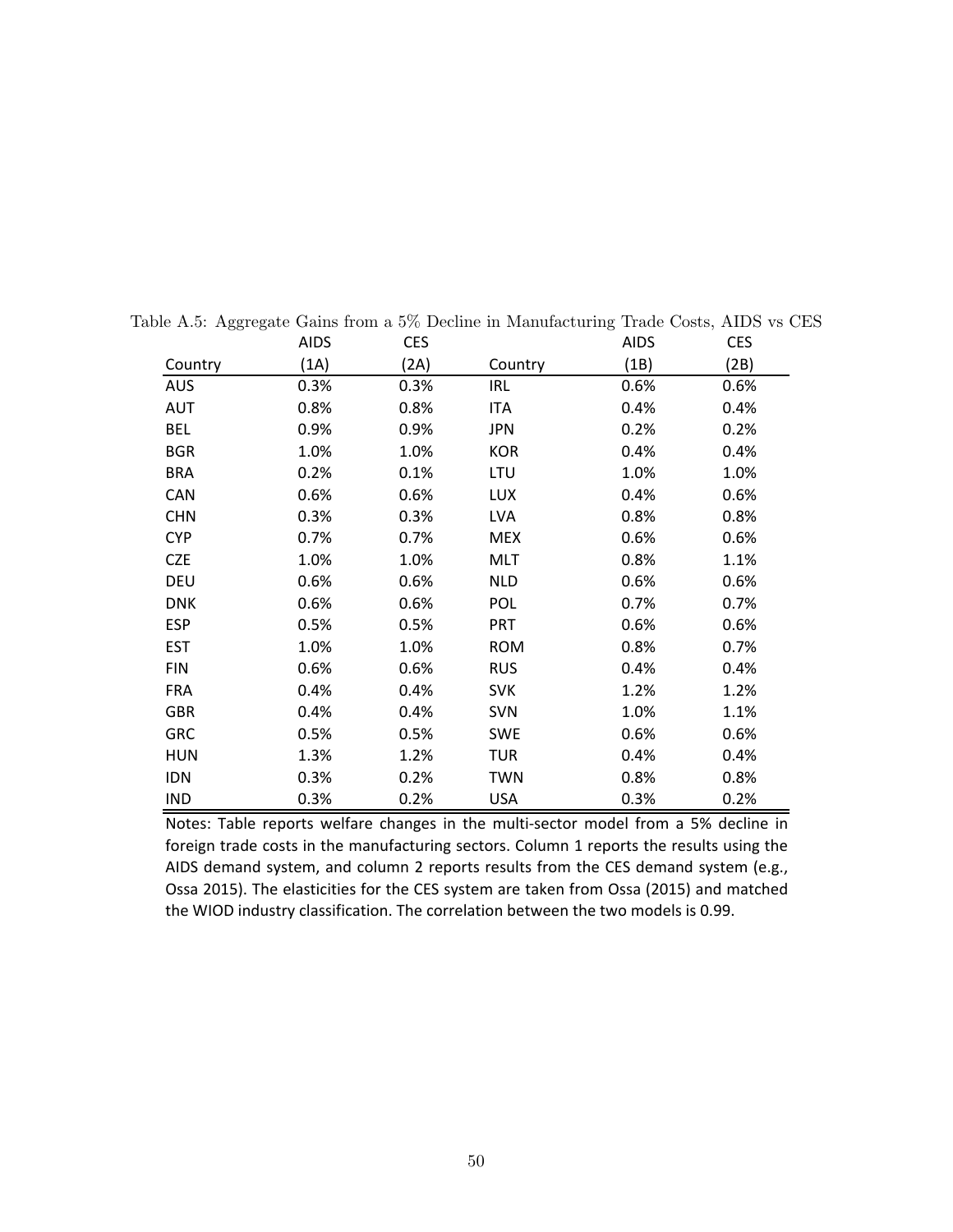|            | <b>AIDS</b> | <b>CES</b> |            | <b>AIDS</b> | <b>CES</b> |
|------------|-------------|------------|------------|-------------|------------|
| Country    | (1A)        | (2A)       | Country    | (1B)        | (2B)       |
| <b>AUS</b> | 0.3%        | 0.3%       | <b>IRL</b> | 0.6%        | 0.6%       |
| <b>AUT</b> | 0.8%        | 0.8%       | <b>ITA</b> | 0.4%        | 0.4%       |
| <b>BEL</b> | 0.9%        | 0.9%       | JPN        | 0.2%        | 0.2%       |
| <b>BGR</b> | 1.0%        | 1.0%       | <b>KOR</b> | 0.4%        | 0.4%       |
| <b>BRA</b> | 0.2%        | 0.1%       | LTU        | 1.0%        | 1.0%       |
| <b>CAN</b> | 0.6%        | 0.6%       | <b>LUX</b> | 0.4%        | 0.6%       |
| <b>CHN</b> | 0.3%        | 0.3%       | LVA        | 0.8%        | 0.8%       |
| <b>CYP</b> | 0.7%        | 0.7%       | <b>MEX</b> | 0.6%        | 0.6%       |
| <b>CZE</b> | 1.0%        | 1.0%       | <b>MLT</b> | 0.8%        | 1.1%       |
| <b>DEU</b> | 0.6%        | 0.6%       | <b>NLD</b> | 0.6%        | 0.6%       |
| <b>DNK</b> | 0.6%        | 0.6%       | <b>POL</b> | 0.7%        | 0.7%       |
| <b>ESP</b> | 0.5%        | 0.5%       | <b>PRT</b> | 0.6%        | 0.6%       |
| <b>EST</b> | 1.0%        | 1.0%       | <b>ROM</b> | 0.8%        | 0.7%       |
| <b>FIN</b> | 0.6%        | 0.6%       | <b>RUS</b> | 0.4%        | 0.4%       |
| <b>FRA</b> | 0.4%        | 0.4%       | <b>SVK</b> | 1.2%        | 1.2%       |
| <b>GBR</b> | 0.4%        | 0.4%       | <b>SVN</b> | 1.0%        | 1.1%       |
| <b>GRC</b> | 0.5%        | 0.5%       | <b>SWE</b> | 0.6%        | 0.6%       |
| <b>HUN</b> | 1.3%        | 1.2%       | <b>TUR</b> | 0.4%        | 0.4%       |
| <b>IDN</b> | 0.3%        | 0.2%       | <b>TWN</b> | 0.8%        | 0.8%       |
| <b>IND</b> | 0.3%        | 0.2%       | <b>USA</b> | 0.3%        | 0.2%       |

Table A.5: Aggregate Gains from a 5% Decline in Manufacturing Trade Costs, AIDS vs CES

Notes: Table reports welfare changes in the multi-sector model from a 5% decline in foreign trade costs in the manufacturing sectors. Column 1 reports the results using the AIDS demand system, and column 2 reports results from the CES demand system (e.g., Ossa 2015). The elasticities for the CES system are taken from Ossa (2015) and matched the WIOD industry classification. The correlation between the two models is 0.99.